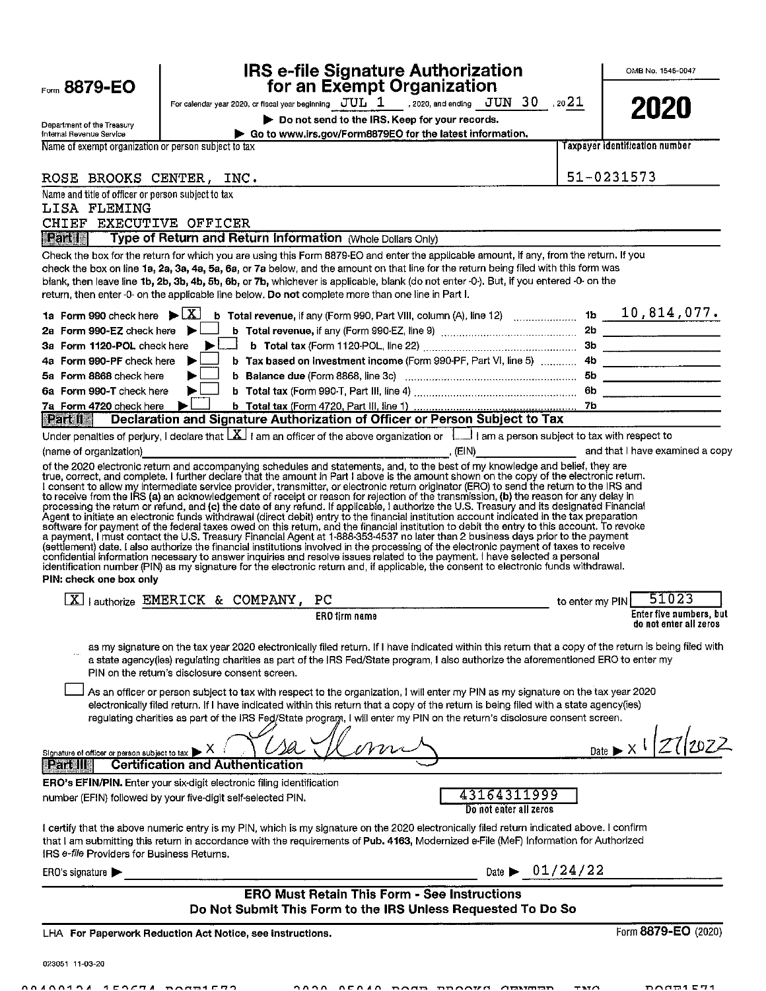|                                                                                   |   |                                                | <b>IRS e-file Signature Authorization</b><br>for an Exempt Organization                            |                                                                                                                                                                                                                                                                                                                                                                                                                                                                                                                                                                                                                                                                                                                                                                                                                                                                                                                                      |                 | OMB No. 1545-0047                                 |
|-----------------------------------------------------------------------------------|---|------------------------------------------------|----------------------------------------------------------------------------------------------------|--------------------------------------------------------------------------------------------------------------------------------------------------------------------------------------------------------------------------------------------------------------------------------------------------------------------------------------------------------------------------------------------------------------------------------------------------------------------------------------------------------------------------------------------------------------------------------------------------------------------------------------------------------------------------------------------------------------------------------------------------------------------------------------------------------------------------------------------------------------------------------------------------------------------------------------|-----------------|---------------------------------------------------|
| Form 8879-EO                                                                      |   |                                                |                                                                                                    |                                                                                                                                                                                                                                                                                                                                                                                                                                                                                                                                                                                                                                                                                                                                                                                                                                                                                                                                      |                 |                                                   |
|                                                                                   |   |                                                |                                                                                                    | For calendar year 2020, or fiscal year beginning $\frac{JUL}{1}$ 2020, and ending $\frac{JUN}{30}$ , 20 21                                                                                                                                                                                                                                                                                                                                                                                                                                                                                                                                                                                                                                                                                                                                                                                                                           |                 | 2020                                              |
| Department of the Treasury                                                        |   |                                                | Do not send to the IRS. Keep for your records.                                                     |                                                                                                                                                                                                                                                                                                                                                                                                                                                                                                                                                                                                                                                                                                                                                                                                                                                                                                                                      |                 |                                                   |
| Internal Revenue Service<br>Name of exempt organization or person subject to tax  |   |                                                | Go to www.irs.gov/Form8879EO for the latest information.                                           |                                                                                                                                                                                                                                                                                                                                                                                                                                                                                                                                                                                                                                                                                                                                                                                                                                                                                                                                      |                 | <b>Taxpayer identification number</b>             |
|                                                                                   |   |                                                |                                                                                                    |                                                                                                                                                                                                                                                                                                                                                                                                                                                                                                                                                                                                                                                                                                                                                                                                                                                                                                                                      |                 |                                                   |
| ROSE BROOKS CENTER, INC.                                                          |   |                                                |                                                                                                    |                                                                                                                                                                                                                                                                                                                                                                                                                                                                                                                                                                                                                                                                                                                                                                                                                                                                                                                                      |                 | 51-0231573                                        |
| Name and title of officer or person subject to tax                                |   |                                                |                                                                                                    |                                                                                                                                                                                                                                                                                                                                                                                                                                                                                                                                                                                                                                                                                                                                                                                                                                                                                                                                      |                 |                                                   |
| LISA FLEMING<br>CHIEF EXECUTIVE OFFICER                                           |   |                                                |                                                                                                    |                                                                                                                                                                                                                                                                                                                                                                                                                                                                                                                                                                                                                                                                                                                                                                                                                                                                                                                                      |                 |                                                   |
| Part                                                                              |   |                                                | Type of Return and Return Information (Whole Dollars Only)                                         |                                                                                                                                                                                                                                                                                                                                                                                                                                                                                                                                                                                                                                                                                                                                                                                                                                                                                                                                      |                 |                                                   |
|                                                                                   |   |                                                |                                                                                                    | Check the box for the return for which you are using this Form 8879-EO and enter the applicable amount, if any, from the return. If you                                                                                                                                                                                                                                                                                                                                                                                                                                                                                                                                                                                                                                                                                                                                                                                              |                 |                                                   |
|                                                                                   |   |                                                | return, then enter -0- on the applicable line below. Do not complete more than one line in Part I. | check the box on line 1a, 2a, 3a, 4a, 5a, 6a, or 7a below, and the amount on that line for the return being filed with this form was<br>blank, then leave line 1b, 2b, 3b, 4b, 5b, 6b, or 7b, whichever is applicable, blank (do not enter -0-). But, if you entered -0- on the                                                                                                                                                                                                                                                                                                                                                                                                                                                                                                                                                                                                                                                      |                 |                                                   |
| <b>1a</b> Form 990 check here $\blacktriangleright \lfloor \underline{X} \rfloor$ |   |                                                |                                                                                                    |                                                                                                                                                                                                                                                                                                                                                                                                                                                                                                                                                                                                                                                                                                                                                                                                                                                                                                                                      |                 |                                                   |
| 2a Form 990-EZ check here $\blacktriangleright$                                   |   |                                                |                                                                                                    |                                                                                                                                                                                                                                                                                                                                                                                                                                                                                                                                                                                                                                                                                                                                                                                                                                                                                                                                      |                 |                                                   |
| 3a Form 1120-POL check here                                                       |   |                                                |                                                                                                    | $\blacktriangleright$ Let b Total tax (Form 1120-POL, line 22) manufactured with the state of the state of the state of the state of the state of the state of the state of the state of the state of the state of the state of the state o                                                                                                                                                                                                                                                                                                                                                                                                                                                                                                                                                                                                                                                                                          |                 |                                                   |
| 4a Form 990-PF check here                                                         |   |                                                |                                                                                                    | b Tax based on investment income (Form 990-PF, Part VI, line 5)  4b                                                                                                                                                                                                                                                                                                                                                                                                                                                                                                                                                                                                                                                                                                                                                                                                                                                                  |                 |                                                   |
| 5a Form 8868 check here                                                           |   |                                                |                                                                                                    |                                                                                                                                                                                                                                                                                                                                                                                                                                                                                                                                                                                                                                                                                                                                                                                                                                                                                                                                      |                 |                                                   |
| 6a Form 990-T check here                                                          |   |                                                |                                                                                                    |                                                                                                                                                                                                                                                                                                                                                                                                                                                                                                                                                                                                                                                                                                                                                                                                                                                                                                                                      |                 |                                                   |
| 7a Form 4720 check here                                                           | ▶ |                                                |                                                                                                    |                                                                                                                                                                                                                                                                                                                                                                                                                                                                                                                                                                                                                                                                                                                                                                                                                                                                                                                                      |                 |                                                   |
| Part II                                                                           |   |                                                |                                                                                                    | Declaration and Signature Authorization of Officer or Person Subject to Tax                                                                                                                                                                                                                                                                                                                                                                                                                                                                                                                                                                                                                                                                                                                                                                                                                                                          |                 |                                                   |
|                                                                                   |   |                                                |                                                                                                    | Under penalties of perjury, I declare that $ \underline{X} $ i am an officer of the above organization or $ \underline{1} $ am a person subject to tax with respect to                                                                                                                                                                                                                                                                                                                                                                                                                                                                                                                                                                                                                                                                                                                                                               |                 |                                                   |
| (name of organization)                                                            |   |                                                |                                                                                                    | (name of organization) and that I have examined a copy<br>of the 2020 electronic return and accompanying schedules and statements, and, to the best of my knowledge and belief, they are<br>true, correct, and complete. I further d                                                                                                                                                                                                                                                                                                                                                                                                                                                                                                                                                                                                                                                                                                 |                 |                                                   |
| PIN: check one box only                                                           |   |                                                |                                                                                                    | processing the return or refund, and (c) the date of any retund. If applicable, I authorize the U.S. Treasury and its designated Financial Agent to initiate an electronic funds withdrawal (direct debit) entry to the financ<br>software for payment of the federal taxes owed on this return, and the financial institution to debit the entry to this account. To revoke<br>a payment, I must contact the U.S. Treasury Financial Agent at 1-888-353-4537 no later than 2 business days prior to the payment<br>(settlement) date. I also authorize the financial institutions involved in the processing of the electronic payment of taxes to receive<br>confidential information necessary to answer inquiries and resolve issues related to the payment. I have selected a personal<br>identification number (PIN) as my signature for the electronic return and, if applicable, the consent to electronic funds withdrawal. |                 |                                                   |
| $\boxed{\text{X}}$ authorize EMERICK & COMPANY, PC                                |   |                                                |                                                                                                    |                                                                                                                                                                                                                                                                                                                                                                                                                                                                                                                                                                                                                                                                                                                                                                                                                                                                                                                                      | to enter my PIN | 51023                                             |
|                                                                                   |   |                                                | <b>ERO</b> firm name                                                                               |                                                                                                                                                                                                                                                                                                                                                                                                                                                                                                                                                                                                                                                                                                                                                                                                                                                                                                                                      |                 | Enter five numbers, but<br>do not enter all zeros |
|                                                                                   |   | PIN on the return's disclosure consent screen. |                                                                                                    | as my signature on the tax year 2020 electronically filed return. If I have indicated within this return that a copy of the return is being filed with<br>a state agency(ies) regulating charities as part of the IRS Fed/State program, I also authorize the aforementioned ERO to enter my<br>As an officer or person subject to tax with respect to the organization, I will enter my PIN as my signature on the tax year 2020                                                                                                                                                                                                                                                                                                                                                                                                                                                                                                    |                 |                                                   |
|                                                                                   |   |                                                |                                                                                                    | electronically filed return, If I have indicated within this return that a copy of the return is being filed with a state agency(ies)<br>regulating charities as part of the IRS Fed/State program, I will enter my PIN on the return's disclosure consent screen.                                                                                                                                                                                                                                                                                                                                                                                                                                                                                                                                                                                                                                                                   |                 |                                                   |
| Signature of officer or person subject to tax<br><b>Lead</b> II                   |   | <b>Certification and Authentication</b>        |                                                                                                    |                                                                                                                                                                                                                                                                                                                                                                                                                                                                                                                                                                                                                                                                                                                                                                                                                                                                                                                                      |                 | $Date \rightarrow X$                              |
| <b>ERO's EFIN/PIN.</b> Enter your six-digit electronic filing identification      |   |                                                |                                                                                                    |                                                                                                                                                                                                                                                                                                                                                                                                                                                                                                                                                                                                                                                                                                                                                                                                                                                                                                                                      |                 |                                                   |
| number (EFIN) followed by your five-digit self-selected PIN.                      |   |                                                |                                                                                                    | 43164311999<br>Do not enter all zeros                                                                                                                                                                                                                                                                                                                                                                                                                                                                                                                                                                                                                                                                                                                                                                                                                                                                                                |                 |                                                   |
| IRS e-file Providers for Business Returns.                                        |   |                                                |                                                                                                    | I certify that the above numeric entry is my PIN, which is my signature on the 2020 electronically filed return indicated above. I confirm<br>that I am submitting this return in accordance with the requirements of Pub. 4163, Modernized e-File (MeF) Information for Authorized                                                                                                                                                                                                                                                                                                                                                                                                                                                                                                                                                                                                                                                  |                 |                                                   |
| ERO's signature $\blacktriangleright$                                             |   |                                                |                                                                                                    | Date $\triangleright$ 01/24/22                                                                                                                                                                                                                                                                                                                                                                                                                                                                                                                                                                                                                                                                                                                                                                                                                                                                                                       |                 |                                                   |
|                                                                                   |   |                                                | <b>ERO Must Retain This Form - See Instructions</b>                                                | Do Not Submit This Form to the IRS Unless Requested To Do So                                                                                                                                                                                                                                                                                                                                                                                                                                                                                                                                                                                                                                                                                                                                                                                                                                                                         |                 |                                                   |
| LHA For Paperwork Reduction Act Notice, see instructions.                         |   |                                                |                                                                                                    |                                                                                                                                                                                                                                                                                                                                                                                                                                                                                                                                                                                                                                                                                                                                                                                                                                                                                                                                      |                 | Form 8879-EO (2020)                               |
|                                                                                   |   |                                                |                                                                                                    |                                                                                                                                                                                                                                                                                                                                                                                                                                                                                                                                                                                                                                                                                                                                                                                                                                                                                                                                      |                 |                                                   |

ABABBBBA ACOCHA BOSSACHO

023051 11-03-20

DOCE1E71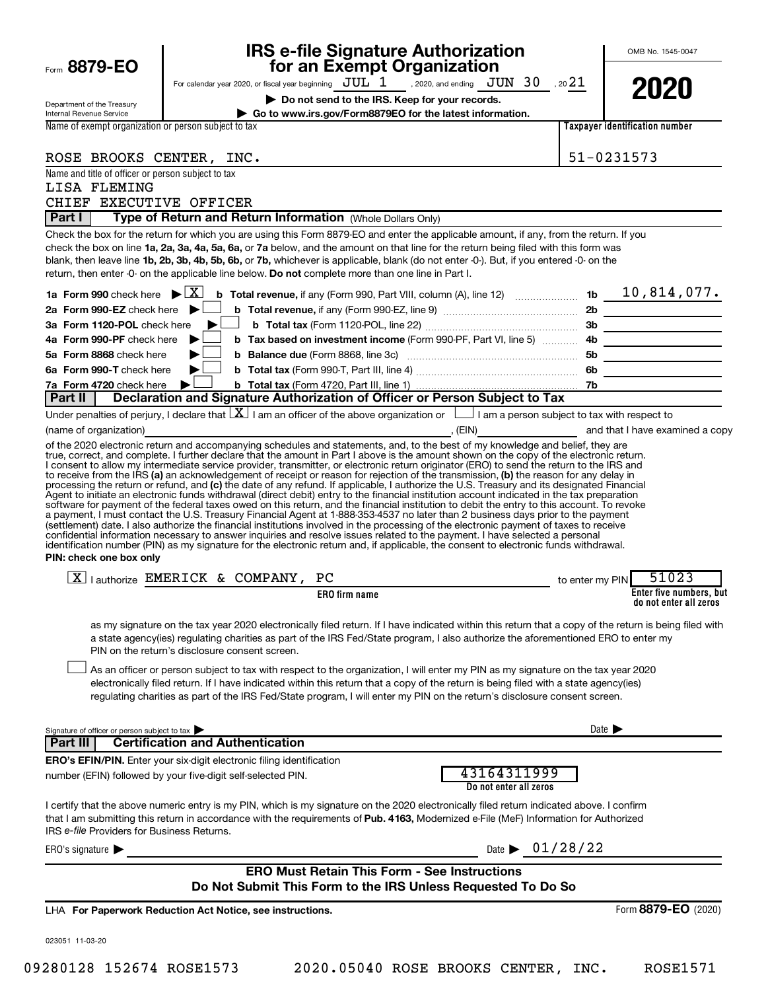|                                                                                                    |                                                |                                                            | IRS e-file Signature Authorization                                                                                                                                                                                                                                                                                                                                                                                                                                                                                                                                                                                                                                                                      |                                |                                                   |  |
|----------------------------------------------------------------------------------------------------|------------------------------------------------|------------------------------------------------------------|---------------------------------------------------------------------------------------------------------------------------------------------------------------------------------------------------------------------------------------------------------------------------------------------------------------------------------------------------------------------------------------------------------------------------------------------------------------------------------------------------------------------------------------------------------------------------------------------------------------------------------------------------------------------------------------------------------|--------------------------------|---------------------------------------------------|--|
| Form 8879-EO                                                                                       |                                                |                                                            | for an Exempt Organization                                                                                                                                                                                                                                                                                                                                                                                                                                                                                                                                                                                                                                                                              |                                |                                                   |  |
|                                                                                                    |                                                |                                                            | For calendar year 2020, or fiscal year beginning $JUL$ $1$ , 2020, and ending $JUN$ $30$ , 20 $21$<br>Do not send to the IRS. Keep for your records.                                                                                                                                                                                                                                                                                                                                                                                                                                                                                                                                                    |                                | 2020                                              |  |
| Department of the Treasury<br>Internal Revenue Service                                             |                                                |                                                            | Go to www.irs.gov/Form8879EO for the latest information.                                                                                                                                                                                                                                                                                                                                                                                                                                                                                                                                                                                                                                                |                                |                                                   |  |
| Name of exempt organization or person subject to tax                                               |                                                |                                                            |                                                                                                                                                                                                                                                                                                                                                                                                                                                                                                                                                                                                                                                                                                         |                                | <b>Taxpayer identification number</b>             |  |
|                                                                                                    |                                                |                                                            |                                                                                                                                                                                                                                                                                                                                                                                                                                                                                                                                                                                                                                                                                                         |                                | 51-0231573                                        |  |
| ROSE BROOKS CENTER, INC.<br>Name and title of officer or person subject to tax                     |                                                |                                                            |                                                                                                                                                                                                                                                                                                                                                                                                                                                                                                                                                                                                                                                                                                         |                                |                                                   |  |
| LISA FLEMING                                                                                       |                                                |                                                            |                                                                                                                                                                                                                                                                                                                                                                                                                                                                                                                                                                                                                                                                                                         |                                |                                                   |  |
| CHIEF EXECUTIVE OFFICER                                                                            |                                                |                                                            |                                                                                                                                                                                                                                                                                                                                                                                                                                                                                                                                                                                                                                                                                                         |                                |                                                   |  |
| Part I                                                                                             |                                                | Type of Return and Return Information (Whole Dollars Only) |                                                                                                                                                                                                                                                                                                                                                                                                                                                                                                                                                                                                                                                                                                         |                                |                                                   |  |
| return, then enter -0- on the applicable line below. Do not complete more than one line in Part I. |                                                |                                                            | Check the box for the return for which you are using this Form 8879-EO and enter the applicable amount, if any, from the return. If you<br>check the box on line 1a, 2a, 3a, 4a, 5a, 6a, or 7a below, and the amount on that line for the return being filed with this form was<br>blank, then leave line 1b, 2b, 3b, 4b, 5b, 6b, or 7b, whichever is applicable, blank (do not enter -0-). But, if you entered -0- on the                                                                                                                                                                                                                                                                              |                                |                                                   |  |
| 1a Form 990 check here $\blacktriangleright \boxed{X}$                                             |                                                |                                                            | <b>b</b> Total revenue, if any (Form 990, Part VIII, column (A), line 12) <b>contain the 10</b> , 814, 077.                                                                                                                                                                                                                                                                                                                                                                                                                                                                                                                                                                                             |                                |                                                   |  |
| 2a Form 990-EZ check here $\blacktriangleright$                                                    |                                                |                                                            |                                                                                                                                                                                                                                                                                                                                                                                                                                                                                                                                                                                                                                                                                                         |                                |                                                   |  |
| 3a Form 1120-POL check here                                                                        |                                                |                                                            |                                                                                                                                                                                                                                                                                                                                                                                                                                                                                                                                                                                                                                                                                                         |                                |                                                   |  |
| 4a Form 990-PF check here                                                                          | ▶                                              |                                                            |                                                                                                                                                                                                                                                                                                                                                                                                                                                                                                                                                                                                                                                                                                         |                                |                                                   |  |
| 5a Form 8868 check here<br>6a Form 990-T check here                                                |                                                |                                                            |                                                                                                                                                                                                                                                                                                                                                                                                                                                                                                                                                                                                                                                                                                         |                                |                                                   |  |
| 7a Form 4720 check here                                                                            |                                                |                                                            |                                                                                                                                                                                                                                                                                                                                                                                                                                                                                                                                                                                                                                                                                                         |                                |                                                   |  |
| Part II                                                                                            |                                                |                                                            | Declaration and Signature Authorization of Officer or Person Subject to Tax                                                                                                                                                                                                                                                                                                                                                                                                                                                                                                                                                                                                                             |                                |                                                   |  |
|                                                                                                    |                                                |                                                            | Under penalties of perjury, I declare that $\lfloor x \rfloor$ am an officer of the above organization or $\lfloor$ am a person subject to tax with respect to                                                                                                                                                                                                                                                                                                                                                                                                                                                                                                                                          |                                |                                                   |  |
| (name of organization)                                                                             |                                                |                                                            | of the 2020 electronic return and accompanying schedules and statements, and, to the best of my knowledge and belief, they are                                                                                                                                                                                                                                                                                                                                                                                                                                                                                                                                                                          |                                |                                                   |  |
| PIN: check one box only                                                                            |                                                |                                                            | (settlement) date. I also authorize the financial institutions involved in the processing of the electronic payment of taxes to receive<br>confidential information necessary to answer inquiries and resolve issues related to the payment. I have selected a personal<br>identification number (PIN) as my signature for the electronic return and, if applicable, the consent to electronic funds withdrawal.                                                                                                                                                                                                                                                                                        |                                |                                                   |  |
| $X$   authorize EMERICK & COMPANY, PC                                                              |                                                |                                                            |                                                                                                                                                                                                                                                                                                                                                                                                                                                                                                                                                                                                                                                                                                         | to enter my PIN                | 51023                                             |  |
|                                                                                                    |                                                | <b>ERO</b> firm name                                       |                                                                                                                                                                                                                                                                                                                                                                                                                                                                                                                                                                                                                                                                                                         |                                | Enter five numbers, but<br>do not enter all zeros |  |
|                                                                                                    | PIN on the return's disclosure consent screen. |                                                            | as my signature on the tax year 2020 electronically filed return. If I have indicated within this return that a copy of the return is being filed with<br>a state agency(ies) regulating charities as part of the IRS Fed/State program, I also authorize the aforementioned ERO to enter my<br>As an officer or person subject to tax with respect to the organization, I will enter my PIN as my signature on the tax year 2020<br>electronically filed return. If I have indicated within this return that a copy of the return is being filed with a state agency(ies)<br>regulating charities as part of the IRS Fed/State program, I will enter my PIN on the return's disclosure consent screen. |                                |                                                   |  |
|                                                                                                    |                                                |                                                            |                                                                                                                                                                                                                                                                                                                                                                                                                                                                                                                                                                                                                                                                                                         |                                |                                                   |  |
| Signature of officer or person subject to tax<br>Part III                                          | <b>Certification and Authentication</b>        |                                                            |                                                                                                                                                                                                                                                                                                                                                                                                                                                                                                                                                                                                                                                                                                         |                                | Date $\blacktriangleright$                        |  |
| ERO's EFIN/PIN. Enter your six-digit electronic filing identification                              |                                                |                                                            |                                                                                                                                                                                                                                                                                                                                                                                                                                                                                                                                                                                                                                                                                                         |                                |                                                   |  |
| number (EFIN) followed by your five-digit self-selected PIN.                                       |                                                |                                                            | 43164311999<br>Do not enter all zeros                                                                                                                                                                                                                                                                                                                                                                                                                                                                                                                                                                                                                                                                   |                                |                                                   |  |
| IRS e-file Providers for Business Returns.                                                         |                                                |                                                            | I certify that the above numeric entry is my PIN, which is my signature on the 2020 electronically filed return indicated above. I confirm<br>that I am submitting this return in accordance with the requirements of Pub. 4163, Modernized e-File (MeF) Information for Authorized                                                                                                                                                                                                                                                                                                                                                                                                                     |                                |                                                   |  |
| ERO's signature $\blacktriangleright$                                                              |                                                |                                                            |                                                                                                                                                                                                                                                                                                                                                                                                                                                                                                                                                                                                                                                                                                         | Date $\triangleright$ 01/28/22 |                                                   |  |
|                                                                                                    |                                                |                                                            | <b>ERO Must Retain This Form - See Instructions</b><br>Do Not Submit This Form to the IRS Unless Requested To Do So                                                                                                                                                                                                                                                                                                                                                                                                                                                                                                                                                                                     |                                |                                                   |  |
| LHA For Paperwork Reduction Act Notice, see instructions.                                          |                                                |                                                            |                                                                                                                                                                                                                                                                                                                                                                                                                                                                                                                                                                                                                                                                                                         |                                | Form 8879-EO (2020)                               |  |
| 023051 11-03-20                                                                                    |                                                |                                                            |                                                                                                                                                                                                                                                                                                                                                                                                                                                                                                                                                                                                                                                                                                         |                                |                                                   |  |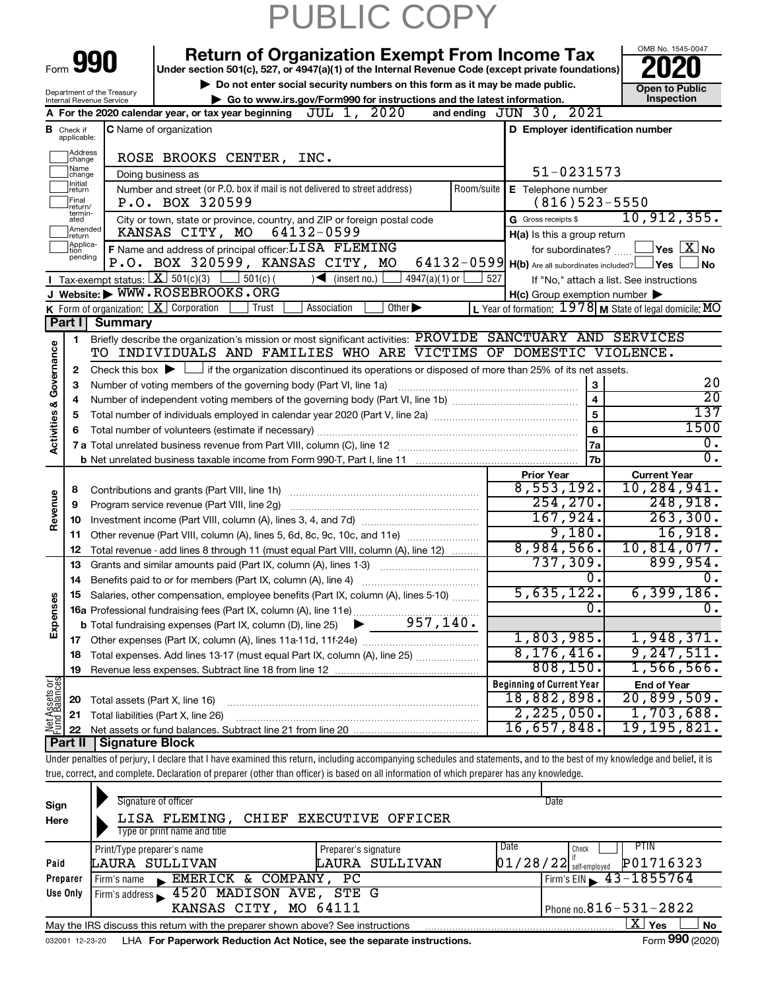|                                |                                                                                                                                                                                                                                                                                                                                                                                                                                                                             |                                                                                                                                                                                                                                                                                                                                                                                                                                                                                                                                                                                                                                                                                                                                                                                                                                                                                                                                                                                                                                                                                                                                                                                                                                                                                                                                                                                                                                                                                                                                                                                                                                                                    | PUBLIC COPY                                                                                                                                                   |                                  |                       |  |  |  |  |
|--------------------------------|-----------------------------------------------------------------------------------------------------------------------------------------------------------------------------------------------------------------------------------------------------------------------------------------------------------------------------------------------------------------------------------------------------------------------------------------------------------------------------|--------------------------------------------------------------------------------------------------------------------------------------------------------------------------------------------------------------------------------------------------------------------------------------------------------------------------------------------------------------------------------------------------------------------------------------------------------------------------------------------------------------------------------------------------------------------------------------------------------------------------------------------------------------------------------------------------------------------------------------------------------------------------------------------------------------------------------------------------------------------------------------------------------------------------------------------------------------------------------------------------------------------------------------------------------------------------------------------------------------------------------------------------------------------------------------------------------------------------------------------------------------------------------------------------------------------------------------------------------------------------------------------------------------------------------------------------------------------------------------------------------------------------------------------------------------------------------------------------------------------------------------------------------------------|---------------------------------------------------------------------------------------------------------------------------------------------------------------|----------------------------------|-----------------------|--|--|--|--|
|                                |                                                                                                                                                                                                                                                                                                                                                                                                                                                                             |                                                                                                                                                                                                                                                                                                                                                                                                                                                                                                                                                                                                                                                                                                                                                                                                                                                                                                                                                                                                                                                                                                                                                                                                                                                                                                                                                                                                                                                                                                                                                                                                                                                                    |                                                                                                                                                               |                                  | OMB No. 1545-0047     |  |  |  |  |
|                                |                                                                                                                                                                                                                                                                                                                                                                                                                                                                             | Form 990                                                                                                                                                                                                                                                                                                                                                                                                                                                                                                                                                                                                                                                                                                                                                                                                                                                                                                                                                                                                                                                                                                                                                                                                                                                                                                                                                                                                                                                                                                                                                                                                                                                           | <b>Return of Organization Exempt From Income Tax</b><br>Under section 501(c), 527, or 4947(a)(1) of the Internal Revenue Code (except private foundations)    |                                  |                       |  |  |  |  |
|                                |                                                                                                                                                                                                                                                                                                                                                                                                                                                                             | Department of the Treasury                                                                                                                                                                                                                                                                                                                                                                                                                                                                                                                                                                                                                                                                                                                                                                                                                                                                                                                                                                                                                                                                                                                                                                                                                                                                                                                                                                                                                                                                                                                                                                                                                                         | Do not enter social security numbers on this form as it may be made public.                                                                                   |                                  | <b>Open to Public</b> |  |  |  |  |
|                                |                                                                                                                                                                                                                                                                                                                                                                                                                                                                             | Internal Revenue Service                                                                                                                                                                                                                                                                                                                                                                                                                                                                                                                                                                                                                                                                                                                                                                                                                                                                                                                                                                                                                                                                                                                                                                                                                                                                                                                                                                                                                                                                                                                                                                                                                                           | Go to www.irs.gov/Form990 for instructions and the latest information.                                                                                        |                                  | Inspection            |  |  |  |  |
|                                |                                                                                                                                                                                                                                                                                                                                                                                                                                                                             |                                                                                                                                                                                                                                                                                                                                                                                                                                                                                                                                                                                                                                                                                                                                                                                                                                                                                                                                                                                                                                                                                                                                                                                                                                                                                                                                                                                                                                                                                                                                                                                                                                                                    |                                                                                                                                                               |                                  |                       |  |  |  |  |
|                                | <b>B</b> Check if<br>applicable:<br>Address                                                                                                                                                                                                                                                                                                                                                                                                                                 |                                                                                                                                                                                                                                                                                                                                                                                                                                                                                                                                                                                                                                                                                                                                                                                                                                                                                                                                                                                                                                                                                                                                                                                                                                                                                                                                                                                                                                                                                                                                                                                                                                                                    |                                                                                                                                                               |                                  |                       |  |  |  |  |
|                                | change<br>Name                                                                                                                                                                                                                                                                                                                                                                                                                                                              |                                                                                                                                                                                                                                                                                                                                                                                                                                                                                                                                                                                                                                                                                                                                                                                                                                                                                                                                                                                                                                                                                                                                                                                                                                                                                                                                                                                                                                                                                                                                                                                                                                                                    |                                                                                                                                                               |                                  |                       |  |  |  |  |
|                                | change<br>Initial                                                                                                                                                                                                                                                                                                                                                                                                                                                           |                                                                                                                                                                                                                                                                                                                                                                                                                                                                                                                                                                                                                                                                                                                                                                                                                                                                                                                                                                                                                                                                                                                                                                                                                                                                                                                                                                                                                                                                                                                                                                                                                                                                    |                                                                                                                                                               |                                  |                       |  |  |  |  |
|                                | return<br>Final                                                                                                                                                                                                                                                                                                                                                                                                                                                             |                                                                                                                                                                                                                                                                                                                                                                                                                                                                                                                                                                                                                                                                                                                                                                                                                                                                                                                                                                                                                                                                                                                                                                                                                                                                                                                                                                                                                                                                                                                                                                                                                                                                    |                                                                                                                                                               |                                  |                       |  |  |  |  |
|                                | return/<br>termin-                                                                                                                                                                                                                                                                                                                                                                                                                                                          |                                                                                                                                                                                                                                                                                                                                                                                                                                                                                                                                                                                                                                                                                                                                                                                                                                                                                                                                                                                                                                                                                                                                                                                                                                                                                                                                                                                                                                                                                                                                                                                                                                                                    |                                                                                                                                                               |                                  |                       |  |  |  |  |
|                                | ated<br>Amended                                                                                                                                                                                                                                                                                                                                                                                                                                                             |                                                                                                                                                                                                                                                                                                                                                                                                                                                                                                                                                                                                                                                                                                                                                                                                                                                                                                                                                                                                                                                                                                                                                                                                                                                                                                                                                                                                                                                                                                                                                                                                                                                                    |                                                                                                                                                               |                                  |                       |  |  |  |  |
|                                | return<br>Applica-                                                                                                                                                                                                                                                                                                                                                                                                                                                          |                                                                                                                                                                                                                                                                                                                                                                                                                                                                                                                                                                                                                                                                                                                                                                                                                                                                                                                                                                                                                                                                                                                                                                                                                                                                                                                                                                                                                                                                                                                                                                                                                                                                    |                                                                                                                                                               |                                  |                       |  |  |  |  |
|                                | tion<br>pending                                                                                                                                                                                                                                                                                                                                                                                                                                                             |                                                                                                                                                                                                                                                                                                                                                                                                                                                                                                                                                                                                                                                                                                                                                                                                                                                                                                                                                                                                                                                                                                                                                                                                                                                                                                                                                                                                                                                                                                                                                                                                                                                                    |                                                                                                                                                               |                                  |                       |  |  |  |  |
|                                |                                                                                                                                                                                                                                                                                                                                                                                                                                                                             |                                                                                                                                                                                                                                                                                                                                                                                                                                                                                                                                                                                                                                                                                                                                                                                                                                                                                                                                                                                                                                                                                                                                                                                                                                                                                                                                                                                                                                                                                                                                                                                                                                                                    |                                                                                                                                                               |                                  |                       |  |  |  |  |
|                                |                                                                                                                                                                                                                                                                                                                                                                                                                                                                             |                                                                                                                                                                                                                                                                                                                                                                                                                                                                                                                                                                                                                                                                                                                                                                                                                                                                                                                                                                                                                                                                                                                                                                                                                                                                                                                                                                                                                                                                                                                                                                                                                                                                    |                                                                                                                                                               |                                  |                       |  |  |  |  |
|                                |                                                                                                                                                                                                                                                                                                                                                                                                                                                                             |                                                                                                                                                                                                                                                                                                                                                                                                                                                                                                                                                                                                                                                                                                                                                                                                                                                                                                                                                                                                                                                                                                                                                                                                                                                                                                                                                                                                                                                                                                                                                                                                                                                                    |                                                                                                                                                               |                                  |                       |  |  |  |  |
|                                |                                                                                                                                                                                                                                                                                                                                                                                                                                                                             |                                                                                                                                                                                                                                                                                                                                                                                                                                                                                                                                                                                                                                                                                                                                                                                                                                                                                                                                                                                                                                                                                                                                                                                                                                                                                                                                                                                                                                                                                                                                                                                                                                                                    |                                                                                                                                                               |                                  |                       |  |  |  |  |
|                                |                                                                                                                                                                                                                                                                                                                                                                                                                                                                             |                                                                                                                                                                                                                                                                                                                                                                                                                                                                                                                                                                                                                                                                                                                                                                                                                                                                                                                                                                                                                                                                                                                                                                                                                                                                                                                                                                                                                                                                                                                                                                                                                                                                    |                                                                                                                                                               |                                  |                       |  |  |  |  |
|                                |                                                                                                                                                                                                                                                                                                                                                                                                                                                                             |                                                                                                                                                                                                                                                                                                                                                                                                                                                                                                                                                                                                                                                                                                                                                                                                                                                                                                                                                                                                                                                                                                                                                                                                                                                                                                                                                                                                                                                                                                                                                                                                                                                                    |                                                                                                                                                               |                                  |                       |  |  |  |  |
|                                |                                                                                                                                                                                                                                                                                                                                                                                                                                                                             |                                                                                                                                                                                                                                                                                                                                                                                                                                                                                                                                                                                                                                                                                                                                                                                                                                                                                                                                                                                                                                                                                                                                                                                                                                                                                                                                                                                                                                                                                                                                                                                                                                                                    |                                                                                                                                                               |                                  |                       |  |  |  |  |
|                                | K Form of organization: $X$ Corporation<br>Trust<br>Association<br>Other $\blacktriangleright$<br>Part I<br><b>Summary</b><br>1<br>Governance<br>Check this box $\blacktriangleright$ $\Box$ if the organization discontinued its operations or disposed of more than 25% of its net assets.<br>2<br>3<br>Number of voting members of the governing body (Part VI, line 1a)<br>3<br>$\overline{\mathbf{4}}$<br>4<br><b>Activities &amp;</b><br>5<br>5<br>6<br>6<br>7a<br>7b |                                                                                                                                                                                                                                                                                                                                                                                                                                                                                                                                                                                                                                                                                                                                                                                                                                                                                                                                                                                                                                                                                                                                                                                                                                                                                                                                                                                                                                                                                                                                                                                                                                                                    |                                                                                                                                                               |                                  |                       |  |  |  |  |
|                                |                                                                                                                                                                                                                                                                                                                                                                                                                                                                             | JUL 1, 2020<br>and ending $JUN$ 30, $2021$<br>A For the 2020 calendar year, or tax year beginning<br>C Name of organization<br>D Employer identification number<br>ROSE BROOKS CENTER, INC.<br>51-0231573<br>Doing business as<br>Number and street (or P.O. box if mail is not delivered to street address)<br>Room/suite<br><b>E</b> Telephone number<br>P.O. BOX 320599<br>$(816)$ 523-5550<br>10, 912, 355.<br>G Gross receipts \$<br>City or town, state or province, country, and ZIP or foreign postal code<br>64132-0599<br>KANSAS CITY, MO<br>H(a) Is this a group return<br>F Name and address of principal officer: LI SA FLEMING<br>$\sqrt{\mathsf{Yes}\ \mathsf{X}}$ No<br>for subordinates?<br>P.O. BOX 320599, KANSAS CITY, MO<br>$64132-0599$ H(b) Are all subordinates included? $\Box$ Yes<br>  No<br>$\sqrt{\bullet}$ (insert no.)<br>$501(c)$ (<br>$4947(a)(1)$ or<br>527<br>If "No," attach a list. See instructions<br>$H(c)$ Group exemption number $\blacktriangleright$<br>L Year of formation: $1978$ M State of legal domicile: MO<br>20<br>$\overline{20}$<br>137<br>1500<br>$\overline{0}$ .<br>σ.<br><b>Prior Year</b><br><b>Current Year</b><br>8,553,192.<br>10,284,941.<br>254, 270.<br>248,918.<br>167,924.<br>263, 300.<br>9,180.<br>16,918.<br>8,984,566.<br>10,814,077.<br>737,309.<br>899,954.<br>0.<br>о.<br>Benefits paid to or for members (Part IX, column (A), line 4)<br>5,635,122.<br>6,399,186.<br>Salaries, other compensation, employee benefits (Part IX, column (A), lines 5-10)<br>0.<br>о.<br>15 Salaries, outer components,<br>16a Professional fundraising fees (Part IX, column (A), line 11e)<br>257, 140. |                                                                                                                                                               |                                  |                       |  |  |  |  |
|                                |                                                                                                                                                                                                                                                                                                                                                                                                                                                                             |                                                                                                                                                                                                                                                                                                                                                                                                                                                                                                                                                                                                                                                                                                                                                                                                                                                                                                                                                                                                                                                                                                                                                                                                                                                                                                                                                                                                                                                                                                                                                                                                                                                                    |                                                                                                                                                               |                                  |                       |  |  |  |  |
|                                |                                                                                                                                                                                                                                                                                                                                                                                                                                                                             |                                                                                                                                                                                                                                                                                                                                                                                                                                                                                                                                                                                                                                                                                                                                                                                                                                                                                                                                                                                                                                                                                                                                                                                                                                                                                                                                                                                                                                                                                                                                                                                                                                                                    |                                                                                                                                                               |                                  |                       |  |  |  |  |
|                                |                                                                                                                                                                                                                                                                                                                                                                                                                                                                             |                                                                                                                                                                                                                                                                                                                                                                                                                                                                                                                                                                                                                                                                                                                                                                                                                                                                                                                                                                                                                                                                                                                                                                                                                                                                                                                                                                                                                                                                                                                                                                                                                                                                    |                                                                                                                                                               |                                  |                       |  |  |  |  |
|                                |                                                                                                                                                                                                                                                                                                                                                                                                                                                                             |                                                                                                                                                                                                                                                                                                                                                                                                                                                                                                                                                                                                                                                                                                                                                                                                                                                                                                                                                                                                                                                                                                                                                                                                                                                                                                                                                                                                                                                                                                                                                                                                                                                                    |                                                                                                                                                               |                                  |                       |  |  |  |  |
|                                |                                                                                                                                                                                                                                                                                                                                                                                                                                                                             |                                                                                                                                                                                                                                                                                                                                                                                                                                                                                                                                                                                                                                                                                                                                                                                                                                                                                                                                                                                                                                                                                                                                                                                                                                                                                                                                                                                                                                                                                                                                                                                                                                                                    |                                                                                                                                                               |                                  |                       |  |  |  |  |
|                                | 8                                                                                                                                                                                                                                                                                                                                                                                                                                                                           |                                                                                                                                                                                                                                                                                                                                                                                                                                                                                                                                                                                                                                                                                                                                                                                                                                                                                                                                                                                                                                                                                                                                                                                                                                                                                                                                                                                                                                                                                                                                                                                                                                                                    |                                                                                                                                                               |                                  |                       |  |  |  |  |
| Revenue                        | 9                                                                                                                                                                                                                                                                                                                                                                                                                                                                           |                                                                                                                                                                                                                                                                                                                                                                                                                                                                                                                                                                                                                                                                                                                                                                                                                                                                                                                                                                                                                                                                                                                                                                                                                                                                                                                                                                                                                                                                                                                                                                                                                                                                    |                                                                                                                                                               |                                  |                       |  |  |  |  |
|                                | 10                                                                                                                                                                                                                                                                                                                                                                                                                                                                          | <b>I</b> Tax-exempt status: $X \ 501(c)(3)$<br>J Website: WWW.ROSEBROOKS.ORG<br>Briefly describe the organization's mission or most significant activities: PROVIDE SANCTUARY AND SERVICES<br>TO INDIVIDUALS AND FAMILIES WHO ARE VICTIMS OF DOMESTIC VIOLENCE.<br>Contributions and grants (Part VIII, line 1h)<br>Program service revenue (Part VIII, line 2q)<br>Other revenue (Part VIII, column (A), lines 5, 6d, 8c, 9c, 10c, and 11e)<br>Total revenue - add lines 8 through 11 (must equal Part VIII, column (A), line 12)<br>Grants and similar amounts paid (Part IX, column (A), lines 1-3)                                                                                                                                                                                                                                                                                                                                                                                                                                                                                                                                                                                                                                                                                                                                                                                                                                                                                                                                                                                                                                                             |                                                                                                                                                               |                                  |                       |  |  |  |  |
|                                | 11                                                                                                                                                                                                                                                                                                                                                                                                                                                                          |                                                                                                                                                                                                                                                                                                                                                                                                                                                                                                                                                                                                                                                                                                                                                                                                                                                                                                                                                                                                                                                                                                                                                                                                                                                                                                                                                                                                                                                                                                                                                                                                                                                                    |                                                                                                                                                               |                                  |                       |  |  |  |  |
|                                | 12                                                                                                                                                                                                                                                                                                                                                                                                                                                                          |                                                                                                                                                                                                                                                                                                                                                                                                                                                                                                                                                                                                                                                                                                                                                                                                                                                                                                                                                                                                                                                                                                                                                                                                                                                                                                                                                                                                                                                                                                                                                                                                                                                                    |                                                                                                                                                               |                                  |                       |  |  |  |  |
|                                |                                                                                                                                                                                                                                                                                                                                                                                                                                                                             |                                                                                                                                                                                                                                                                                                                                                                                                                                                                                                                                                                                                                                                                                                                                                                                                                                                                                                                                                                                                                                                                                                                                                                                                                                                                                                                                                                                                                                                                                                                                                                                                                                                                    |                                                                                                                                                               |                                  |                       |  |  |  |  |
|                                | 13<br>14                                                                                                                                                                                                                                                                                                                                                                                                                                                                    |                                                                                                                                                                                                                                                                                                                                                                                                                                                                                                                                                                                                                                                                                                                                                                                                                                                                                                                                                                                                                                                                                                                                                                                                                                                                                                                                                                                                                                                                                                                                                                                                                                                                    |                                                                                                                                                               |                                  |                       |  |  |  |  |
|                                | 15                                                                                                                                                                                                                                                                                                                                                                                                                                                                          |                                                                                                                                                                                                                                                                                                                                                                                                                                                                                                                                                                                                                                                                                                                                                                                                                                                                                                                                                                                                                                                                                                                                                                                                                                                                                                                                                                                                                                                                                                                                                                                                                                                                    |                                                                                                                                                               |                                  |                       |  |  |  |  |
| Expenses                       |                                                                                                                                                                                                                                                                                                                                                                                                                                                                             |                                                                                                                                                                                                                                                                                                                                                                                                                                                                                                                                                                                                                                                                                                                                                                                                                                                                                                                                                                                                                                                                                                                                                                                                                                                                                                                                                                                                                                                                                                                                                                                                                                                                    |                                                                                                                                                               |                                  |                       |  |  |  |  |
|                                |                                                                                                                                                                                                                                                                                                                                                                                                                                                                             |                                                                                                                                                                                                                                                                                                                                                                                                                                                                                                                                                                                                                                                                                                                                                                                                                                                                                                                                                                                                                                                                                                                                                                                                                                                                                                                                                                                                                                                                                                                                                                                                                                                                    |                                                                                                                                                               |                                  |                       |  |  |  |  |
|                                | 17                                                                                                                                                                                                                                                                                                                                                                                                                                                                          |                                                                                                                                                                                                                                                                                                                                                                                                                                                                                                                                                                                                                                                                                                                                                                                                                                                                                                                                                                                                                                                                                                                                                                                                                                                                                                                                                                                                                                                                                                                                                                                                                                                                    |                                                                                                                                                               | 1,803,985.                       | 1,948,371.            |  |  |  |  |
|                                | 18                                                                                                                                                                                                                                                                                                                                                                                                                                                                          |                                                                                                                                                                                                                                                                                                                                                                                                                                                                                                                                                                                                                                                                                                                                                                                                                                                                                                                                                                                                                                                                                                                                                                                                                                                                                                                                                                                                                                                                                                                                                                                                                                                                    | Total expenses. Add lines 13-17 (must equal Part IX, column (A), line 25)                                                                                     | 8, 176, 416.                     | 9, 247, 511.          |  |  |  |  |
|                                | 19                                                                                                                                                                                                                                                                                                                                                                                                                                                                          |                                                                                                                                                                                                                                                                                                                                                                                                                                                                                                                                                                                                                                                                                                                                                                                                                                                                                                                                                                                                                                                                                                                                                                                                                                                                                                                                                                                                                                                                                                                                                                                                                                                                    |                                                                                                                                                               | 808,150.                         | 1,566,566.            |  |  |  |  |
|                                |                                                                                                                                                                                                                                                                                                                                                                                                                                                                             |                                                                                                                                                                                                                                                                                                                                                                                                                                                                                                                                                                                                                                                                                                                                                                                                                                                                                                                                                                                                                                                                                                                                                                                                                                                                                                                                                                                                                                                                                                                                                                                                                                                                    |                                                                                                                                                               | <b>Beginning of Current Year</b> | <b>End of Year</b>    |  |  |  |  |
| Net Assets or<br>Fund Balances | 20                                                                                                                                                                                                                                                                                                                                                                                                                                                                          |                                                                                                                                                                                                                                                                                                                                                                                                                                                                                                                                                                                                                                                                                                                                                                                                                                                                                                                                                                                                                                                                                                                                                                                                                                                                                                                                                                                                                                                                                                                                                                                                                                                                    | Total assets (Part X, line 16)                                                                                                                                | 18,882,898.                      | 20,899,509.           |  |  |  |  |
|                                | 21                                                                                                                                                                                                                                                                                                                                                                                                                                                                          |                                                                                                                                                                                                                                                                                                                                                                                                                                                                                                                                                                                                                                                                                                                                                                                                                                                                                                                                                                                                                                                                                                                                                                                                                                                                                                                                                                                                                                                                                                                                                                                                                                                                    | Total liabilities (Part X, line 26)                                                                                                                           | 2,225,050.                       | 1,703,688.            |  |  |  |  |
|                                | 22                                                                                                                                                                                                                                                                                                                                                                                                                                                                          |                                                                                                                                                                                                                                                                                                                                                                                                                                                                                                                                                                                                                                                                                                                                                                                                                                                                                                                                                                                                                                                                                                                                                                                                                                                                                                                                                                                                                                                                                                                                                                                                                                                                    |                                                                                                                                                               | 16,657,848.                      | <u>19,195,82</u> 1.   |  |  |  |  |
|                                | Part II                                                                                                                                                                                                                                                                                                                                                                                                                                                                     | <b>Signature Block</b>                                                                                                                                                                                                                                                                                                                                                                                                                                                                                                                                                                                                                                                                                                                                                                                                                                                                                                                                                                                                                                                                                                                                                                                                                                                                                                                                                                                                                                                                                                                                                                                                                                             |                                                                                                                                                               |                                  |                       |  |  |  |  |
|                                |                                                                                                                                                                                                                                                                                                                                                                                                                                                                             |                                                                                                                                                                                                                                                                                                                                                                                                                                                                                                                                                                                                                                                                                                                                                                                                                                                                                                                                                                                                                                                                                                                                                                                                                                                                                                                                                                                                                                                                                                                                                                                                                                                                    | under penalties of perium Udoelers that Ubeys exemined this rature, including essentions appealing and other and to the best of my knowledge and belief it is |                                  |                       |  |  |  |  |

Under penalties of perjury, I declare that I have examined this return, including accompanying schedules and statements, and to the best of my knowledge and belief, it is true, correct, and complete. Declaration of preparer (other than officer) is based on all information of which preparer has any knowledge.

| Sign<br>Here | Signature of officer<br>LISA FLEMING, CHIEF EXECUTIVE OFFICER<br>Type or print name and title                |                      | Date                                  |  |  |  |  |  |  |
|--------------|--------------------------------------------------------------------------------------------------------------|----------------------|---------------------------------------|--|--|--|--|--|--|
|              | Print/Type preparer's name                                                                                   | Preparer's signature | PTIN<br>Date<br>Check                 |  |  |  |  |  |  |
| Paid         | LAURA SULLIVAN                                                                                               | LAURA SULLIVAN       | P01716323<br>$01/28/22$ self-employed |  |  |  |  |  |  |
| Preparer     | EMERICK & COMPANY, PC<br>Firm's name                                                                         |                      | Firm's EIN $\sqrt{43-1855764}$        |  |  |  |  |  |  |
| Use Only     | Firm's address 4520 MADISON AVE, STE G                                                                       |                      |                                       |  |  |  |  |  |  |
|              | KANSAS CITY, MO 64111                                                                                        |                      | Phone no. $816 - 531 - 2822$          |  |  |  |  |  |  |
|              | ΧI<br>Yes<br><b>No</b><br>May the IRS discuss this return with the preparer shown above? See instructions    |                      |                                       |  |  |  |  |  |  |
|              | Form 990 (2020)<br>LHA For Paperwork Reduction Act Notice, see the separate instructions.<br>032001 12-23-20 |                      |                                       |  |  |  |  |  |  |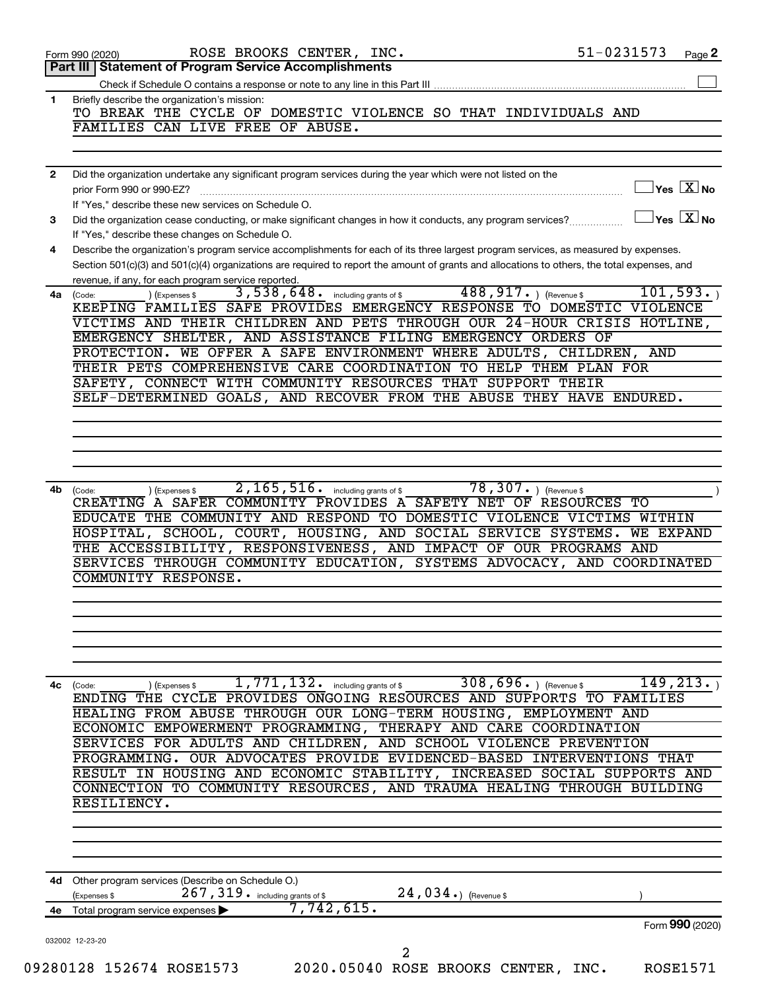| 1<br>$\overline{2}$<br>3<br>4<br>4a -<br>4b<br>4c<br>4d - | 51-0231573<br>ROSE BROOKS CENTER, INC.<br>Page 2<br>Form 990 (2020)                                                                                     |
|-----------------------------------------------------------|---------------------------------------------------------------------------------------------------------------------------------------------------------|
|                                                           | Part III   Statement of Program Service Accomplishments                                                                                                 |
|                                                           |                                                                                                                                                         |
|                                                           | Briefly describe the organization's mission:<br>TO BREAK THE CYCLE OF DOMESTIC VIOLENCE SO THAT INDIVIDUALS AND                                         |
|                                                           | FAMILIES CAN LIVE FREE OF ABUSE.                                                                                                                        |
|                                                           |                                                                                                                                                         |
|                                                           |                                                                                                                                                         |
|                                                           | Did the organization undertake any significant program services during the year which were not listed on the<br>$\Box$ Yes $[\overline{\mathrm{X}}]$ No |
|                                                           | prior Form 990 or 990-EZ?<br>If "Yes," describe these new services on Schedule O.                                                                       |
|                                                           | $\Box$ Yes $[\overline{\mathrm{X}}]$ No<br>Did the organization cease conducting, or make significant changes in how it conducts, any program services? |
|                                                           | If "Yes," describe these changes on Schedule O.                                                                                                         |
|                                                           | Describe the organization's program service accomplishments for each of its three largest program services, as measured by expenses.                    |
|                                                           | Section 501(c)(3) and 501(c)(4) organizations are required to report the amount of grants and allocations to others, the total expenses, and            |
|                                                           | revenue, if any, for each program service reported.                                                                                                     |
|                                                           | 3,538,648. including grants of \$488,917. ) (Revenue \$<br>101, 593.<br>) (Expenses \$<br>(Code:                                                        |
|                                                           | KEEPING FAMILIES SAFE PROVIDES EMERGENCY RESPONSE TO DOMESTIC VIOLENCE                                                                                  |
|                                                           | VICTIMS AND THEIR CHILDREN AND PETS THROUGH OUR 24-HOUR CRISIS HOTLINE,                                                                                 |
|                                                           | EMERGENCY SHELTER, AND ASSISTANCE FILING EMERGENCY ORDERS OF                                                                                            |
|                                                           | PROTECTION. WE OFFER A SAFE ENVIRONMENT WHERE ADULTS, CHILDREN, AND                                                                                     |
|                                                           | THEIR PETS COMPREHENSIVE CARE COORDINATION TO HELP THEM PLAN FOR<br>SAFETY, CONNECT WITH COMMUNITY RESOURCES THAT SUPPORT THEIR                         |
|                                                           | SELF-DETERMINED GOALS, AND RECOVER FROM THE ABUSE THEY HAVE ENDURED.                                                                                    |
|                                                           |                                                                                                                                                         |
|                                                           |                                                                                                                                                         |
|                                                           |                                                                                                                                                         |
|                                                           |                                                                                                                                                         |
|                                                           |                                                                                                                                                         |
|                                                           | 78, 307. $ $ (Revenue \$<br>$\overline{2,165,516}$ . including grants of \$<br>(Expenses \$<br>(Code:                                                   |
|                                                           | CREATING A SAFER COMMUNITY PROVIDES A SAFETY NET OF RESOURCES TO                                                                                        |
|                                                           | EDUCATE THE COMMUNITY AND RESPOND TO DOMESTIC VIOLENCE VICTIMS WITHIN                                                                                   |
|                                                           | HOSPITAL, SCHOOL, COURT, HOUSING, AND SOCIAL SERVICE SYSTEMS. WE EXPAND                                                                                 |
|                                                           | THE ACCESSIBILITY, RESPONSIVENESS, AND IMPACT OF OUR PROGRAMS AND                                                                                       |
|                                                           | SERVICES THROUGH COMMUNITY EDUCATION, SYSTEMS ADVOCACY, AND COORDINATED                                                                                 |
|                                                           | COMMUNITY RESPONSE.                                                                                                                                     |
|                                                           |                                                                                                                                                         |
|                                                           |                                                                                                                                                         |
|                                                           |                                                                                                                                                         |
|                                                           |                                                                                                                                                         |
|                                                           |                                                                                                                                                         |
|                                                           | $308,696.$ (Revenue \$)<br>149, 213.<br>$\overline{1}$ , $\overline{771}$ , $\overline{132}$ . including grants of \$<br>(Expenses \$<br>(Code:         |
|                                                           | ENDING THE CYCLE PROVIDES ONGOING RESOURCES AND SUPPORTS TO FAMILIES                                                                                    |
|                                                           | HEALING FROM ABUSE THROUGH OUR LONG-TERM HOUSING, EMPLOYMENT AND                                                                                        |
|                                                           | ECONOMIC EMPOWERMENT PROGRAMMING, THERAPY AND CARE COORDINATION                                                                                         |
|                                                           | SERVICES FOR ADULTS AND CHILDREN, AND SCHOOL VIOLENCE PREVENTION<br>PROGRAMMING. OUR ADVOCATES PROVIDE EVIDENCED-BASED INTERVENTIONS THAT               |
|                                                           | RESULT IN HOUSING AND ECONOMIC STABILITY, INCREASED SOCIAL SUPPORTS AND                                                                                 |
|                                                           | CONNECTION TO COMMUNITY RESOURCES, AND TRAUMA HEALING THROUGH BUILDING                                                                                  |
|                                                           | RESILIENCY.                                                                                                                                             |
|                                                           |                                                                                                                                                         |
|                                                           |                                                                                                                                                         |
|                                                           |                                                                                                                                                         |
|                                                           | Other program services (Describe on Schedule O.)                                                                                                        |
|                                                           | 267, 319 . including grants of \$<br>$24,034.$ (Revenue \$<br>(Expenses \$                                                                              |
|                                                           | 7,742,615.<br>4e Total program service expenses $\blacktriangleright$                                                                                   |
|                                                           | Form 990 (2020)<br>032002 12-23-20                                                                                                                      |
|                                                           | 2                                                                                                                                                       |
|                                                           | 09280128 152674 ROSE1573<br>2020.05040 ROSE BROOKS CENTER, INC.<br><b>ROSE1571</b>                                                                      |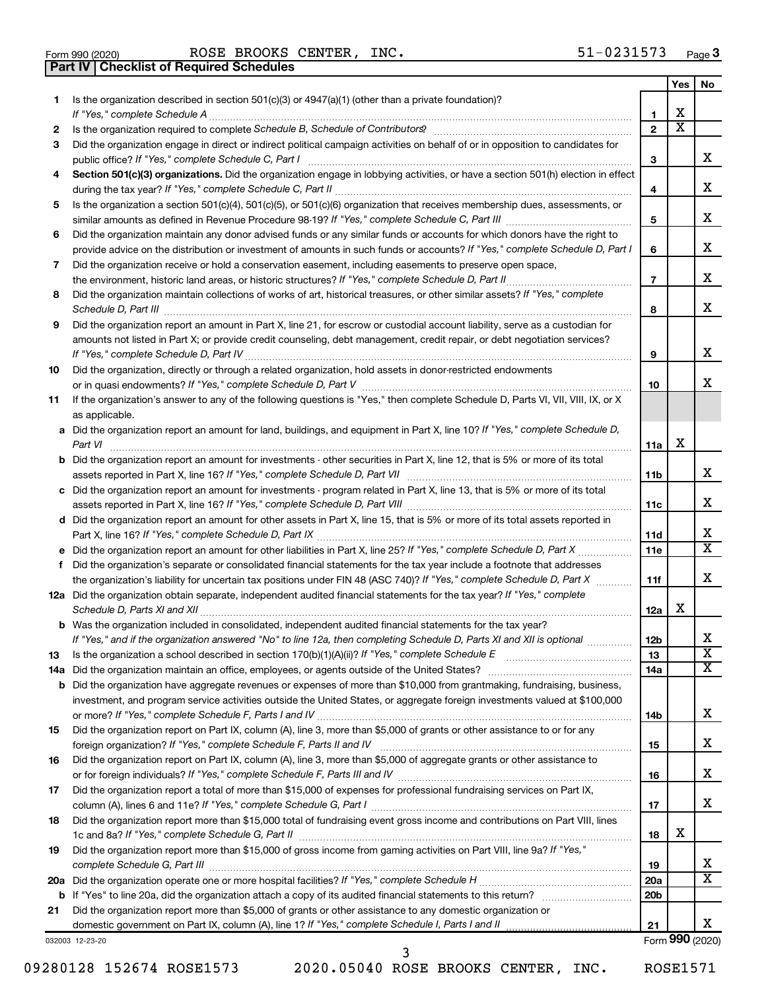| Form 990 (2020) |  |
|-----------------|--|

**Part IV Checklist of Required Schedules**

Form 990 (2020) Page ROSE BROOKS CENTER, INC. 51-0231573

|    |                                                                                                                                                                                                                                                   |                 | Yes                     | No                      |
|----|---------------------------------------------------------------------------------------------------------------------------------------------------------------------------------------------------------------------------------------------------|-----------------|-------------------------|-------------------------|
| 1  | Is the organization described in section 501(c)(3) or $4947(a)(1)$ (other than a private foundation)?                                                                                                                                             |                 |                         |                         |
|    | If "Yes," complete Schedule A                                                                                                                                                                                                                     | 1               | х                       |                         |
| 2  |                                                                                                                                                                                                                                                   | $\overline{2}$  | $\overline{\textbf{x}}$ |                         |
| З  | Did the organization engage in direct or indirect political campaign activities on behalf of or in opposition to candidates for                                                                                                                   |                 |                         |                         |
|    |                                                                                                                                                                                                                                                   | 3               |                         | x                       |
| 4  | Section 501(c)(3) organizations. Did the organization engage in lobbying activities, or have a section 501(h) election in effect                                                                                                                  |                 |                         |                         |
|    |                                                                                                                                                                                                                                                   | 4               |                         | x                       |
| 5  | Is the organization a section 501(c)(4), 501(c)(5), or 501(c)(6) organization that receives membership dues, assessments, or                                                                                                                      |                 |                         |                         |
|    |                                                                                                                                                                                                                                                   | 5               |                         | x                       |
| 6  | Did the organization maintain any donor advised funds or any similar funds or accounts for which donors have the right to                                                                                                                         |                 |                         |                         |
|    | provide advice on the distribution or investment of amounts in such funds or accounts? If "Yes," complete Schedule D, Part I                                                                                                                      | 6               |                         | x                       |
| 7  | Did the organization receive or hold a conservation easement, including easements to preserve open space,                                                                                                                                         |                 |                         |                         |
|    | the environment, historic land areas, or historic structures? If "Yes," complete Schedule D, Part II<br>.                                                                                                                                         | $\overline{7}$  |                         | x                       |
| 8  | Did the organization maintain collections of works of art, historical treasures, or other similar assets? If "Yes," complete                                                                                                                      |                 |                         |                         |
|    | Schedule D, Part III <b>Marting Communities</b> and the contract of the contract of the contract of the contract of the contract of the contract of the contract of the contract of the contract of the contract of the contract of               | 8               |                         | x                       |
| 9  | Did the organization report an amount in Part X, line 21, for escrow or custodial account liability, serve as a custodian for                                                                                                                     |                 |                         |                         |
|    | amounts not listed in Part X; or provide credit counseling, debt management, credit repair, or debt negotiation services?                                                                                                                         |                 |                         |                         |
|    | If "Yes," complete Schedule D, Part IV                                                                                                                                                                                                            | 9               |                         | x                       |
| 10 | Did the organization, directly or through a related organization, hold assets in donor-restricted endowments                                                                                                                                      |                 |                         |                         |
|    |                                                                                                                                                                                                                                                   | 10              |                         | x                       |
| 11 | If the organization's answer to any of the following questions is "Yes," then complete Schedule D, Parts VI, VII, VIII, IX, or X                                                                                                                  |                 |                         |                         |
|    | as applicable.                                                                                                                                                                                                                                    |                 |                         |                         |
|    | a Did the organization report an amount for land, buildings, and equipment in Part X, line 10? If "Yes," complete Schedule D,                                                                                                                     |                 |                         |                         |
|    | Part VI                                                                                                                                                                                                                                           | 11a             | х                       |                         |
|    | <b>b</b> Did the organization report an amount for investments - other securities in Part X, line 12, that is 5% or more of its total                                                                                                             |                 |                         |                         |
|    |                                                                                                                                                                                                                                                   | 11b             |                         | x                       |
|    | c Did the organization report an amount for investments - program related in Part X, line 13, that is 5% or more of its total                                                                                                                     |                 |                         | x.                      |
|    |                                                                                                                                                                                                                                                   | 11c             |                         |                         |
|    | d Did the organization report an amount for other assets in Part X, line 15, that is 5% or more of its total assets reported in                                                                                                                   |                 |                         | х                       |
|    |                                                                                                                                                                                                                                                   | 11d             |                         | X                       |
|    |                                                                                                                                                                                                                                                   | 11e             |                         |                         |
| f  | Did the organization's separate or consolidated financial statements for the tax year include a footnote that addresses<br>the organization's liability for uncertain tax positions under FIN 48 (ASC 740)? If "Yes," complete Schedule D, Part X | 11f             |                         | x                       |
|    | 12a Did the organization obtain separate, independent audited financial statements for the tax year? If "Yes," complete                                                                                                                           |                 |                         |                         |
|    | Schedule D, Parts XI and XII                                                                                                                                                                                                                      | 12a             | х                       |                         |
|    | <b>b</b> Was the organization included in consolidated, independent audited financial statements for the tax year?                                                                                                                                |                 |                         |                         |
|    | If "Yes," and if the organization answered "No" to line 12a, then completing Schedule D, Parts XI and XII is optional                                                                                                                             | 12 <sub>b</sub> |                         | ▵                       |
| 13 |                                                                                                                                                                                                                                                   | 13              |                         | $\overline{\texttt{x}}$ |
|    | 14a Did the organization maintain an office, employees, or agents outside of the United States?                                                                                                                                                   | 14a             |                         | х                       |
|    | <b>b</b> Did the organization have aggregate revenues or expenses of more than \$10,000 from grantmaking, fundraising, business,                                                                                                                  |                 |                         |                         |
|    | investment, and program service activities outside the United States, or aggregate foreign investments valued at \$100,000                                                                                                                        |                 |                         |                         |
|    |                                                                                                                                                                                                                                                   | 14b             |                         | х                       |
| 15 | Did the organization report on Part IX, column (A), line 3, more than \$5,000 of grants or other assistance to or for any                                                                                                                         |                 |                         |                         |
|    |                                                                                                                                                                                                                                                   | 15              |                         | х                       |
| 16 | Did the organization report on Part IX, column (A), line 3, more than \$5,000 of aggregate grants or other assistance to                                                                                                                          |                 |                         |                         |
|    |                                                                                                                                                                                                                                                   | 16              |                         | х                       |
| 17 | Did the organization report a total of more than \$15,000 of expenses for professional fundraising services on Part IX,                                                                                                                           |                 |                         |                         |
|    |                                                                                                                                                                                                                                                   | 17              |                         | x                       |
| 18 | Did the organization report more than \$15,000 total of fundraising event gross income and contributions on Part VIII, lines                                                                                                                      |                 |                         |                         |
|    |                                                                                                                                                                                                                                                   | 18              | х                       |                         |
| 19 | Did the organization report more than \$15,000 of gross income from gaming activities on Part VIII, line 9a? If "Yes,"                                                                                                                            |                 |                         |                         |
|    |                                                                                                                                                                                                                                                   | 19              |                         | х                       |
|    |                                                                                                                                                                                                                                                   | 20a             |                         | х                       |
|    |                                                                                                                                                                                                                                                   | 20 <sub>b</sub> |                         |                         |
| 21 | Did the organization report more than \$5,000 of grants or other assistance to any domestic organization or                                                                                                                                       |                 |                         |                         |
|    |                                                                                                                                                                                                                                                   | 21              |                         | x                       |
|    | 032003 12-23-20                                                                                                                                                                                                                                   |                 |                         | Form 990 (2020)         |

09280128 152674 ROSE1573 2020.05040 ROSE BROOKS CENTER, INC. ROSE1571

3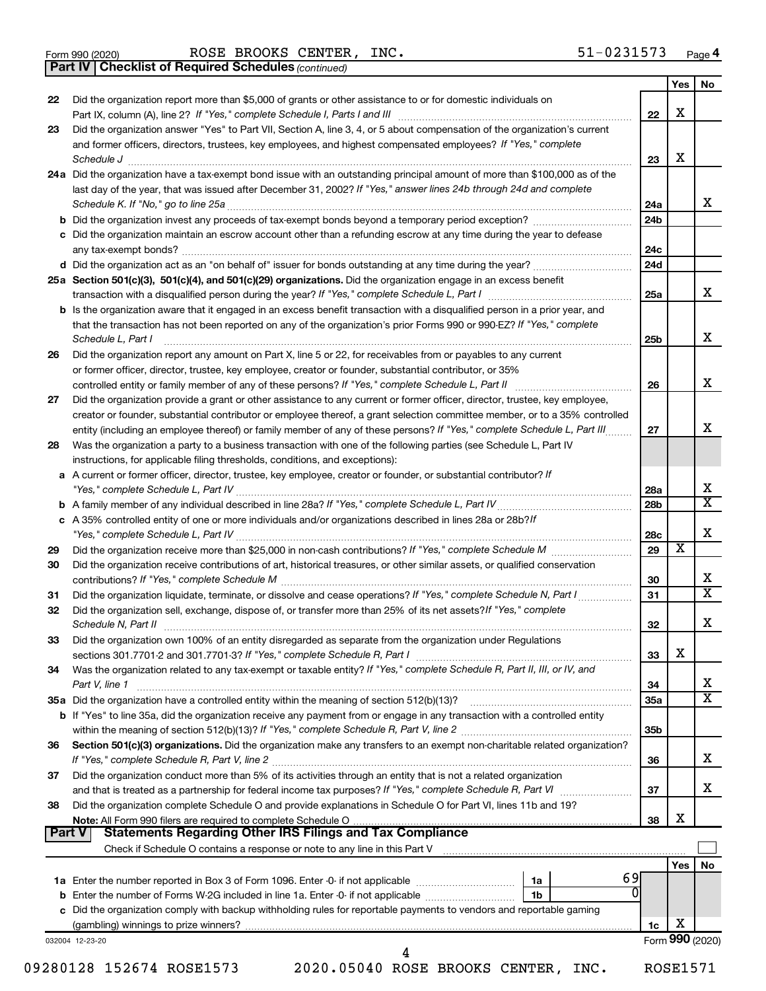*(continued)* **Part IV Checklist of Required Schedules**

| Did the organization report more than \$5,000 of grants or other assistance to or for domestic individuals on<br>22<br>Did the organization answer "Yes" to Part VII, Section A, line 3, 4, or 5 about compensation of the organization's current<br>23<br>and former officers, directors, trustees, key employees, and highest compensated employees? If "Yes," complete | 22              |            |                              |
|---------------------------------------------------------------------------------------------------------------------------------------------------------------------------------------------------------------------------------------------------------------------------------------------------------------------------------------------------------------------------|-----------------|------------|------------------------------|
|                                                                                                                                                                                                                                                                                                                                                                           |                 |            |                              |
|                                                                                                                                                                                                                                                                                                                                                                           |                 | X          |                              |
|                                                                                                                                                                                                                                                                                                                                                                           |                 |            |                              |
|                                                                                                                                                                                                                                                                                                                                                                           |                 |            |                              |
| Schedule J <b>Example 2 Contract 2 Contract 2 Contract 2 Contract 2 Contract 2 Contract 2 Contract 2 Contract 2 Contract 2 Contract 2 Contract 2 Contract 2 Contract 2 Contract 2 Contract 2 Con</b>                                                                                                                                                                      | 23              | X          |                              |
| 24a Did the organization have a tax-exempt bond issue with an outstanding principal amount of more than \$100,000 as of the                                                                                                                                                                                                                                               |                 |            |                              |
| last day of the year, that was issued after December 31, 2002? If "Yes," answer lines 24b through 24d and complete                                                                                                                                                                                                                                                        |                 |            |                              |
|                                                                                                                                                                                                                                                                                                                                                                           | 24a             |            | x                            |
|                                                                                                                                                                                                                                                                                                                                                                           | 24 <sub>b</sub> |            |                              |
| c Did the organization maintain an escrow account other than a refunding escrow at any time during the year to defease                                                                                                                                                                                                                                                    |                 |            |                              |
|                                                                                                                                                                                                                                                                                                                                                                           | 24c             |            |                              |
|                                                                                                                                                                                                                                                                                                                                                                           | 24d             |            |                              |
| 25a Section 501(c)(3), 501(c)(4), and 501(c)(29) organizations. Did the organization engage in an excess benefit                                                                                                                                                                                                                                                          | 25a             |            | x                            |
| <b>b</b> Is the organization aware that it engaged in an excess benefit transaction with a disqualified person in a prior year, and                                                                                                                                                                                                                                       |                 |            |                              |
| that the transaction has not been reported on any of the organization's prior Forms 990 or 990-EZ? If "Yes," complete                                                                                                                                                                                                                                                     |                 |            |                              |
| Schedule L, Part I                                                                                                                                                                                                                                                                                                                                                        | 25 <sub>b</sub> |            | x                            |
| Did the organization report any amount on Part X, line 5 or 22, for receivables from or payables to any current<br>26                                                                                                                                                                                                                                                     |                 |            |                              |
| or former officer, director, trustee, key employee, creator or founder, substantial contributor, or 35%                                                                                                                                                                                                                                                                   |                 |            |                              |
|                                                                                                                                                                                                                                                                                                                                                                           | 26              |            | x                            |
| Did the organization provide a grant or other assistance to any current or former officer, director, trustee, key employee,<br>27                                                                                                                                                                                                                                         |                 |            |                              |
| creator or founder, substantial contributor or employee thereof, a grant selection committee member, or to a 35% controlled                                                                                                                                                                                                                                               |                 |            |                              |
| entity (including an employee thereof) or family member of any of these persons? If "Yes," complete Schedule L, Part III                                                                                                                                                                                                                                                  | 27              |            | x                            |
| Was the organization a party to a business transaction with one of the following parties (see Schedule L, Part IV<br>28                                                                                                                                                                                                                                                   |                 |            |                              |
| instructions, for applicable filing thresholds, conditions, and exceptions):                                                                                                                                                                                                                                                                                              |                 |            |                              |
| a A current or former officer, director, trustee, key employee, creator or founder, or substantial contributor? If                                                                                                                                                                                                                                                        |                 |            |                              |
|                                                                                                                                                                                                                                                                                                                                                                           | 28a             |            | х                            |
|                                                                                                                                                                                                                                                                                                                                                                           | 28b             |            | $\overline{\mathtt{x}}$      |
| c A 35% controlled entity of one or more individuals and/or organizations described in lines 28a or 28b?If                                                                                                                                                                                                                                                                |                 |            |                              |
|                                                                                                                                                                                                                                                                                                                                                                           | 28c             |            | X                            |
| 29                                                                                                                                                                                                                                                                                                                                                                        | 29              | х          |                              |
| Did the organization receive contributions of art, historical treasures, or other similar assets, or qualified conservation<br>30                                                                                                                                                                                                                                         |                 |            |                              |
|                                                                                                                                                                                                                                                                                                                                                                           | 30              |            | х<br>$\overline{\mathtt{x}}$ |
| 31                                                                                                                                                                                                                                                                                                                                                                        | 31              |            |                              |
| Did the organization sell, exchange, dispose of, or transfer more than 25% of its net assets? If "Yes," complete<br>32                                                                                                                                                                                                                                                    |                 |            | х                            |
|                                                                                                                                                                                                                                                                                                                                                                           | 32              |            |                              |
| Did the organization own 100% of an entity disregarded as separate from the organization under Regulations<br>33                                                                                                                                                                                                                                                          | 33              | X          |                              |
| Was the organization related to any tax-exempt or taxable entity? If "Yes," complete Schedule R, Part II, III, or IV, and<br>34                                                                                                                                                                                                                                           |                 |            |                              |
| Part V, line 1                                                                                                                                                                                                                                                                                                                                                            | 34              |            | x                            |
| 35a Did the organization have a controlled entity within the meaning of section 512(b)(13)?                                                                                                                                                                                                                                                                               | <b>35a</b>      |            | $\overline{\mathtt{x}}$      |
| b If "Yes" to line 35a, did the organization receive any payment from or engage in any transaction with a controlled entity                                                                                                                                                                                                                                               |                 |            |                              |
|                                                                                                                                                                                                                                                                                                                                                                           | 35 <sub>b</sub> |            |                              |
| Section 501(c)(3) organizations. Did the organization make any transfers to an exempt non-charitable related organization?<br>36                                                                                                                                                                                                                                          |                 |            |                              |
|                                                                                                                                                                                                                                                                                                                                                                           | 36              |            | X                            |
| Did the organization conduct more than 5% of its activities through an entity that is not a related organization<br>37                                                                                                                                                                                                                                                    |                 |            |                              |
|                                                                                                                                                                                                                                                                                                                                                                           | 37              |            | x                            |
| Did the organization complete Schedule O and provide explanations in Schedule O for Part VI, lines 11b and 19?<br>38                                                                                                                                                                                                                                                      |                 |            |                              |
|                                                                                                                                                                                                                                                                                                                                                                           | 38              | X          |                              |
| Part V                                                                                                                                                                                                                                                                                                                                                                    |                 |            |                              |
|                                                                                                                                                                                                                                                                                                                                                                           |                 |            |                              |
|                                                                                                                                                                                                                                                                                                                                                                           |                 | <b>Yes</b> | No                           |
| 1a                                                                                                                                                                                                                                                                                                                                                                        | 69              |            |                              |
| 1b                                                                                                                                                                                                                                                                                                                                                                        |                 |            |                              |
| c Did the organization comply with backup withholding rules for reportable payments to vendors and reportable gaming                                                                                                                                                                                                                                                      |                 |            |                              |
|                                                                                                                                                                                                                                                                                                                                                                           | 1c              | X          |                              |
| 032004 12-23-20<br>4                                                                                                                                                                                                                                                                                                                                                      |                 |            | Form 990 (2020)              |

09280128 152674 ROSE1573 2020.05040 ROSE BROOKS CENTER, INC. ROSE1571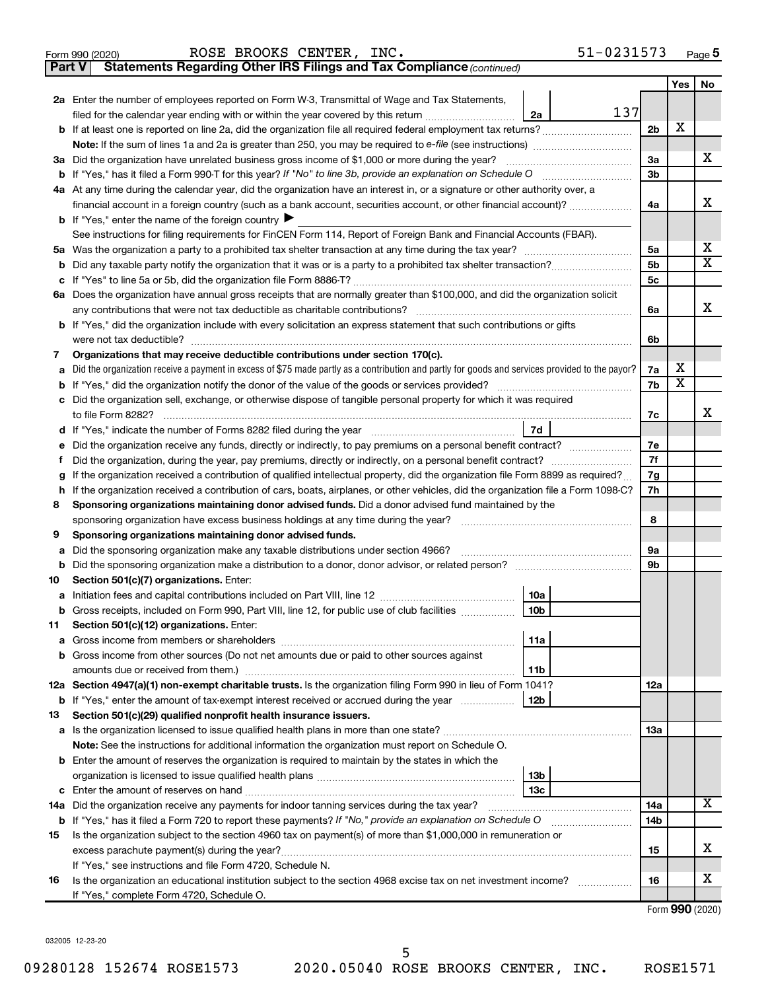| Form 990 (2020) |  | ROSE BROOKS CENTER, INC. |                                                                                     | $51 - 0231573$ | Page |
|-----------------|--|--------------------------|-------------------------------------------------------------------------------------|----------------|------|
|                 |  |                          | <b>Part V</b> Statements Regarding Other IRS Filings and Tax Compliance (continued) |                |      |

|    |                                                                                                                                                                                                                                                                                                                                                                                                                                                                                                                                                                                                                                                                                                                                                                                                                                                                                                                                                                                                                                                                                                                                                                                                                                                                                                                                                                                                                                                                                                                                                                                                                                                                                                                                                                                                                                                                                                                                                                                                                                                                                                                                                                                                                                                                                           |                | Yes                     | No          |
|----|-------------------------------------------------------------------------------------------------------------------------------------------------------------------------------------------------------------------------------------------------------------------------------------------------------------------------------------------------------------------------------------------------------------------------------------------------------------------------------------------------------------------------------------------------------------------------------------------------------------------------------------------------------------------------------------------------------------------------------------------------------------------------------------------------------------------------------------------------------------------------------------------------------------------------------------------------------------------------------------------------------------------------------------------------------------------------------------------------------------------------------------------------------------------------------------------------------------------------------------------------------------------------------------------------------------------------------------------------------------------------------------------------------------------------------------------------------------------------------------------------------------------------------------------------------------------------------------------------------------------------------------------------------------------------------------------------------------------------------------------------------------------------------------------------------------------------------------------------------------------------------------------------------------------------------------------------------------------------------------------------------------------------------------------------------------------------------------------------------------------------------------------------------------------------------------------------------------------------------------------------------------------------------------------|----------------|-------------------------|-------------|
|    | 2a Enter the number of employees reported on Form W-3, Transmittal of Wage and Tax Statements,                                                                                                                                                                                                                                                                                                                                                                                                                                                                                                                                                                                                                                                                                                                                                                                                                                                                                                                                                                                                                                                                                                                                                                                                                                                                                                                                                                                                                                                                                                                                                                                                                                                                                                                                                                                                                                                                                                                                                                                                                                                                                                                                                                                            |                |                         |             |
|    | 137<br>filed for the calendar year ending with or within the year covered by this return <i>[[[[[[[[[[[[[[]]]</i> ]]<br>2a                                                                                                                                                                                                                                                                                                                                                                                                                                                                                                                                                                                                                                                                                                                                                                                                                                                                                                                                                                                                                                                                                                                                                                                                                                                                                                                                                                                                                                                                                                                                                                                                                                                                                                                                                                                                                                                                                                                                                                                                                                                                                                                                                                |                |                         |             |
|    | b If at least one is reported on line 2a, did the organization file all required federal employment tax returns?                                                                                                                                                                                                                                                                                                                                                                                                                                                                                                                                                                                                                                                                                                                                                                                                                                                                                                                                                                                                                                                                                                                                                                                                                                                                                                                                                                                                                                                                                                                                                                                                                                                                                                                                                                                                                                                                                                                                                                                                                                                                                                                                                                          | 2 <sub>b</sub> | X                       |             |
|    |                                                                                                                                                                                                                                                                                                                                                                                                                                                                                                                                                                                                                                                                                                                                                                                                                                                                                                                                                                                                                                                                                                                                                                                                                                                                                                                                                                                                                                                                                                                                                                                                                                                                                                                                                                                                                                                                                                                                                                                                                                                                                                                                                                                                                                                                                           |                |                         |             |
|    | 3a Did the organization have unrelated business gross income of \$1,000 or more during the year?                                                                                                                                                                                                                                                                                                                                                                                                                                                                                                                                                                                                                                                                                                                                                                                                                                                                                                                                                                                                                                                                                                                                                                                                                                                                                                                                                                                                                                                                                                                                                                                                                                                                                                                                                                                                                                                                                                                                                                                                                                                                                                                                                                                          | За             |                         | х           |
|    |                                                                                                                                                                                                                                                                                                                                                                                                                                                                                                                                                                                                                                                                                                                                                                                                                                                                                                                                                                                                                                                                                                                                                                                                                                                                                                                                                                                                                                                                                                                                                                                                                                                                                                                                                                                                                                                                                                                                                                                                                                                                                                                                                                                                                                                                                           | 3b             |                         |             |
|    |                                                                                                                                                                                                                                                                                                                                                                                                                                                                                                                                                                                                                                                                                                                                                                                                                                                                                                                                                                                                                                                                                                                                                                                                                                                                                                                                                                                                                                                                                                                                                                                                                                                                                                                                                                                                                                                                                                                                                                                                                                                                                                                                                                                                                                                                                           | 4a             |                         | х           |
|    | 4a At any time during the calendar year, did the organization have an interest in, or a signature or other authority over, a<br>financial account in a foreign country (such as a bank account, securities account, or other financial account)?<br><b>b</b> If "Yes," enter the name of the foreign country<br>See instructions for filing requirements for FinCEN Form 114, Report of Foreign Bank and Financial Accounts (FBAR).<br>6a Does the organization have annual gross receipts that are normally greater than \$100,000, and did the organization solicit<br>any contributions that were not tax deductible as charitable contributions?<br>b If "Yes," did the organization include with every solicitation an express statement that such contributions or gifts<br>7d<br>Did the organization, during the year, pay premiums, directly or indirectly, on a personal benefit contract?<br>If the organization received a contribution of qualified intellectual property, did the organization file Form 8899 as required?<br>If the organization received a contribution of cars, boats, airplanes, or other vehicles, did the organization file a Form 1098-C?<br>Sponsoring organizations maintaining donor advised funds. Did a donor advised fund maintained by the<br>sponsoring organization have excess business holdings at any time during the year?<br>Sponsoring organizations maintaining donor advised funds.<br>Did the sponsoring organization make any taxable distributions under section 4966?<br>Section 501(c)(7) organizations. Enter:<br>10a<br>10 <sub>b</sub><br> 11a <br>11b<br>12a Section 4947(a)(1) non-exempt charitable trusts. Is the organization filing Form 990 in lieu of Form 1041?<br>12 <sub>b</sub><br><b>b</b> If "Yes," enter the amount of tax-exempt interest received or accrued during the year<br>Section 501(c)(29) qualified nonprofit health insurance issuers.<br>Note: See the instructions for additional information the organization must report on Schedule O.<br><b>b</b> Enter the amount of reserves the organization is required to maintain by the states in which the<br>13 <sub>b</sub><br>13 <sub>c</sub><br>14a Did the organization receive any payments for indoor tanning services during the tax year? |                |                         |             |
|    |                                                                                                                                                                                                                                                                                                                                                                                                                                                                                                                                                                                                                                                                                                                                                                                                                                                                                                                                                                                                                                                                                                                                                                                                                                                                                                                                                                                                                                                                                                                                                                                                                                                                                                                                                                                                                                                                                                                                                                                                                                                                                                                                                                                                                                                                                           |                |                         |             |
|    |                                                                                                                                                                                                                                                                                                                                                                                                                                                                                                                                                                                                                                                                                                                                                                                                                                                                                                                                                                                                                                                                                                                                                                                                                                                                                                                                                                                                                                                                                                                                                                                                                                                                                                                                                                                                                                                                                                                                                                                                                                                                                                                                                                                                                                                                                           | 5a             |                         | х           |
| b  |                                                                                                                                                                                                                                                                                                                                                                                                                                                                                                                                                                                                                                                                                                                                                                                                                                                                                                                                                                                                                                                                                                                                                                                                                                                                                                                                                                                                                                                                                                                                                                                                                                                                                                                                                                                                                                                                                                                                                                                                                                                                                                                                                                                                                                                                                           | 5b             |                         | $\mathbf x$ |
| с  |                                                                                                                                                                                                                                                                                                                                                                                                                                                                                                                                                                                                                                                                                                                                                                                                                                                                                                                                                                                                                                                                                                                                                                                                                                                                                                                                                                                                                                                                                                                                                                                                                                                                                                                                                                                                                                                                                                                                                                                                                                                                                                                                                                                                                                                                                           | 5 <sub>c</sub> |                         |             |
|    |                                                                                                                                                                                                                                                                                                                                                                                                                                                                                                                                                                                                                                                                                                                                                                                                                                                                                                                                                                                                                                                                                                                                                                                                                                                                                                                                                                                                                                                                                                                                                                                                                                                                                                                                                                                                                                                                                                                                                                                                                                                                                                                                                                                                                                                                                           |                |                         |             |
|    |                                                                                                                                                                                                                                                                                                                                                                                                                                                                                                                                                                                                                                                                                                                                                                                                                                                                                                                                                                                                                                                                                                                                                                                                                                                                                                                                                                                                                                                                                                                                                                                                                                                                                                                                                                                                                                                                                                                                                                                                                                                                                                                                                                                                                                                                                           | 6a             |                         | х           |
|    |                                                                                                                                                                                                                                                                                                                                                                                                                                                                                                                                                                                                                                                                                                                                                                                                                                                                                                                                                                                                                                                                                                                                                                                                                                                                                                                                                                                                                                                                                                                                                                                                                                                                                                                                                                                                                                                                                                                                                                                                                                                                                                                                                                                                                                                                                           |                |                         |             |
|    | were not tax deductible?                                                                                                                                                                                                                                                                                                                                                                                                                                                                                                                                                                                                                                                                                                                                                                                                                                                                                                                                                                                                                                                                                                                                                                                                                                                                                                                                                                                                                                                                                                                                                                                                                                                                                                                                                                                                                                                                                                                                                                                                                                                                                                                                                                                                                                                                  | 6b             |                         |             |
| 7  | Organizations that may receive deductible contributions under section 170(c).                                                                                                                                                                                                                                                                                                                                                                                                                                                                                                                                                                                                                                                                                                                                                                                                                                                                                                                                                                                                                                                                                                                                                                                                                                                                                                                                                                                                                                                                                                                                                                                                                                                                                                                                                                                                                                                                                                                                                                                                                                                                                                                                                                                                             |                |                         |             |
|    | Did the organization receive a payment in excess of \$75 made partly as a contribution and partly for goods and services provided to the payor?                                                                                                                                                                                                                                                                                                                                                                                                                                                                                                                                                                                                                                                                                                                                                                                                                                                                                                                                                                                                                                                                                                                                                                                                                                                                                                                                                                                                                                                                                                                                                                                                                                                                                                                                                                                                                                                                                                                                                                                                                                                                                                                                           | 7a             | х                       |             |
|    |                                                                                                                                                                                                                                                                                                                                                                                                                                                                                                                                                                                                                                                                                                                                                                                                                                                                                                                                                                                                                                                                                                                                                                                                                                                                                                                                                                                                                                                                                                                                                                                                                                                                                                                                                                                                                                                                                                                                                                                                                                                                                                                                                                                                                                                                                           | 7b             | $\overline{\textbf{x}}$ |             |
| c  | Did the organization sell, exchange, or otherwise dispose of tangible personal property for which it was required                                                                                                                                                                                                                                                                                                                                                                                                                                                                                                                                                                                                                                                                                                                                                                                                                                                                                                                                                                                                                                                                                                                                                                                                                                                                                                                                                                                                                                                                                                                                                                                                                                                                                                                                                                                                                                                                                                                                                                                                                                                                                                                                                                         |                |                         |             |
|    | to file Form 8282?                                                                                                                                                                                                                                                                                                                                                                                                                                                                                                                                                                                                                                                                                                                                                                                                                                                                                                                                                                                                                                                                                                                                                                                                                                                                                                                                                                                                                                                                                                                                                                                                                                                                                                                                                                                                                                                                                                                                                                                                                                                                                                                                                                                                                                                                        | 7c             |                         | x           |
|    | d If "Yes," indicate the number of Forms 8282 filed during the year manufactured in the set of the number of Forms 8282 filed during the year                                                                                                                                                                                                                                                                                                                                                                                                                                                                                                                                                                                                                                                                                                                                                                                                                                                                                                                                                                                                                                                                                                                                                                                                                                                                                                                                                                                                                                                                                                                                                                                                                                                                                                                                                                                                                                                                                                                                                                                                                                                                                                                                             |                |                         |             |
|    |                                                                                                                                                                                                                                                                                                                                                                                                                                                                                                                                                                                                                                                                                                                                                                                                                                                                                                                                                                                                                                                                                                                                                                                                                                                                                                                                                                                                                                                                                                                                                                                                                                                                                                                                                                                                                                                                                                                                                                                                                                                                                                                                                                                                                                                                                           | 7e             |                         |             |
|    |                                                                                                                                                                                                                                                                                                                                                                                                                                                                                                                                                                                                                                                                                                                                                                                                                                                                                                                                                                                                                                                                                                                                                                                                                                                                                                                                                                                                                                                                                                                                                                                                                                                                                                                                                                                                                                                                                                                                                                                                                                                                                                                                                                                                                                                                                           | 7f             |                         |             |
|    |                                                                                                                                                                                                                                                                                                                                                                                                                                                                                                                                                                                                                                                                                                                                                                                                                                                                                                                                                                                                                                                                                                                                                                                                                                                                                                                                                                                                                                                                                                                                                                                                                                                                                                                                                                                                                                                                                                                                                                                                                                                                                                                                                                                                                                                                                           | 7g             |                         |             |
| h  |                                                                                                                                                                                                                                                                                                                                                                                                                                                                                                                                                                                                                                                                                                                                                                                                                                                                                                                                                                                                                                                                                                                                                                                                                                                                                                                                                                                                                                                                                                                                                                                                                                                                                                                                                                                                                                                                                                                                                                                                                                                                                                                                                                                                                                                                                           | 7h             |                         |             |
| 8  |                                                                                                                                                                                                                                                                                                                                                                                                                                                                                                                                                                                                                                                                                                                                                                                                                                                                                                                                                                                                                                                                                                                                                                                                                                                                                                                                                                                                                                                                                                                                                                                                                                                                                                                                                                                                                                                                                                                                                                                                                                                                                                                                                                                                                                                                                           | 8              |                         |             |
| 9  |                                                                                                                                                                                                                                                                                                                                                                                                                                                                                                                                                                                                                                                                                                                                                                                                                                                                                                                                                                                                                                                                                                                                                                                                                                                                                                                                                                                                                                                                                                                                                                                                                                                                                                                                                                                                                                                                                                                                                                                                                                                                                                                                                                                                                                                                                           |                |                         |             |
| а  |                                                                                                                                                                                                                                                                                                                                                                                                                                                                                                                                                                                                                                                                                                                                                                                                                                                                                                                                                                                                                                                                                                                                                                                                                                                                                                                                                                                                                                                                                                                                                                                                                                                                                                                                                                                                                                                                                                                                                                                                                                                                                                                                                                                                                                                                                           | 9а             |                         |             |
| b  |                                                                                                                                                                                                                                                                                                                                                                                                                                                                                                                                                                                                                                                                                                                                                                                                                                                                                                                                                                                                                                                                                                                                                                                                                                                                                                                                                                                                                                                                                                                                                                                                                                                                                                                                                                                                                                                                                                                                                                                                                                                                                                                                                                                                                                                                                           | 9b             |                         |             |
| 10 |                                                                                                                                                                                                                                                                                                                                                                                                                                                                                                                                                                                                                                                                                                                                                                                                                                                                                                                                                                                                                                                                                                                                                                                                                                                                                                                                                                                                                                                                                                                                                                                                                                                                                                                                                                                                                                                                                                                                                                                                                                                                                                                                                                                                                                                                                           |                |                         |             |
| а  |                                                                                                                                                                                                                                                                                                                                                                                                                                                                                                                                                                                                                                                                                                                                                                                                                                                                                                                                                                                                                                                                                                                                                                                                                                                                                                                                                                                                                                                                                                                                                                                                                                                                                                                                                                                                                                                                                                                                                                                                                                                                                                                                                                                                                                                                                           |                |                         |             |
| b  | Gross receipts, included on Form 990, Part VIII, line 12, for public use of club facilities                                                                                                                                                                                                                                                                                                                                                                                                                                                                                                                                                                                                                                                                                                                                                                                                                                                                                                                                                                                                                                                                                                                                                                                                                                                                                                                                                                                                                                                                                                                                                                                                                                                                                                                                                                                                                                                                                                                                                                                                                                                                                                                                                                                               |                |                         |             |
| 11 | Section 501(c)(12) organizations. Enter:                                                                                                                                                                                                                                                                                                                                                                                                                                                                                                                                                                                                                                                                                                                                                                                                                                                                                                                                                                                                                                                                                                                                                                                                                                                                                                                                                                                                                                                                                                                                                                                                                                                                                                                                                                                                                                                                                                                                                                                                                                                                                                                                                                                                                                                  |                |                         |             |
|    |                                                                                                                                                                                                                                                                                                                                                                                                                                                                                                                                                                                                                                                                                                                                                                                                                                                                                                                                                                                                                                                                                                                                                                                                                                                                                                                                                                                                                                                                                                                                                                                                                                                                                                                                                                                                                                                                                                                                                                                                                                                                                                                                                                                                                                                                                           |                |                         |             |
|    | b Gross income from other sources (Do not net amounts due or paid to other sources against                                                                                                                                                                                                                                                                                                                                                                                                                                                                                                                                                                                                                                                                                                                                                                                                                                                                                                                                                                                                                                                                                                                                                                                                                                                                                                                                                                                                                                                                                                                                                                                                                                                                                                                                                                                                                                                                                                                                                                                                                                                                                                                                                                                                |                |                         |             |
|    | amounts due or received from them.)                                                                                                                                                                                                                                                                                                                                                                                                                                                                                                                                                                                                                                                                                                                                                                                                                                                                                                                                                                                                                                                                                                                                                                                                                                                                                                                                                                                                                                                                                                                                                                                                                                                                                                                                                                                                                                                                                                                                                                                                                                                                                                                                                                                                                                                       |                |                         |             |
|    |                                                                                                                                                                                                                                                                                                                                                                                                                                                                                                                                                                                                                                                                                                                                                                                                                                                                                                                                                                                                                                                                                                                                                                                                                                                                                                                                                                                                                                                                                                                                                                                                                                                                                                                                                                                                                                                                                                                                                                                                                                                                                                                                                                                                                                                                                           | <b>12a</b>     |                         |             |
|    |                                                                                                                                                                                                                                                                                                                                                                                                                                                                                                                                                                                                                                                                                                                                                                                                                                                                                                                                                                                                                                                                                                                                                                                                                                                                                                                                                                                                                                                                                                                                                                                                                                                                                                                                                                                                                                                                                                                                                                                                                                                                                                                                                                                                                                                                                           |                |                         |             |
| 13 |                                                                                                                                                                                                                                                                                                                                                                                                                                                                                                                                                                                                                                                                                                                                                                                                                                                                                                                                                                                                                                                                                                                                                                                                                                                                                                                                                                                                                                                                                                                                                                                                                                                                                                                                                                                                                                                                                                                                                                                                                                                                                                                                                                                                                                                                                           |                |                         |             |
|    |                                                                                                                                                                                                                                                                                                                                                                                                                                                                                                                                                                                                                                                                                                                                                                                                                                                                                                                                                                                                                                                                                                                                                                                                                                                                                                                                                                                                                                                                                                                                                                                                                                                                                                                                                                                                                                                                                                                                                                                                                                                                                                                                                                                                                                                                                           | 13a            |                         |             |
|    |                                                                                                                                                                                                                                                                                                                                                                                                                                                                                                                                                                                                                                                                                                                                                                                                                                                                                                                                                                                                                                                                                                                                                                                                                                                                                                                                                                                                                                                                                                                                                                                                                                                                                                                                                                                                                                                                                                                                                                                                                                                                                                                                                                                                                                                                                           |                |                         |             |
|    |                                                                                                                                                                                                                                                                                                                                                                                                                                                                                                                                                                                                                                                                                                                                                                                                                                                                                                                                                                                                                                                                                                                                                                                                                                                                                                                                                                                                                                                                                                                                                                                                                                                                                                                                                                                                                                                                                                                                                                                                                                                                                                                                                                                                                                                                                           |                |                         |             |
|    |                                                                                                                                                                                                                                                                                                                                                                                                                                                                                                                                                                                                                                                                                                                                                                                                                                                                                                                                                                                                                                                                                                                                                                                                                                                                                                                                                                                                                                                                                                                                                                                                                                                                                                                                                                                                                                                                                                                                                                                                                                                                                                                                                                                                                                                                                           |                |                         |             |
|    |                                                                                                                                                                                                                                                                                                                                                                                                                                                                                                                                                                                                                                                                                                                                                                                                                                                                                                                                                                                                                                                                                                                                                                                                                                                                                                                                                                                                                                                                                                                                                                                                                                                                                                                                                                                                                                                                                                                                                                                                                                                                                                                                                                                                                                                                                           | 14a            |                         | х           |
|    | b If "Yes," has it filed a Form 720 to report these payments? If "No," provide an explanation on Schedule O<br><u> 1986 - John Bernstein, skriuwer fan it ferstjer fan it ferstjer fan it ferstjer fan it ferstjer fan it f</u> ers                                                                                                                                                                                                                                                                                                                                                                                                                                                                                                                                                                                                                                                                                                                                                                                                                                                                                                                                                                                                                                                                                                                                                                                                                                                                                                                                                                                                                                                                                                                                                                                                                                                                                                                                                                                                                                                                                                                                                                                                                                                       | 14b            |                         |             |
| 15 | Is the organization subject to the section 4960 tax on payment(s) of more than \$1,000,000 in remuneration or                                                                                                                                                                                                                                                                                                                                                                                                                                                                                                                                                                                                                                                                                                                                                                                                                                                                                                                                                                                                                                                                                                                                                                                                                                                                                                                                                                                                                                                                                                                                                                                                                                                                                                                                                                                                                                                                                                                                                                                                                                                                                                                                                                             |                |                         |             |
|    |                                                                                                                                                                                                                                                                                                                                                                                                                                                                                                                                                                                                                                                                                                                                                                                                                                                                                                                                                                                                                                                                                                                                                                                                                                                                                                                                                                                                                                                                                                                                                                                                                                                                                                                                                                                                                                                                                                                                                                                                                                                                                                                                                                                                                                                                                           | 15             |                         | х           |
|    | If "Yes," see instructions and file Form 4720, Schedule N.                                                                                                                                                                                                                                                                                                                                                                                                                                                                                                                                                                                                                                                                                                                                                                                                                                                                                                                                                                                                                                                                                                                                                                                                                                                                                                                                                                                                                                                                                                                                                                                                                                                                                                                                                                                                                                                                                                                                                                                                                                                                                                                                                                                                                                |                |                         |             |
| 16 | Is the organization an educational institution subject to the section 4968 excise tax on net investment income?<br>.                                                                                                                                                                                                                                                                                                                                                                                                                                                                                                                                                                                                                                                                                                                                                                                                                                                                                                                                                                                                                                                                                                                                                                                                                                                                                                                                                                                                                                                                                                                                                                                                                                                                                                                                                                                                                                                                                                                                                                                                                                                                                                                                                                      | 16             |                         | x           |
|    | If "Yes," complete Form 4720, Schedule O.                                                                                                                                                                                                                                                                                                                                                                                                                                                                                                                                                                                                                                                                                                                                                                                                                                                                                                                                                                                                                                                                                                                                                                                                                                                                                                                                                                                                                                                                                                                                                                                                                                                                                                                                                                                                                                                                                                                                                                                                                                                                                                                                                                                                                                                 |                |                         |             |

Form (2020) **990**

032005 12-23-20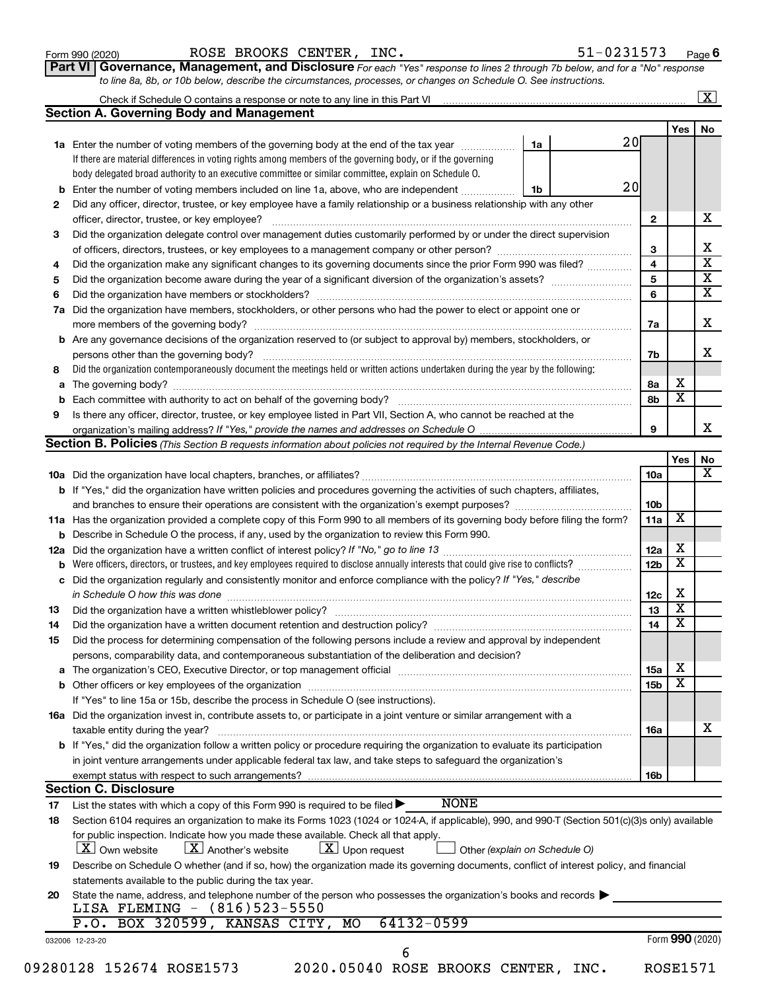#### Form 990 (2020) Page ROSE BROOKS CENTER, INC. 51-0231573

**Part VI** Governance, Management, and Disclosure For each "Yes" response to lines 2 through 7b below, and for a "No" response *to line 8a, 8b, or 10b below, describe the circumstances, processes, or changes on Schedule O. See instructions.*

|     | Check if Schedule O contains a response or note to any line in this Part VI [11] [12] Check if Schedule O contains a response or note to any line in this Part VI |                               |                 |                         | $\overline{\mathbf{X}}$ |
|-----|-------------------------------------------------------------------------------------------------------------------------------------------------------------------|-------------------------------|-----------------|-------------------------|-------------------------|
|     | <b>Section A. Governing Body and Management</b>                                                                                                                   |                               |                 |                         |                         |
|     |                                                                                                                                                                   |                               |                 | <b>Yes</b>              | No                      |
|     | 1a Enter the number of voting members of the governing body at the end of the tax year                                                                            | 20<br>1a                      |                 |                         |                         |
|     | If there are material differences in voting rights among members of the governing body, or if the governing                                                       |                               |                 |                         |                         |
|     | body delegated broad authority to an executive committee or similar committee, explain on Schedule O.                                                             |                               |                 |                         |                         |
| b   | Enter the number of voting members included on line 1a, above, who are independent                                                                                | 20<br>1b                      |                 |                         |                         |
| 2   | Did any officer, director, trustee, or key employee have a family relationship or a business relationship with any other                                          |                               |                 |                         |                         |
|     | officer, director, trustee, or key employee?                                                                                                                      |                               | $\mathbf{2}$    |                         |                         |
| 3   | Did the organization delegate control over management duties customarily performed by or under the direct supervision                                             |                               |                 |                         |                         |
|     |                                                                                                                                                                   |                               | 3               |                         |                         |
| 4   | Did the organization make any significant changes to its governing documents since the prior Form 990 was filed?                                                  |                               | $\overline{4}$  |                         |                         |
| 5   |                                                                                                                                                                   |                               | 5               |                         |                         |
| 6   |                                                                                                                                                                   |                               | 6               |                         |                         |
| 7a  | Did the organization have members, stockholders, or other persons who had the power to elect or appoint one or                                                    |                               |                 |                         |                         |
|     |                                                                                                                                                                   |                               | 7a              |                         |                         |
|     | <b>b</b> Are any governance decisions of the organization reserved to (or subject to approval by) members, stockholders, or                                       |                               |                 |                         |                         |
|     | persons other than the governing body?                                                                                                                            |                               | 7b              |                         |                         |
| 8   | Did the organization contemporaneously document the meetings held or written actions undertaken during the year by the following:                                 |                               |                 |                         |                         |
|     |                                                                                                                                                                   |                               | 8а              | х                       |                         |
|     |                                                                                                                                                                   |                               | 8b              | $\overline{\mathbf{x}}$ |                         |
| 9   | Is there any officer, director, trustee, or key employee listed in Part VII, Section A, who cannot be reached at the                                              |                               |                 |                         |                         |
|     |                                                                                                                                                                   |                               | 9               |                         |                         |
|     | Section B. Policies (This Section B requests information about policies not required by the Internal Revenue Code.)                                               |                               |                 |                         |                         |
|     |                                                                                                                                                                   |                               |                 | Yes                     |                         |
|     |                                                                                                                                                                   |                               | 10a             |                         |                         |
|     |                                                                                                                                                                   |                               |                 |                         |                         |
|     | b If "Yes," did the organization have written policies and procedures governing the activities of such chapters, affiliates,                                      |                               |                 |                         |                         |
|     | and branches to ensure their operations are consistent with the organization's exempt purposes? <i>managereconominion</i>                                         |                               | 10 <sub>b</sub> |                         |                         |
|     | 11a Has the organization provided a complete copy of this Form 990 to all members of its governing body before filing the form?                                   |                               | 11a             | $\overline{\mathbf{X}}$ |                         |
|     | <b>b</b> Describe in Schedule O the process, if any, used by the organization to review this Form 990.                                                            |                               |                 |                         |                         |
| 12a |                                                                                                                                                                   |                               | 12a             | х                       |                         |
| b   | Were officers, directors, or trustees, and key employees required to disclose annually interests that could give rise to conflicts?                               |                               | 12 <sub>b</sub> | $\overline{\text{x}}$   |                         |
|     | c Did the organization regularly and consistently monitor and enforce compliance with the policy? If "Yes," describe                                              |                               |                 |                         |                         |
|     | in Schedule O how this was done manufactured and continuum and contact the way to the set of the set of the schedule O how this was done                          |                               | 12c             | х                       |                         |
| 13  |                                                                                                                                                                   |                               | 13              | $\overline{\textbf{x}}$ |                         |
| 14  | Did the organization have a written document retention and destruction policy? [11] manufaction manufaction in                                                    |                               | 14              | $\overline{\textbf{x}}$ |                         |
| 15  | Did the process for determining compensation of the following persons include a review and approval by independent                                                |                               |                 |                         |                         |
|     | persons, comparability data, and contemporaneous substantiation of the deliberation and decision?                                                                 |                               |                 |                         |                         |
|     |                                                                                                                                                                   |                               | 15a             | х                       |                         |
|     |                                                                                                                                                                   |                               | 15b             | $\overline{\textbf{x}}$ |                         |
|     | If "Yes" to line 15a or 15b, describe the process in Schedule O (see instructions).                                                                               |                               |                 |                         |                         |
|     | 16a Did the organization invest in, contribute assets to, or participate in a joint venture or similar arrangement with a                                         |                               |                 |                         |                         |
|     | taxable entity during the year?                                                                                                                                   |                               | 16a             |                         |                         |
|     | <b>b</b> If "Yes," did the organization follow a written policy or procedure requiring the organization to evaluate its participation                             |                               |                 |                         |                         |
|     | in joint venture arrangements under applicable federal tax law, and take steps to safeguard the organization's                                                    |                               |                 |                         |                         |
|     | exempt status with respect to such arrangements?                                                                                                                  |                               | 16b             |                         |                         |
|     | <b>Section C. Disclosure</b>                                                                                                                                      |                               |                 |                         |                         |
| 17  | <b>NONE</b><br>List the states with which a copy of this Form 990 is required to be filed >                                                                       |                               |                 |                         |                         |
| 18  | Section 6104 requires an organization to make its Forms 1023 (1024 or 1024-A, if applicable), 990, and 990-T (Section 501(c)(3)s only) available                  |                               |                 |                         |                         |
|     | for public inspection. Indicate how you made these available. Check all that apply.                                                                               |                               |                 |                         |                         |
|     | $\lfloor x \rfloor$ Another's website<br>$X$ Upon request<br>$ \mathbf{X} $ Own website                                                                           |                               |                 |                         |                         |
|     |                                                                                                                                                                   | Other (explain on Schedule O) |                 |                         |                         |
| 19  | Describe on Schedule O whether (and if so, how) the organization made its governing documents, conflict of interest policy, and financial                         |                               |                 |                         |                         |
|     | statements available to the public during the tax year.                                                                                                           |                               |                 |                         |                         |
| 20  | State the name, address, and telephone number of the person who possesses the organization's books and records                                                    |                               |                 |                         |                         |
|     | LISA FLEMING - (816)523-5550                                                                                                                                      |                               |                 |                         |                         |
|     | P.O. BOX 320599, KANSAS CITY, MO<br>64132-0599                                                                                                                    |                               |                 |                         |                         |
|     | 032006 12-23-20                                                                                                                                                   |                               |                 | Form 990 (2020)         |                         |
|     | 6                                                                                                                                                                 |                               |                 |                         |                         |
|     | 09280128 152674 ROSE1573<br>2020.05040 ROSE BROOKS CENTER, INC.                                                                                                   |                               |                 | <b>ROSE1571</b>         |                         |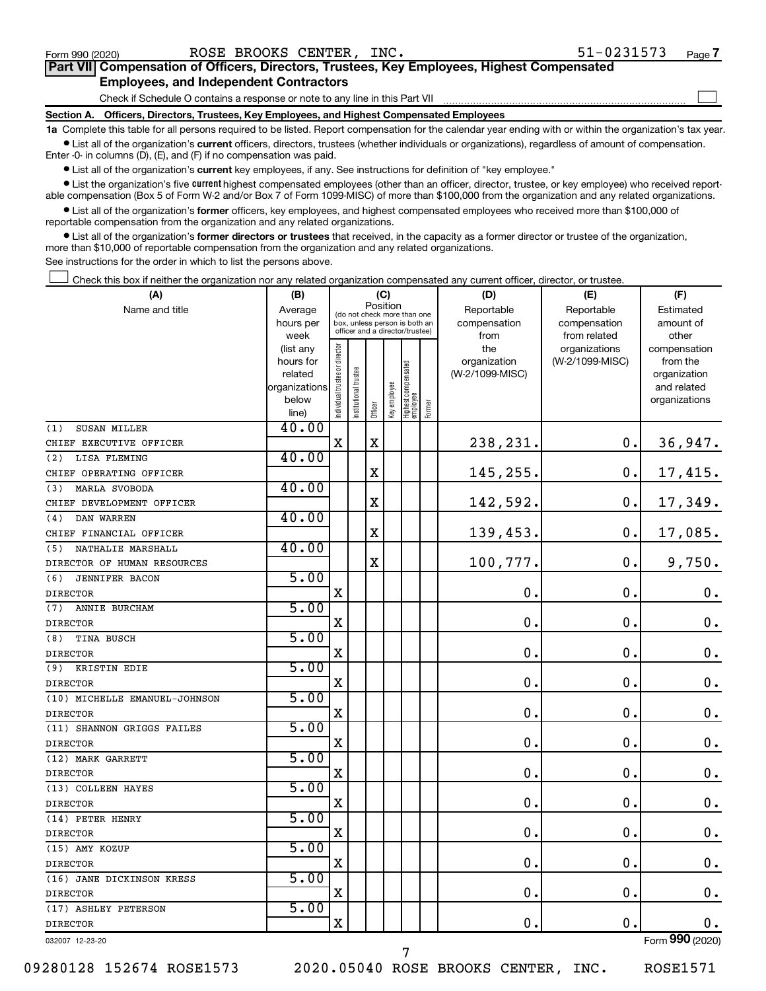$\Box$ 

| Part VII Compensation of Officers, Directors, Trustees, Key Employees, Highest Compensated |  |  |
|--------------------------------------------------------------------------------------------|--|--|
| <b>Employees, and Independent Contractors</b>                                              |  |  |

Check if Schedule O contains a response or note to any line in this Part VII

**Section A. Officers, Directors, Trustees, Key Employees, and Highest Compensated Employees**

**1a**  Complete this table for all persons required to be listed. Report compensation for the calendar year ending with or within the organization's tax year.  $\bullet$  List all of the organization's current officers, directors, trustees (whether individuals or organizations), regardless of amount of compensation.

Enter -0- in columns (D), (E), and (F) if no compensation was paid.

**•** List all of the organization's current key employees, if any. See instructions for definition of "key employee."

• List the organization's five *current* highest compensated employees (other than an officer, director, trustee, or key employee) who received reportable compensation (Box 5 of Form W-2 and/or Box 7 of Form 1099-MISC) of more than \$100,000 from the organization and any related organizations.

 $\bullet$  List all of the organization's former officers, key employees, and highest compensated employees who received more than \$100,000 of reportable compensation from the organization and any related organizations.

**•** List all of the organization's former directors or trustees that received, in the capacity as a former director or trustee of the organization, more than \$10,000 of reportable compensation from the organization and any related organizations.

See instructions for the order in which to list the persons above.

Check this box if neither the organization nor any related organization compensated any current officer, director, or trustee.  $\Box$ 

| Position<br>Name and title<br>Reportable<br>Average<br>Reportable<br>Estimated<br>(do not check more than one<br>compensation<br>hours per<br>box, unless person is both an<br>compensation<br>amount of<br>officer and a director/trustee)<br>week<br>from<br>from related<br>other<br>Individual trustee or director<br>the<br>organizations<br>(list any<br>compensation<br>(W-2/1099-MISC)<br>hours for<br>organization<br>from the<br>  Highest compensated<br>  employee<br>trustee<br>(W-2/1099-MISC)<br>related<br>organization<br>Key employee<br>organizations<br>and related<br>Institutional t<br>below<br>organizations<br>Former<br>Officer<br>line)<br>40.00<br>SUSAN MILLER<br>(1)<br>$\mathbf X$<br>$\mathbf X$<br>238,231.<br>0.<br>36,947.<br>CHIEF EXECUTIVE OFFICER<br>40.00<br>LISA FLEMING<br>(2)<br>17,415.<br>X<br>145,255.<br>$\mathbf 0$ .<br>CHIEF OPERATING OFFICER<br>40.00<br><b>MARLA SVOBODA</b><br>(3)<br>X<br>142,592.<br>$\mathbf 0$ .<br>17,349.<br>CHIEF DEVELOPMENT OFFICER<br>40.00<br>DAN WARREN<br>(4)<br>$\mathbf X$<br>139,453.<br>$\mathbf 0$ .<br>17,085.<br>CHIEF FINANCIAL OFFICER<br>40.00<br>NATHALIE MARSHALL<br>(5)<br>100,777.<br>$\mathbf 0$ .<br>X<br>9,750.<br>DIRECTOR OF HUMAN RESOURCES<br>5.00<br><b>JENNIFER BACON</b><br>(6)<br>0.<br>$\mathbf 0$ .<br>X<br>$\mathbf 0$ .<br><b>DIRECTOR</b><br>5.00<br>ANNIE BURCHAM<br>(7)<br>$\mathbf 0$ .<br>$\mathbf 0$ .<br>0.<br>X<br><b>DIRECTOR</b><br>5.00<br>(8)<br>TINA BUSCH<br>$\mathbf 0$ .<br>0.<br>$\mathbf 0$ .<br>$\mathbf X$<br><b>DIRECTOR</b><br>5.00<br>(9) KRISTIN EDIE<br>$\mathbf 0$ .<br>$\mathbf 0$ .<br>$\mathbf 0$ .<br>X<br><b>DIRECTOR</b><br>5.00<br>(10) MICHELLE EMANUEL-JOHNSON<br>0.<br>$\mathbf 0$ .<br>$\mathbf 0$ .<br>X<br><b>DIRECTOR</b><br>5.00<br>(11) SHANNON GRIGGS FAILES<br>0.<br>$\mathbf 0$ .<br>$\mathbf 0$ .<br>X<br><b>DIRECTOR</b><br>5.00<br>(12) MARK GARRETT<br>0.<br>$\mathbf 0$ .<br>$\mathbf X$<br>$\mathbf 0$ .<br><b>DIRECTOR</b><br>5.00<br>(13) COLLEEN HAYES<br>$\mathbf X$<br>$\mathbf 0$ .<br>$\mathbf 0$ .<br>$\mathbf 0$ .<br><b>DIRECTOR</b><br>5.00<br>(14) PETER HENRY<br>$\mathbf X$<br>$\mathbf 0$ .<br>$\mathbf 0$ .<br>$\mathbf 0$ .<br><b>DIRECTOR</b><br>5.00<br>(15) AMY KOZUP<br>0.<br>X<br>$\mathbf 0$ .<br>0.<br><b>DIRECTOR</b><br>5.00<br>(16) JANE DICKINSON KRESS<br>$\mathbf 0$<br>$\mathbf 0$<br>$\mathbf 0$ .<br>$\mathbf X$<br><b>DIRECTOR</b><br>5.00<br>(17) ASHLEY PETERSON<br>$\mathbf X$<br>$\mathbf 0$ .<br>$\mathbf 0$ .<br>0.<br><b>DIRECTOR</b><br>$000 -$ | (A) | (B) |  | (C) |  | (D) | (E) | (F) |
|--------------------------------------------------------------------------------------------------------------------------------------------------------------------------------------------------------------------------------------------------------------------------------------------------------------------------------------------------------------------------------------------------------------------------------------------------------------------------------------------------------------------------------------------------------------------------------------------------------------------------------------------------------------------------------------------------------------------------------------------------------------------------------------------------------------------------------------------------------------------------------------------------------------------------------------------------------------------------------------------------------------------------------------------------------------------------------------------------------------------------------------------------------------------------------------------------------------------------------------------------------------------------------------------------------------------------------------------------------------------------------------------------------------------------------------------------------------------------------------------------------------------------------------------------------------------------------------------------------------------------------------------------------------------------------------------------------------------------------------------------------------------------------------------------------------------------------------------------------------------------------------------------------------------------------------------------------------------------------------------------------------------------------------------------------------------------------------------------------------------------------------------------------------------------------------------------------------------------------------------------------------------------------------------------------------------------------------------------------------------------------------------------------------------------------------------------------------------------------------------------------------------------------------------------------------|-----|-----|--|-----|--|-----|-----|-----|
|                                                                                                                                                                                                                                                                                                                                                                                                                                                                                                                                                                                                                                                                                                                                                                                                                                                                                                                                                                                                                                                                                                                                                                                                                                                                                                                                                                                                                                                                                                                                                                                                                                                                                                                                                                                                                                                                                                                                                                                                                                                                                                                                                                                                                                                                                                                                                                                                                                                                                                                                                              |     |     |  |     |  |     |     |     |
|                                                                                                                                                                                                                                                                                                                                                                                                                                                                                                                                                                                                                                                                                                                                                                                                                                                                                                                                                                                                                                                                                                                                                                                                                                                                                                                                                                                                                                                                                                                                                                                                                                                                                                                                                                                                                                                                                                                                                                                                                                                                                                                                                                                                                                                                                                                                                                                                                                                                                                                                                              |     |     |  |     |  |     |     |     |
|                                                                                                                                                                                                                                                                                                                                                                                                                                                                                                                                                                                                                                                                                                                                                                                                                                                                                                                                                                                                                                                                                                                                                                                                                                                                                                                                                                                                                                                                                                                                                                                                                                                                                                                                                                                                                                                                                                                                                                                                                                                                                                                                                                                                                                                                                                                                                                                                                                                                                                                                                              |     |     |  |     |  |     |     |     |
|                                                                                                                                                                                                                                                                                                                                                                                                                                                                                                                                                                                                                                                                                                                                                                                                                                                                                                                                                                                                                                                                                                                                                                                                                                                                                                                                                                                                                                                                                                                                                                                                                                                                                                                                                                                                                                                                                                                                                                                                                                                                                                                                                                                                                                                                                                                                                                                                                                                                                                                                                              |     |     |  |     |  |     |     |     |
|                                                                                                                                                                                                                                                                                                                                                                                                                                                                                                                                                                                                                                                                                                                                                                                                                                                                                                                                                                                                                                                                                                                                                                                                                                                                                                                                                                                                                                                                                                                                                                                                                                                                                                                                                                                                                                                                                                                                                                                                                                                                                                                                                                                                                                                                                                                                                                                                                                                                                                                                                              |     |     |  |     |  |     |     |     |
|                                                                                                                                                                                                                                                                                                                                                                                                                                                                                                                                                                                                                                                                                                                                                                                                                                                                                                                                                                                                                                                                                                                                                                                                                                                                                                                                                                                                                                                                                                                                                                                                                                                                                                                                                                                                                                                                                                                                                                                                                                                                                                                                                                                                                                                                                                                                                                                                                                                                                                                                                              |     |     |  |     |  |     |     |     |
|                                                                                                                                                                                                                                                                                                                                                                                                                                                                                                                                                                                                                                                                                                                                                                                                                                                                                                                                                                                                                                                                                                                                                                                                                                                                                                                                                                                                                                                                                                                                                                                                                                                                                                                                                                                                                                                                                                                                                                                                                                                                                                                                                                                                                                                                                                                                                                                                                                                                                                                                                              |     |     |  |     |  |     |     |     |
|                                                                                                                                                                                                                                                                                                                                                                                                                                                                                                                                                                                                                                                                                                                                                                                                                                                                                                                                                                                                                                                                                                                                                                                                                                                                                                                                                                                                                                                                                                                                                                                                                                                                                                                                                                                                                                                                                                                                                                                                                                                                                                                                                                                                                                                                                                                                                                                                                                                                                                                                                              |     |     |  |     |  |     |     |     |
|                                                                                                                                                                                                                                                                                                                                                                                                                                                                                                                                                                                                                                                                                                                                                                                                                                                                                                                                                                                                                                                                                                                                                                                                                                                                                                                                                                                                                                                                                                                                                                                                                                                                                                                                                                                                                                                                                                                                                                                                                                                                                                                                                                                                                                                                                                                                                                                                                                                                                                                                                              |     |     |  |     |  |     |     |     |
|                                                                                                                                                                                                                                                                                                                                                                                                                                                                                                                                                                                                                                                                                                                                                                                                                                                                                                                                                                                                                                                                                                                                                                                                                                                                                                                                                                                                                                                                                                                                                                                                                                                                                                                                                                                                                                                                                                                                                                                                                                                                                                                                                                                                                                                                                                                                                                                                                                                                                                                                                              |     |     |  |     |  |     |     |     |
|                                                                                                                                                                                                                                                                                                                                                                                                                                                                                                                                                                                                                                                                                                                                                                                                                                                                                                                                                                                                                                                                                                                                                                                                                                                                                                                                                                                                                                                                                                                                                                                                                                                                                                                                                                                                                                                                                                                                                                                                                                                                                                                                                                                                                                                                                                                                                                                                                                                                                                                                                              |     |     |  |     |  |     |     |     |
|                                                                                                                                                                                                                                                                                                                                                                                                                                                                                                                                                                                                                                                                                                                                                                                                                                                                                                                                                                                                                                                                                                                                                                                                                                                                                                                                                                                                                                                                                                                                                                                                                                                                                                                                                                                                                                                                                                                                                                                                                                                                                                                                                                                                                                                                                                                                                                                                                                                                                                                                                              |     |     |  |     |  |     |     |     |
|                                                                                                                                                                                                                                                                                                                                                                                                                                                                                                                                                                                                                                                                                                                                                                                                                                                                                                                                                                                                                                                                                                                                                                                                                                                                                                                                                                                                                                                                                                                                                                                                                                                                                                                                                                                                                                                                                                                                                                                                                                                                                                                                                                                                                                                                                                                                                                                                                                                                                                                                                              |     |     |  |     |  |     |     |     |
|                                                                                                                                                                                                                                                                                                                                                                                                                                                                                                                                                                                                                                                                                                                                                                                                                                                                                                                                                                                                                                                                                                                                                                                                                                                                                                                                                                                                                                                                                                                                                                                                                                                                                                                                                                                                                                                                                                                                                                                                                                                                                                                                                                                                                                                                                                                                                                                                                                                                                                                                                              |     |     |  |     |  |     |     |     |
|                                                                                                                                                                                                                                                                                                                                                                                                                                                                                                                                                                                                                                                                                                                                                                                                                                                                                                                                                                                                                                                                                                                                                                                                                                                                                                                                                                                                                                                                                                                                                                                                                                                                                                                                                                                                                                                                                                                                                                                                                                                                                                                                                                                                                                                                                                                                                                                                                                                                                                                                                              |     |     |  |     |  |     |     |     |
|                                                                                                                                                                                                                                                                                                                                                                                                                                                                                                                                                                                                                                                                                                                                                                                                                                                                                                                                                                                                                                                                                                                                                                                                                                                                                                                                                                                                                                                                                                                                                                                                                                                                                                                                                                                                                                                                                                                                                                                                                                                                                                                                                                                                                                                                                                                                                                                                                                                                                                                                                              |     |     |  |     |  |     |     |     |
|                                                                                                                                                                                                                                                                                                                                                                                                                                                                                                                                                                                                                                                                                                                                                                                                                                                                                                                                                                                                                                                                                                                                                                                                                                                                                                                                                                                                                                                                                                                                                                                                                                                                                                                                                                                                                                                                                                                                                                                                                                                                                                                                                                                                                                                                                                                                                                                                                                                                                                                                                              |     |     |  |     |  |     |     |     |
|                                                                                                                                                                                                                                                                                                                                                                                                                                                                                                                                                                                                                                                                                                                                                                                                                                                                                                                                                                                                                                                                                                                                                                                                                                                                                                                                                                                                                                                                                                                                                                                                                                                                                                                                                                                                                                                                                                                                                                                                                                                                                                                                                                                                                                                                                                                                                                                                                                                                                                                                                              |     |     |  |     |  |     |     |     |
|                                                                                                                                                                                                                                                                                                                                                                                                                                                                                                                                                                                                                                                                                                                                                                                                                                                                                                                                                                                                                                                                                                                                                                                                                                                                                                                                                                                                                                                                                                                                                                                                                                                                                                                                                                                                                                                                                                                                                                                                                                                                                                                                                                                                                                                                                                                                                                                                                                                                                                                                                              |     |     |  |     |  |     |     |     |
|                                                                                                                                                                                                                                                                                                                                                                                                                                                                                                                                                                                                                                                                                                                                                                                                                                                                                                                                                                                                                                                                                                                                                                                                                                                                                                                                                                                                                                                                                                                                                                                                                                                                                                                                                                                                                                                                                                                                                                                                                                                                                                                                                                                                                                                                                                                                                                                                                                                                                                                                                              |     |     |  |     |  |     |     |     |
|                                                                                                                                                                                                                                                                                                                                                                                                                                                                                                                                                                                                                                                                                                                                                                                                                                                                                                                                                                                                                                                                                                                                                                                                                                                                                                                                                                                                                                                                                                                                                                                                                                                                                                                                                                                                                                                                                                                                                                                                                                                                                                                                                                                                                                                                                                                                                                                                                                                                                                                                                              |     |     |  |     |  |     |     |     |
|                                                                                                                                                                                                                                                                                                                                                                                                                                                                                                                                                                                                                                                                                                                                                                                                                                                                                                                                                                                                                                                                                                                                                                                                                                                                                                                                                                                                                                                                                                                                                                                                                                                                                                                                                                                                                                                                                                                                                                                                                                                                                                                                                                                                                                                                                                                                                                                                                                                                                                                                                              |     |     |  |     |  |     |     |     |
|                                                                                                                                                                                                                                                                                                                                                                                                                                                                                                                                                                                                                                                                                                                                                                                                                                                                                                                                                                                                                                                                                                                                                                                                                                                                                                                                                                                                                                                                                                                                                                                                                                                                                                                                                                                                                                                                                                                                                                                                                                                                                                                                                                                                                                                                                                                                                                                                                                                                                                                                                              |     |     |  |     |  |     |     |     |
|                                                                                                                                                                                                                                                                                                                                                                                                                                                                                                                                                                                                                                                                                                                                                                                                                                                                                                                                                                                                                                                                                                                                                                                                                                                                                                                                                                                                                                                                                                                                                                                                                                                                                                                                                                                                                                                                                                                                                                                                                                                                                                                                                                                                                                                                                                                                                                                                                                                                                                                                                              |     |     |  |     |  |     |     |     |
|                                                                                                                                                                                                                                                                                                                                                                                                                                                                                                                                                                                                                                                                                                                                                                                                                                                                                                                                                                                                                                                                                                                                                                                                                                                                                                                                                                                                                                                                                                                                                                                                                                                                                                                                                                                                                                                                                                                                                                                                                                                                                                                                                                                                                                                                                                                                                                                                                                                                                                                                                              |     |     |  |     |  |     |     |     |
|                                                                                                                                                                                                                                                                                                                                                                                                                                                                                                                                                                                                                                                                                                                                                                                                                                                                                                                                                                                                                                                                                                                                                                                                                                                                                                                                                                                                                                                                                                                                                                                                                                                                                                                                                                                                                                                                                                                                                                                                                                                                                                                                                                                                                                                                                                                                                                                                                                                                                                                                                              |     |     |  |     |  |     |     |     |
|                                                                                                                                                                                                                                                                                                                                                                                                                                                                                                                                                                                                                                                                                                                                                                                                                                                                                                                                                                                                                                                                                                                                                                                                                                                                                                                                                                                                                                                                                                                                                                                                                                                                                                                                                                                                                                                                                                                                                                                                                                                                                                                                                                                                                                                                                                                                                                                                                                                                                                                                                              |     |     |  |     |  |     |     |     |
|                                                                                                                                                                                                                                                                                                                                                                                                                                                                                                                                                                                                                                                                                                                                                                                                                                                                                                                                                                                                                                                                                                                                                                                                                                                                                                                                                                                                                                                                                                                                                                                                                                                                                                                                                                                                                                                                                                                                                                                                                                                                                                                                                                                                                                                                                                                                                                                                                                                                                                                                                              |     |     |  |     |  |     |     |     |
|                                                                                                                                                                                                                                                                                                                                                                                                                                                                                                                                                                                                                                                                                                                                                                                                                                                                                                                                                                                                                                                                                                                                                                                                                                                                                                                                                                                                                                                                                                                                                                                                                                                                                                                                                                                                                                                                                                                                                                                                                                                                                                                                                                                                                                                                                                                                                                                                                                                                                                                                                              |     |     |  |     |  |     |     |     |
|                                                                                                                                                                                                                                                                                                                                                                                                                                                                                                                                                                                                                                                                                                                                                                                                                                                                                                                                                                                                                                                                                                                                                                                                                                                                                                                                                                                                                                                                                                                                                                                                                                                                                                                                                                                                                                                                                                                                                                                                                                                                                                                                                                                                                                                                                                                                                                                                                                                                                                                                                              |     |     |  |     |  |     |     |     |
|                                                                                                                                                                                                                                                                                                                                                                                                                                                                                                                                                                                                                                                                                                                                                                                                                                                                                                                                                                                                                                                                                                                                                                                                                                                                                                                                                                                                                                                                                                                                                                                                                                                                                                                                                                                                                                                                                                                                                                                                                                                                                                                                                                                                                                                                                                                                                                                                                                                                                                                                                              |     |     |  |     |  |     |     |     |
|                                                                                                                                                                                                                                                                                                                                                                                                                                                                                                                                                                                                                                                                                                                                                                                                                                                                                                                                                                                                                                                                                                                                                                                                                                                                                                                                                                                                                                                                                                                                                                                                                                                                                                                                                                                                                                                                                                                                                                                                                                                                                                                                                                                                                                                                                                                                                                                                                                                                                                                                                              |     |     |  |     |  |     |     |     |
|                                                                                                                                                                                                                                                                                                                                                                                                                                                                                                                                                                                                                                                                                                                                                                                                                                                                                                                                                                                                                                                                                                                                                                                                                                                                                                                                                                                                                                                                                                                                                                                                                                                                                                                                                                                                                                                                                                                                                                                                                                                                                                                                                                                                                                                                                                                                                                                                                                                                                                                                                              |     |     |  |     |  |     |     |     |
|                                                                                                                                                                                                                                                                                                                                                                                                                                                                                                                                                                                                                                                                                                                                                                                                                                                                                                                                                                                                                                                                                                                                                                                                                                                                                                                                                                                                                                                                                                                                                                                                                                                                                                                                                                                                                                                                                                                                                                                                                                                                                                                                                                                                                                                                                                                                                                                                                                                                                                                                                              |     |     |  |     |  |     |     |     |
|                                                                                                                                                                                                                                                                                                                                                                                                                                                                                                                                                                                                                                                                                                                                                                                                                                                                                                                                                                                                                                                                                                                                                                                                                                                                                                                                                                                                                                                                                                                                                                                                                                                                                                                                                                                                                                                                                                                                                                                                                                                                                                                                                                                                                                                                                                                                                                                                                                                                                                                                                              |     |     |  |     |  |     |     |     |
|                                                                                                                                                                                                                                                                                                                                                                                                                                                                                                                                                                                                                                                                                                                                                                                                                                                                                                                                                                                                                                                                                                                                                                                                                                                                                                                                                                                                                                                                                                                                                                                                                                                                                                                                                                                                                                                                                                                                                                                                                                                                                                                                                                                                                                                                                                                                                                                                                                                                                                                                                              |     |     |  |     |  |     |     |     |
|                                                                                                                                                                                                                                                                                                                                                                                                                                                                                                                                                                                                                                                                                                                                                                                                                                                                                                                                                                                                                                                                                                                                                                                                                                                                                                                                                                                                                                                                                                                                                                                                                                                                                                                                                                                                                                                                                                                                                                                                                                                                                                                                                                                                                                                                                                                                                                                                                                                                                                                                                              |     |     |  |     |  |     |     |     |
|                                                                                                                                                                                                                                                                                                                                                                                                                                                                                                                                                                                                                                                                                                                                                                                                                                                                                                                                                                                                                                                                                                                                                                                                                                                                                                                                                                                                                                                                                                                                                                                                                                                                                                                                                                                                                                                                                                                                                                                                                                                                                                                                                                                                                                                                                                                                                                                                                                                                                                                                                              |     |     |  |     |  |     |     |     |
|                                                                                                                                                                                                                                                                                                                                                                                                                                                                                                                                                                                                                                                                                                                                                                                                                                                                                                                                                                                                                                                                                                                                                                                                                                                                                                                                                                                                                                                                                                                                                                                                                                                                                                                                                                                                                                                                                                                                                                                                                                                                                                                                                                                                                                                                                                                                                                                                                                                                                                                                                              |     |     |  |     |  |     |     |     |
|                                                                                                                                                                                                                                                                                                                                                                                                                                                                                                                                                                                                                                                                                                                                                                                                                                                                                                                                                                                                                                                                                                                                                                                                                                                                                                                                                                                                                                                                                                                                                                                                                                                                                                                                                                                                                                                                                                                                                                                                                                                                                                                                                                                                                                                                                                                                                                                                                                                                                                                                                              |     |     |  |     |  |     |     |     |
|                                                                                                                                                                                                                                                                                                                                                                                                                                                                                                                                                                                                                                                                                                                                                                                                                                                                                                                                                                                                                                                                                                                                                                                                                                                                                                                                                                                                                                                                                                                                                                                                                                                                                                                                                                                                                                                                                                                                                                                                                                                                                                                                                                                                                                                                                                                                                                                                                                                                                                                                                              |     |     |  |     |  |     |     |     |
|                                                                                                                                                                                                                                                                                                                                                                                                                                                                                                                                                                                                                                                                                                                                                                                                                                                                                                                                                                                                                                                                                                                                                                                                                                                                                                                                                                                                                                                                                                                                                                                                                                                                                                                                                                                                                                                                                                                                                                                                                                                                                                                                                                                                                                                                                                                                                                                                                                                                                                                                                              |     |     |  |     |  |     |     |     |

032007 12-23-20

09280128 152674 ROSE1573 2020.05040 ROSE BROOKS CENTER, INC. ROSE1571

7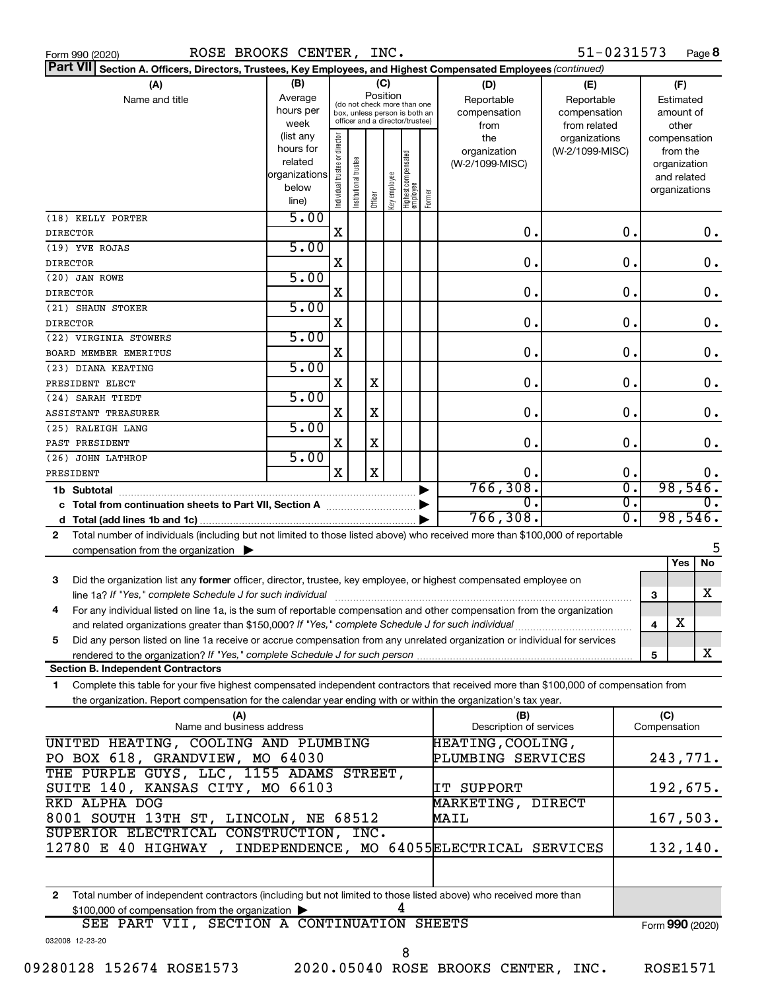| ROSE BROOKS CENTER, INC.<br>Form 990 (2020)                                                                                                                                                                                            |                                                                      |                                |                       |                 |                                                                                                 |        |                                                | 51-0231573                                        | Page 8                                                                   |
|----------------------------------------------------------------------------------------------------------------------------------------------------------------------------------------------------------------------------------------|----------------------------------------------------------------------|--------------------------------|-----------------------|-----------------|-------------------------------------------------------------------------------------------------|--------|------------------------------------------------|---------------------------------------------------|--------------------------------------------------------------------------|
| Part VII Section A. Officers, Directors, Trustees, Key Employees, and Highest Compensated Employees (continued)                                                                                                                        |                                                                      |                                |                       |                 |                                                                                                 |        |                                                |                                                   |                                                                          |
| (A)<br>Name and title                                                                                                                                                                                                                  | (B)<br>Average<br>hours per<br>week                                  |                                |                       | (C)<br>Position | (do not check more than one<br>box, unless person is both an<br>officer and a director/trustee) |        | (D)<br>Reportable<br>compensation              | (E)<br>Reportable<br>compensation<br>from related | (F)<br>Estimated<br>amount of<br>other                                   |
|                                                                                                                                                                                                                                        | (list any<br>hours for<br>related<br>organizations<br>below<br>line) | Individual trustee or director | Institutional trustee | Officer         | Highest compensated<br>employee<br>Key employee                                                 | Former | from<br>the<br>organization<br>(W-2/1099-MISC) | organizations<br>(W-2/1099-MISC)                  | compensation<br>from the<br>organization<br>and related<br>organizations |
| (18) KELLY PORTER<br><b>DIRECTOR</b>                                                                                                                                                                                                   | 5.00                                                                 | Χ                              |                       |                 |                                                                                                 |        | $\mathbf 0$ .                                  | 0.                                                | 0.                                                                       |
| (19) YVE ROJAS<br><b>DIRECTOR</b>                                                                                                                                                                                                      | 5.00                                                                 | X                              |                       |                 |                                                                                                 |        | 0.                                             | 0.                                                | 0.                                                                       |
| (20) JAN ROWE                                                                                                                                                                                                                          | 5.00                                                                 |                                |                       |                 |                                                                                                 |        |                                                |                                                   |                                                                          |
| <b>DIRECTOR</b><br>(21) SHAUN STOKER                                                                                                                                                                                                   | 5.00                                                                 | Χ                              |                       |                 |                                                                                                 |        | 0.                                             | 0.                                                | 0.                                                                       |
| <b>DIRECTOR</b>                                                                                                                                                                                                                        |                                                                      | X                              |                       |                 |                                                                                                 |        | 0.                                             | 0.                                                | 0.                                                                       |
| (22) VIRGINIA STOWERS<br>BOARD MEMBER EMERITUS                                                                                                                                                                                         | 5.00                                                                 | X                              |                       |                 |                                                                                                 |        | 0.                                             | 0.                                                | 0.                                                                       |
| (23) DIANA KEATING<br>PRESIDENT ELECT                                                                                                                                                                                                  | 5.00                                                                 | Χ                              |                       | X               |                                                                                                 |        | 0.                                             | 0.                                                | 0.                                                                       |
| (24) SARAH TIEDT                                                                                                                                                                                                                       | 5.00                                                                 |                                |                       |                 |                                                                                                 |        |                                                |                                                   |                                                                          |
| ASSISTANT TREASURER<br>(25) RALEIGH LANG                                                                                                                                                                                               | 5.00                                                                 | X                              |                       | X               |                                                                                                 |        | 0.                                             | 0.                                                | 0.                                                                       |
| PAST PRESIDENT<br>(26) JOHN LATHROP                                                                                                                                                                                                    | 5.00                                                                 | х                              |                       | X               |                                                                                                 |        | 0.                                             | О.                                                | 0.                                                                       |
| PRESIDENT                                                                                                                                                                                                                              |                                                                      | X                              |                       | $\mathbf X$     |                                                                                                 |        | 0.                                             | 0.                                                | 0.                                                                       |
| 1b Subtotal                                                                                                                                                                                                                            |                                                                      |                                |                       |                 |                                                                                                 |        | 766, 308.<br>σ.                                | σ.<br>$\overline{0}$ .                            | 98,546.<br>0.                                                            |
|                                                                                                                                                                                                                                        |                                                                      |                                |                       |                 |                                                                                                 |        | 766, 308.                                      | σ.                                                | 98,546.                                                                  |
| Total number of individuals (including but not limited to those listed above) who received more than \$100,000 of reportable<br>$\mathbf{2}$<br>compensation from the organization $\blacktriangleright$                               |                                                                      |                                |                       |                 |                                                                                                 |        |                                                |                                                   | 5                                                                        |
|                                                                                                                                                                                                                                        |                                                                      |                                |                       |                 |                                                                                                 |        |                                                |                                                   | No<br>Yes                                                                |
| Did the organization list any former officer, director, trustee, key employee, or highest compensated employee on<br>3                                                                                                                 |                                                                      |                                |                       |                 |                                                                                                 |        |                                                |                                                   | х<br>3                                                                   |
| 4<br>For any individual listed on line 1a, is the sum of reportable compensation and other compensation from the organization                                                                                                          |                                                                      |                                |                       |                 |                                                                                                 |        |                                                |                                                   | х                                                                        |
| and related organizations greater than \$150,000? If "Yes," complete Schedule J for such individual<br>Did any person listed on line 1a receive or accrue compensation from any unrelated organization or individual for services<br>5 |                                                                      |                                |                       |                 |                                                                                                 |        |                                                |                                                   | 4                                                                        |
| rendered to the organization? If "Yes," complete Schedule J for such person.<br><b>Section B. Independent Contractors</b>                                                                                                              |                                                                      |                                |                       |                 |                                                                                                 |        |                                                |                                                   | x<br>5                                                                   |
| Complete this table for your five highest compensated independent contractors that received more than \$100,000 of compensation from<br>1                                                                                              |                                                                      |                                |                       |                 |                                                                                                 |        |                                                |                                                   |                                                                          |
| the organization. Report compensation for the calendar year ending with or within the organization's tax year.<br>(A)                                                                                                                  |                                                                      |                                |                       |                 |                                                                                                 |        | (B)                                            |                                                   | (C)                                                                      |
| Name and business address                                                                                                                                                                                                              |                                                                      |                                |                       |                 |                                                                                                 |        | Description of services                        |                                                   | Compensation                                                             |
| UNITED HEATING, COOLING AND PLUMBING<br>PO BOX 618, GRANDVIEW, MO 64030                                                                                                                                                                |                                                                      |                                |                       |                 |                                                                                                 |        | HEATING, COOLING,<br>PLUMBING SERVICES         |                                                   | 243,771.                                                                 |
| THE PURPLE GUYS, LLC, 1155 ADAMS STREET,<br>SUITE 140, KANSAS CITY, MO 66103<br>RKD ALPHA DOG                                                                                                                                          |                                                                      |                                |                       |                 |                                                                                                 |        | IT SUPPORT<br>MARKETING, DIRECT                |                                                   | 192,675.                                                                 |
| 8001 SOUTH 13TH ST, LINCOLN, NE 68512                                                                                                                                                                                                  |                                                                      |                                |                       |                 |                                                                                                 |        | <b>MAIL</b>                                    |                                                   | 167,503.                                                                 |
| SUPERIOR ELECTRICAL CONSTRUCTION, INC.<br>12780 E 40 HIGHWAY, INDEPENDENCE, MO 64055ELECTRICAL SERVICES                                                                                                                                |                                                                      |                                |                       |                 |                                                                                                 |        |                                                |                                                   | 132,140.                                                                 |
|                                                                                                                                                                                                                                        |                                                                      |                                |                       |                 |                                                                                                 |        |                                                |                                                   |                                                                          |
| Total number of independent contractors (including but not limited to those listed above) who received more than<br>2<br>\$100,000 of compensation from the organization                                                               |                                                                      |                                |                       |                 | 4                                                                                               |        |                                                |                                                   |                                                                          |
| SEE PART VII, SECTION A CONTINUATION SHEETS<br>032008 12-23-20                                                                                                                                                                         |                                                                      |                                |                       |                 |                                                                                                 |        |                                                |                                                   | Form 990 (2020)                                                          |

09280128 152674 ROSE1573 2020.05040 ROSE BROOKS CENTER, INC. ROSE1571

8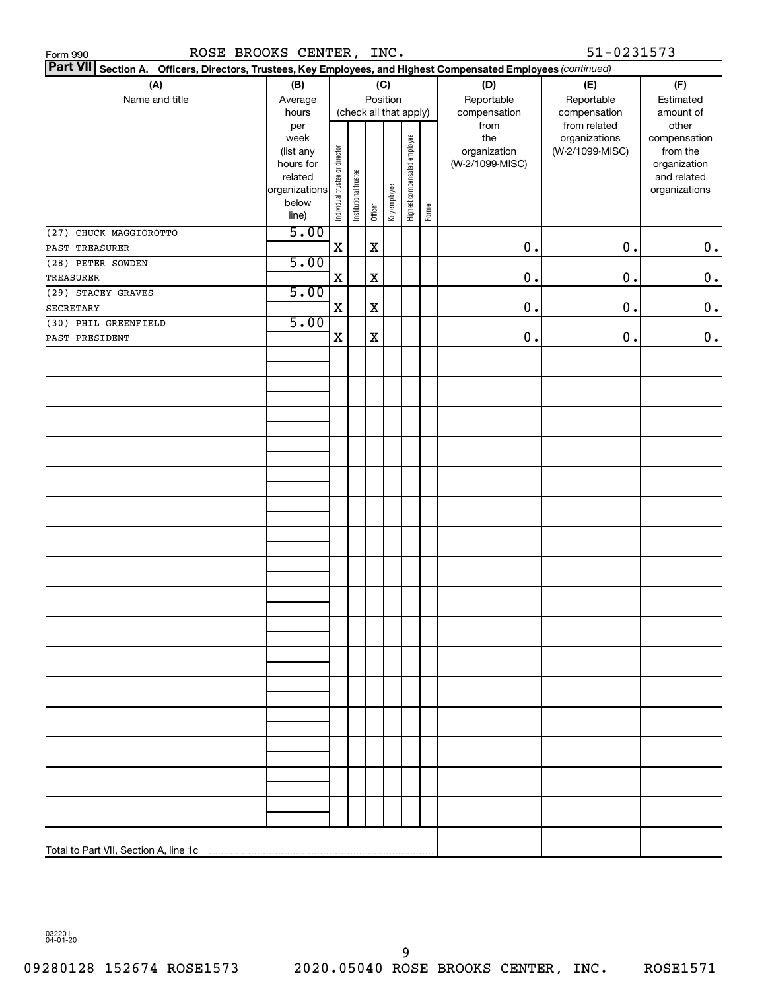| 51-0231573<br>ROSE BROOKS CENTER, INC.<br>Form 990                                                              |                |                                    |                       |             |              |                              |        |                 |                               |                       |
|-----------------------------------------------------------------------------------------------------------------|----------------|------------------------------------|-----------------------|-------------|--------------|------------------------------|--------|-----------------|-------------------------------|-----------------------|
| Part VII Section A. Officers, Directors, Trustees, Key Employees, and Highest Compensated Employees (continued) |                |                                    |                       |             |              |                              |        |                 |                               |                       |
| (A)                                                                                                             | (B)            |                                    |                       |             | (C)          |                              |        | (D)             | (E)                           | (F)                   |
| Name and title                                                                                                  | Average        | Position<br>(check all that apply) |                       |             |              |                              |        | Reportable      | Reportable                    | Estimated             |
|                                                                                                                 | hours          |                                    |                       |             |              |                              |        | compensation    | compensation                  | amount of             |
|                                                                                                                 | per<br>week    |                                    |                       |             |              |                              |        | from<br>the     | from related<br>organizations | other<br>compensation |
|                                                                                                                 | (list any      |                                    |                       |             |              |                              |        | organization    | (W-2/1099-MISC)               | from the              |
|                                                                                                                 | hours for      |                                    |                       |             |              |                              |        | (W-2/1099-MISC) |                               | organization          |
|                                                                                                                 | related        |                                    |                       |             |              |                              |        |                 |                               | and related           |
|                                                                                                                 | organizations  |                                    |                       |             |              |                              |        |                 |                               | organizations         |
|                                                                                                                 | below<br>line) | Individual trustee or director     | Institutional trustee | Officer     | Key employee | Highest compensated employee | Former |                 |                               |                       |
| (27) CHUCK MAGGIOROTTO                                                                                          | 5.00           |                                    |                       |             |              |                              |        |                 |                               |                       |
| PAST TREASURER                                                                                                  |                | $\mathbf X$                        |                       | $\mathbf X$ |              |                              |        | 0.              | $0$ .                         | $0\,$ .               |
| (28) PETER SOWDEN                                                                                               | 5.00           |                                    |                       |             |              |                              |        |                 |                               |                       |
| TREASURER                                                                                                       |                | $\mathbf X$                        |                       | $\mathbf X$ |              |                              |        | 0.              | 0.                            | $\mathbf 0$ .         |
| (29) STACEY GRAVES                                                                                              | 5.00           |                                    |                       |             |              |                              |        |                 |                               |                       |
| SECRETARY                                                                                                       |                | X                                  |                       | $\mathbf X$ |              |                              |        | 0.              | $\mathbf 0$ .                 | $\mathbf 0$ .         |
| (30) PHIL GREENFIELD                                                                                            | 5.00           |                                    |                       |             |              |                              |        |                 |                               |                       |
| PAST PRESIDENT                                                                                                  |                | $\mathbf X$                        |                       | $\mathbf X$ |              |                              |        | 0.              | $\mathbf 0$ .                 | $\boldsymbol{0}$ .    |
|                                                                                                                 |                |                                    |                       |             |              |                              |        |                 |                               |                       |
|                                                                                                                 |                |                                    |                       |             |              |                              |        |                 |                               |                       |
|                                                                                                                 |                |                                    |                       |             |              |                              |        |                 |                               |                       |
|                                                                                                                 |                |                                    |                       |             |              |                              |        |                 |                               |                       |
|                                                                                                                 |                |                                    |                       |             |              |                              |        |                 |                               |                       |
|                                                                                                                 |                |                                    |                       |             |              |                              |        |                 |                               |                       |
|                                                                                                                 |                |                                    |                       |             |              |                              |        |                 |                               |                       |
|                                                                                                                 |                |                                    |                       |             |              |                              |        |                 |                               |                       |
|                                                                                                                 |                |                                    |                       |             |              |                              |        |                 |                               |                       |
|                                                                                                                 |                |                                    |                       |             |              |                              |        |                 |                               |                       |
|                                                                                                                 |                |                                    |                       |             |              |                              |        |                 |                               |                       |
|                                                                                                                 |                |                                    |                       |             |              |                              |        |                 |                               |                       |
|                                                                                                                 |                |                                    |                       |             |              |                              |        |                 |                               |                       |
|                                                                                                                 |                |                                    |                       |             |              |                              |        |                 |                               |                       |
|                                                                                                                 |                |                                    |                       |             |              |                              |        |                 |                               |                       |
|                                                                                                                 |                |                                    |                       |             |              |                              |        |                 |                               |                       |
|                                                                                                                 |                |                                    |                       |             |              |                              |        |                 |                               |                       |
|                                                                                                                 |                |                                    |                       |             |              |                              |        |                 |                               |                       |
|                                                                                                                 |                |                                    |                       |             |              |                              |        |                 |                               |                       |
|                                                                                                                 |                |                                    |                       |             |              |                              |        |                 |                               |                       |
|                                                                                                                 |                |                                    |                       |             |              |                              |        |                 |                               |                       |
|                                                                                                                 |                |                                    |                       |             |              |                              |        |                 |                               |                       |
|                                                                                                                 |                |                                    |                       |             |              |                              |        |                 |                               |                       |
|                                                                                                                 |                |                                    |                       |             |              |                              |        |                 |                               |                       |
|                                                                                                                 |                |                                    |                       |             |              |                              |        |                 |                               |                       |
|                                                                                                                 |                |                                    |                       |             |              |                              |        |                 |                               |                       |
|                                                                                                                 |                |                                    |                       |             |              |                              |        |                 |                               |                       |
|                                                                                                                 |                |                                    |                       |             |              |                              |        |                 |                               |                       |
|                                                                                                                 |                |                                    |                       |             |              |                              |        |                 |                               |                       |
|                                                                                                                 |                |                                    |                       |             |              |                              |        |                 |                               |                       |
| Total to Part VII, Section A, line 1c                                                                           |                |                                    |                       |             |              |                              |        |                 |                               |                       |

032201 04-01-20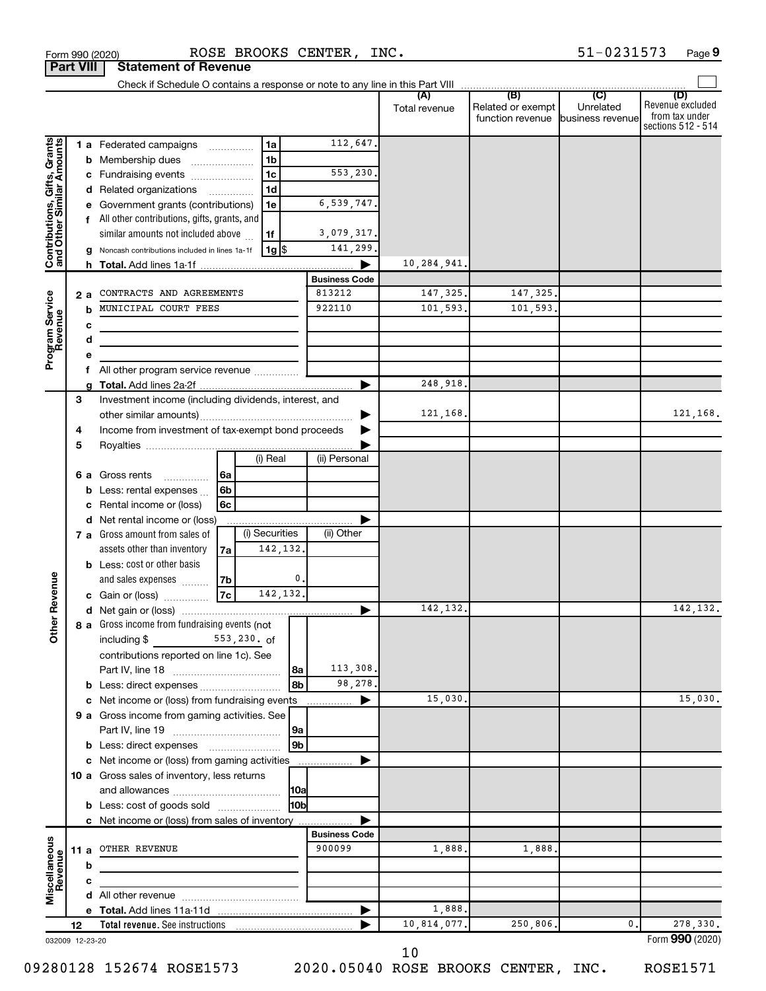|                                                           |      |   |                                                                 |                |                |                  |                      | (A)<br>Total revenue | (B)<br>Related or exempt<br>function revenue business revenue | (C)<br>Unrelated | (D)<br>Revenue excluded<br>from tax under<br>sections 512 - 514 |
|-----------------------------------------------------------|------|---|-----------------------------------------------------------------|----------------|----------------|------------------|----------------------|----------------------|---------------------------------------------------------------|------------------|-----------------------------------------------------------------|
|                                                           |      |   | 1 a Federated campaigns                                         |                | 1a             |                  | 112,647.             |                      |                                                               |                  |                                                                 |
| Contributions, Gifts, Grants<br>and Other Similar Amounts |      |   | <b>b</b> Membership dues                                        |                | 1 <sub>b</sub> |                  |                      |                      |                                                               |                  |                                                                 |
|                                                           |      |   | c Fundraising events                                            |                | 1 <sub>c</sub> |                  | 553,230.             |                      |                                                               |                  |                                                                 |
|                                                           |      |   | d Related organizations                                         |                | 1 <sub>d</sub> |                  |                      |                      |                                                               |                  |                                                                 |
|                                                           |      |   | e Government grants (contributions)                             |                | 1e             |                  | 6,539,747.           |                      |                                                               |                  |                                                                 |
|                                                           |      |   | f All other contributions, gifts, grants, and                   |                |                |                  |                      |                      |                                                               |                  |                                                                 |
|                                                           |      |   | similar amounts not included above                              |                | 1f             |                  | 3,079,317.           |                      |                                                               |                  |                                                                 |
|                                                           |      |   | g Noncash contributions included in lines 1a-1f                 |                | 1g \$          |                  | 141,299.             |                      |                                                               |                  |                                                                 |
|                                                           |      |   |                                                                 |                |                |                  |                      | 10,284,941.          |                                                               |                  |                                                                 |
|                                                           |      |   |                                                                 |                |                |                  | <b>Business Code</b> |                      |                                                               |                  |                                                                 |
|                                                           | 2a   |   | CONTRACTS AND AGREEMENTS                                        |                |                |                  | 813212               | 147,325.             | 147, 325.                                                     |                  |                                                                 |
|                                                           |      | b | MUNICIPAL COURT FEES                                            |                |                |                  | 922110               | 101,593.             | 101,593.                                                      |                  |                                                                 |
| Program Service<br>Revenue                                |      | с |                                                                 |                |                |                  |                      |                      |                                                               |                  |                                                                 |
|                                                           |      | d |                                                                 |                |                |                  |                      |                      |                                                               |                  |                                                                 |
|                                                           |      | е |                                                                 |                |                |                  |                      |                      |                                                               |                  |                                                                 |
|                                                           |      | f | All other program service revenue                               |                |                |                  |                      |                      |                                                               |                  |                                                                 |
|                                                           |      | a |                                                                 |                |                |                  |                      | 248,918.             |                                                               |                  |                                                                 |
|                                                           | 3    |   | Investment income (including dividends, interest, and           |                |                |                  |                      |                      |                                                               |                  |                                                                 |
|                                                           |      |   |                                                                 |                |                |                  |                      | 121,168.             |                                                               |                  | 121,168.                                                        |
|                                                           | 4    |   | Income from investment of tax-exempt bond proceeds              |                |                |                  |                      |                      |                                                               |                  |                                                                 |
|                                                           | 5    |   |                                                                 |                |                |                  |                      |                      |                                                               |                  |                                                                 |
|                                                           |      |   |                                                                 |                | (i) Real       |                  | (ii) Personal        |                      |                                                               |                  |                                                                 |
|                                                           |      |   | 6 a Gross rents<br>.                                            | 6a             |                |                  |                      |                      |                                                               |                  |                                                                 |
|                                                           |      |   | <b>b</b> Less: rental expenses $\ldots$                         | 6 <sub>b</sub> |                |                  |                      |                      |                                                               |                  |                                                                 |
|                                                           |      | С | Rental income or (loss)                                         | 6c             |                |                  |                      |                      |                                                               |                  |                                                                 |
|                                                           |      |   | d Net rental income or (loss)<br>7 a Gross amount from sales of |                | (i) Securities |                  | (ii) Other           |                      |                                                               |                  |                                                                 |
|                                                           |      |   | assets other than inventory                                     | 7a             |                | 142,132.         |                      |                      |                                                               |                  |                                                                 |
|                                                           |      |   | <b>b</b> Less: cost or other basis                              |                |                |                  |                      |                      |                                                               |                  |                                                                 |
|                                                           |      |   | and sales expenses                                              | 7b             |                | $\mathfrak{o}$ . |                      |                      |                                                               |                  |                                                                 |
| ther Revenue                                              |      |   | c Gain or (loss)                                                | 7c             |                | 142,132.         |                      |                      |                                                               |                  |                                                                 |
|                                                           |      |   |                                                                 |                |                |                  | ▶                    | 142,132.             |                                                               |                  | 142,132.                                                        |
|                                                           |      |   | 8 a Gross income from fundraising events (not                   |                |                |                  |                      |                      |                                                               |                  |                                                                 |
| Ò                                                         |      |   | including \$<br>553,230. of                                     |                |                |                  |                      |                      |                                                               |                  |                                                                 |
|                                                           |      |   | contributions reported on line 1c). See                         |                |                |                  |                      |                      |                                                               |                  |                                                                 |
|                                                           |      |   |                                                                 |                |                | 8a               | 113,308.             |                      |                                                               |                  |                                                                 |
|                                                           |      | b | Less: direct expenses                                           |                |                | 8b               | 98,278.              |                      |                                                               |                  |                                                                 |
|                                                           |      | c | Net income or (loss) from fundraising events                    |                |                |                  | ▶<br>.               | 15,030.              |                                                               |                  | 15,030.                                                         |
|                                                           |      |   | 9 a Gross income from gaming activities. See                    |                |                |                  |                      |                      |                                                               |                  |                                                                 |
|                                                           |      |   |                                                                 |                |                | 9a               |                      |                      |                                                               |                  |                                                                 |
|                                                           |      |   |                                                                 |                |                | 9 <b>b</b>       |                      |                      |                                                               |                  |                                                                 |
|                                                           |      | c | Net income or (loss) from gaming activities                     |                |                |                  | ▶                    |                      |                                                               |                  |                                                                 |
|                                                           |      |   | 10 a Gross sales of inventory, less returns                     |                |                |                  |                      |                      |                                                               |                  |                                                                 |
|                                                           |      |   |                                                                 |                |                | 10a <br>l10bl    |                      |                      |                                                               |                  |                                                                 |
|                                                           |      |   | <b>b</b> Less: cost of goods sold                               |                |                |                  |                      |                      |                                                               |                  |                                                                 |
|                                                           |      |   | c Net income or (loss) from sales of inventory                  |                |                |                  | <b>Business Code</b> |                      |                                                               |                  |                                                                 |
| Miscellaneous<br>Revenue                                  | 11 a |   | OTHER REVENUE                                                   |                |                |                  | 900099               | 1,888.               | 1,888.                                                        |                  |                                                                 |
|                                                           |      | b |                                                                 |                |                |                  |                      |                      |                                                               |                  |                                                                 |
|                                                           |      | c |                                                                 |                |                |                  |                      |                      |                                                               |                  |                                                                 |
|                                                           |      |   |                                                                 |                |                |                  |                      |                      |                                                               |                  |                                                                 |
|                                                           |      |   |                                                                 |                |                |                  |                      | 1,888.               |                                                               |                  |                                                                 |
|                                                           | 12   |   | <b>Total revenue.</b> See instructions                          |                |                |                  |                      | 10,814,077.          | 250,806.                                                      | 0.               | 278,330.                                                        |
| 032009 12-23-20                                           |      |   |                                                                 |                |                |                  |                      |                      |                                                               |                  | Form 990 (2020)                                                 |

**Part VIII Statement of ROSE BRG**<br>**Part VIII** Statement of Revenue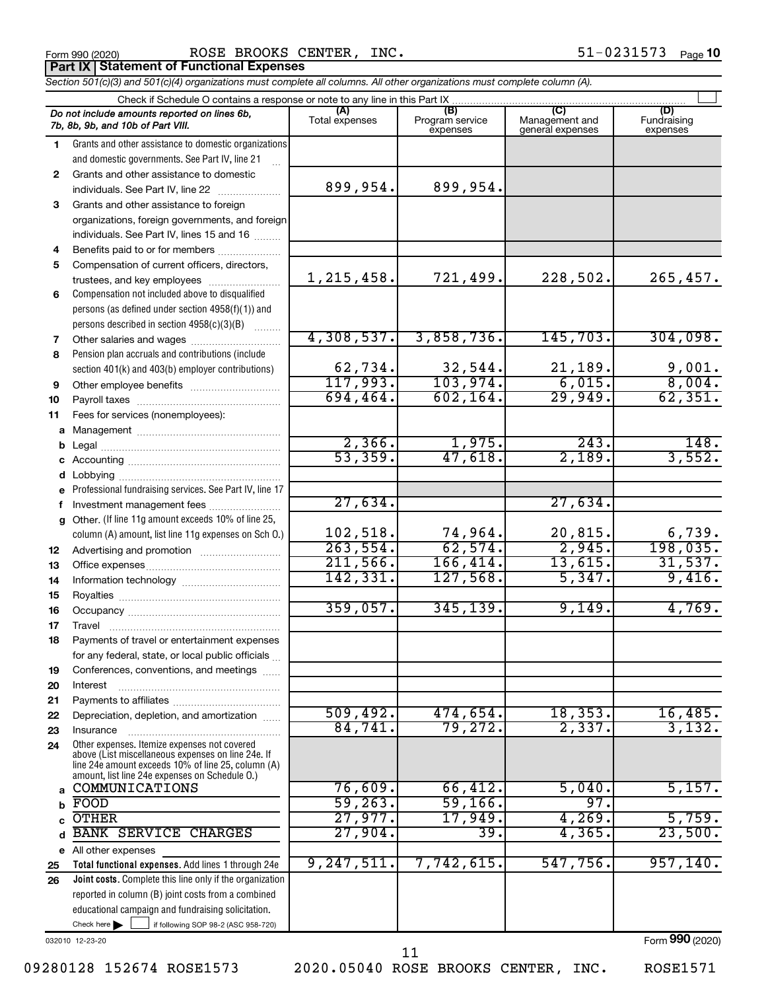Form 990 (2020) Page ROSE BROOKS CENTER, INC. 51-0231573 **Part IX Statement of Functional Expenses**

*Section 501(c)(3) and 501(c)(4) organizations must complete all columns. All other organizations must complete column (A).*

|              | Check if Schedule O contains a response or note to any line in this Part IX                          |                |                                    |                                    |                                |
|--------------|------------------------------------------------------------------------------------------------------|----------------|------------------------------------|------------------------------------|--------------------------------|
|              | Do not include amounts reported on lines 6b,<br>7b, 8b, 9b, and 10b of Part VIII.                    | Total expenses | (B)<br>Program service<br>expenses | Management and<br>general expenses | (D)<br>Fundraising<br>expenses |
| 1            | Grants and other assistance to domestic organizations                                                |                |                                    |                                    |                                |
|              | and domestic governments. See Part IV, line 21                                                       |                |                                    |                                    |                                |
| $\mathbf{2}$ | Grants and other assistance to domestic                                                              |                |                                    |                                    |                                |
|              | individuals. See Part IV, line 22                                                                    | 899,954.       | 899,954.                           |                                    |                                |
| 3            | Grants and other assistance to foreign                                                               |                |                                    |                                    |                                |
|              | organizations, foreign governments, and foreign                                                      |                |                                    |                                    |                                |
|              | individuals. See Part IV, lines 15 and 16                                                            |                |                                    |                                    |                                |
| 4            | Benefits paid to or for members                                                                      |                |                                    |                                    |                                |
| 5            | Compensation of current officers, directors,                                                         |                |                                    |                                    |                                |
|              | trustees, and key employees                                                                          | 1, 215, 458.   | 721,499.                           | 228,502.                           | 265,457.                       |
| 6            | Compensation not included above to disqualified                                                      |                |                                    |                                    |                                |
|              | persons (as defined under section 4958(f)(1)) and                                                    |                |                                    |                                    |                                |
|              | persons described in section 4958(c)(3)(B)                                                           |                |                                    |                                    |                                |
| 7            | Other salaries and wages                                                                             | 4,308,537.     | 3,858,736.                         | 145,703.                           | 304,098.                       |
| 8            | Pension plan accruals and contributions (include                                                     | 62,734.        | 32,544.                            | 21,189.                            | 9,001.                         |
|              | section 401(k) and 403(b) employer contributions)                                                    | 117,993.       | 103,974.                           | 6,015.                             | 8,004.                         |
| 9            |                                                                                                      | 694, 464.      | 602, 164.                          | 29,949.                            | 62, 351.                       |
| 10           |                                                                                                      |                |                                    |                                    |                                |
| 11           | Fees for services (nonemployees):                                                                    |                |                                    |                                    |                                |
| а<br>b       |                                                                                                      | 2,366.         | 1,975.                             | 243.                               | 148.                           |
| с            |                                                                                                      | 53, 359.       | 47,618.                            | 2,189.                             | 3,552.                         |
| d            |                                                                                                      |                |                                    |                                    |                                |
|              | Professional fundraising services. See Part IV, line 17                                              |                |                                    |                                    |                                |
|              | Investment management fees                                                                           | 27,634.        |                                    | 27,634.                            |                                |
| g            | Other. (If line 11g amount exceeds 10% of line 25,                                                   |                |                                    |                                    |                                |
|              | column (A) amount, list line 11g expenses on Sch O.)                                                 | 102,518.       | 74,964.                            | 20,815.                            | 6,739.                         |
| 12           |                                                                                                      | 263,554.       | 62,574.                            | 2,945.                             | 198,035.                       |
| 13           |                                                                                                      | 211,566.       | 166,414.                           | 13,615.                            | 31,537.                        |
| 14           |                                                                                                      | 142, 331.      | 127,568.                           | 5,347.                             | 9,416.                         |
| 15           |                                                                                                      |                |                                    |                                    |                                |
| 16           |                                                                                                      | 359,057.       | 345, 139.                          | 9,149.                             | 4,769.                         |
| 17           | Travel                                                                                               |                |                                    |                                    |                                |
| 18           | Payments of travel or entertainment expenses                                                         |                |                                    |                                    |                                |
|              | for any federal, state, or local public officials                                                    |                |                                    |                                    |                                |
| 19           | Conferences, conventions, and meetings                                                               |                |                                    |                                    |                                |
| 20           | Interest                                                                                             |                |                                    |                                    |                                |
| 21           |                                                                                                      | 509,492.       | 474,654.                           | 18, 353.                           | 16,485.                        |
| 22           | Depreciation, depletion, and amortization                                                            | 84,741.        | 79, 272.                           | 2,337.                             | 3,132.                         |
| 23<br>24     | Insurance<br>Other expenses. Itemize expenses not covered                                            |                |                                    |                                    |                                |
|              | above (List miscellaneous expenses on line 24e. If                                                   |                |                                    |                                    |                                |
|              | line 24e amount exceeds 10% of line 25, column (A)<br>amount, list line 24e expenses on Schedule O.) |                |                                    |                                    |                                |
| a            | COMMUNICATIONS                                                                                       | 76,609.        | 66,412.                            | 5,040.                             | 5,157.                         |
| b            | FOOD                                                                                                 | 59, 263.       | 59,166.                            | 97.                                |                                |
|              | <b>OTHER</b>                                                                                         | 27,977.        | 17,949.                            | 4,269.                             | 5,759.                         |
| d            | <b>BANK SERVICE CHARGES</b>                                                                          | 27,904.        | 39.                                | 4, 365.                            | 23,500.                        |
|              | e All other expenses                                                                                 |                |                                    |                                    |                                |
| 25           | Total functional expenses. Add lines 1 through 24e                                                   | 9, 247, 511.   | 7,742,615.                         | 547,756.                           | 957,140.                       |
| 26           | Joint costs. Complete this line only if the organization                                             |                |                                    |                                    |                                |
|              | reported in column (B) joint costs from a combined                                                   |                |                                    |                                    |                                |
|              | educational campaign and fundraising solicitation.                                                   |                |                                    |                                    |                                |
|              | Check here $\blacktriangleright$<br>if following SOP 98-2 (ASC 958-720)                              |                |                                    |                                    |                                |

032010 12-23-20

09280128 152674 ROSE1573 2020.05040 ROSE BROOKS CENTER, INC. ROSE1571

11

Form (2020) **990**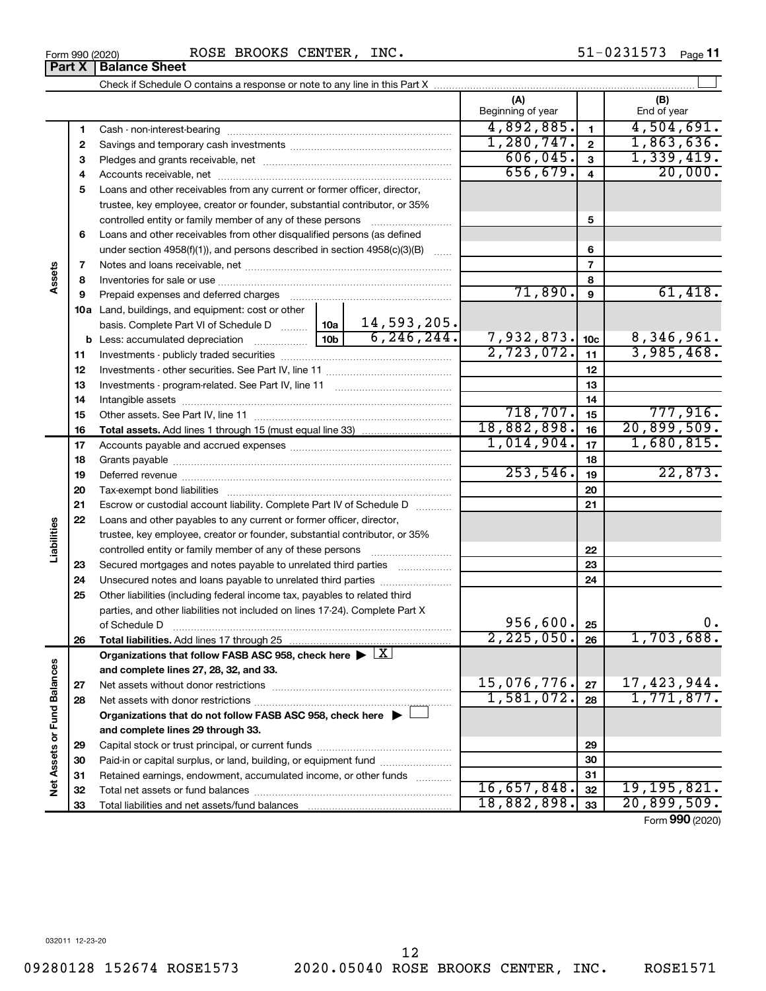| Check if Schedule O contains a response or note to any line in this Part X ……………………………………………………………… |                   |             |
|-----------------------------------------------------------------------------------------------------|-------------------|-------------|
|                                                                                                     | Beginning of year | End of year |
| Cash - non-interest-bearing                                                                         | 4,892,885.        |             |
| Savings and temporary cash investments                                                              |                   |             |
| Pledges and grants receivable, net                                                                  | 506,045.          |             |
|                                                                                                     |                   |             |

|                             | 1          |                                                                                                        |                 |              | 4,892,885.   | $\mathbf{1}$             | 4,504,691.      |
|-----------------------------|------------|--------------------------------------------------------------------------------------------------------|-----------------|--------------|--------------|--------------------------|-----------------|
|                             | 2          |                                                                                                        |                 |              | 1,280,747.   | $\overline{2}$           | 1,863,636.      |
|                             | 3          |                                                                                                        |                 |              | 606,045.     | $\mathbf{3}$             | 1,339,419.      |
|                             | 4          |                                                                                                        |                 |              | 656, 679.    | $\overline{4}$           | 20,000.         |
|                             | 5          | Loans and other receivables from any current or former officer, director,                              |                 |              |              |                          |                 |
|                             |            | trustee, key employee, creator or founder, substantial contributor, or 35%                             |                 |              |              |                          |                 |
|                             |            | controlled entity or family member of any of these persons                                             |                 |              |              | 5                        |                 |
|                             | 6          | Loans and other receivables from other disqualified persons (as defined                                |                 |              |              |                          |                 |
|                             |            | under section $4958(f)(1)$ , and persons described in section $4958(c)(3)(B)$                          |                 | $\ldots$     |              | 6                        |                 |
|                             | 7          |                                                                                                        |                 |              |              | $\overline{\phantom{a}}$ |                 |
| Assets                      | 8          |                                                                                                        |                 |              |              | 8                        |                 |
|                             | 9          | Prepaid expenses and deferred charges                                                                  |                 |              | 71,890.      | 9                        | 61,418.         |
|                             |            | 10a Land, buildings, and equipment: cost or other                                                      |                 |              |              |                          |                 |
|                             |            | basis. Complete Part VI of Schedule D  10a                                                             |                 | 14,593,205.  |              |                          |                 |
|                             |            |                                                                                                        | 10 <sub>b</sub> | 6, 246, 244. | 7,932,873.   | 10 <sub>c</sub>          | 8,346,961.      |
|                             | 11         |                                                                                                        |                 |              | 2,723,072.   | 11                       | 3,985,468.      |
|                             | 12         |                                                                                                        |                 |              |              | 12                       |                 |
|                             | 13         |                                                                                                        |                 |              |              | 13                       |                 |
|                             | 14         |                                                                                                        |                 |              |              | 14                       |                 |
|                             | 15         |                                                                                                        |                 |              | 718, 707.    | 15                       | 777,916.        |
|                             | 16         |                                                                                                        |                 |              | 18,882,898.  | 16                       | 20,899,509.     |
|                             | 17         |                                                                                                        |                 |              | 1,014,904.   | 17                       | 1,680,815.      |
|                             | 18         |                                                                                                        |                 |              |              | 18                       |                 |
|                             | 19         |                                                                                                        |                 |              | 253,546.     | 19                       | 22,873.         |
|                             | 20         |                                                                                                        |                 |              | 20           |                          |                 |
|                             | 21         | Escrow or custodial account liability. Complete Part IV of Schedule D                                  |                 |              |              | 21                       |                 |
|                             | 22         | Loans and other payables to any current or former officer, director,                                   |                 |              |              |                          |                 |
| Liabilities                 |            | trustee, key employee, creator or founder, substantial contributor, or 35%                             |                 |              |              |                          |                 |
|                             |            |                                                                                                        |                 |              |              | 22                       |                 |
|                             | 23         | Secured mortgages and notes payable to unrelated third parties                                         |                 |              |              | 23                       |                 |
|                             | 24         | Unsecured notes and loans payable to unrelated third parties                                           |                 |              |              | 24                       |                 |
|                             | 25         | Other liabilities (including federal income tax, payables to related third                             |                 |              |              |                          |                 |
|                             |            | parties, and other liabilities not included on lines 17-24). Complete Part X                           |                 |              |              |                          |                 |
|                             |            | of Schedule D                                                                                          |                 |              | 956,600.     | 25                       | 0.              |
|                             | 26         |                                                                                                        |                 |              | 2, 225, 050. | 26                       | 1,703,688.      |
|                             |            | Organizations that follow FASB ASC 958, check here $\blacktriangleright \lfloor \underline{X} \rfloor$ |                 |              |              |                          |                 |
|                             |            | and complete lines 27, 28, 32, and 33.                                                                 |                 |              | 15,076,776.  |                          | 17,423,944.     |
|                             | ${\bf 27}$ |                                                                                                        |                 |              | 1,581,072.   | 27                       | 1,771,877.      |
|                             | 28         |                                                                                                        |                 |              |              | 28                       |                 |
|                             |            | Organizations that do not follow FASB ASC 958, check here $\blacktriangleright$                        |                 |              |              |                          |                 |
| Net Assets or Fund Balances |            | and complete lines 29 through 33.                                                                      |                 |              |              | 29                       |                 |
|                             | 29         | Paid-in or capital surplus, or land, building, or equipment fund                                       |                 |              |              | 30                       |                 |
|                             | 30         |                                                                                                        |                 |              |              | 31                       |                 |
|                             | 31         | Retained earnings, endowment, accumulated income, or other funds                                       |                 |              | 16,657,848.  | 32                       | 19, 195, 821.   |
|                             | 32<br>33   |                                                                                                        |                 |              | 18,882,898.  | 33                       | 20,899,509.     |
|                             |            |                                                                                                        |                 |              |              |                          | Form 990 (2020) |
|                             |            |                                                                                                        |                 |              |              |                          |                 |

 $\perp$ 

**Part X Balance Sheet**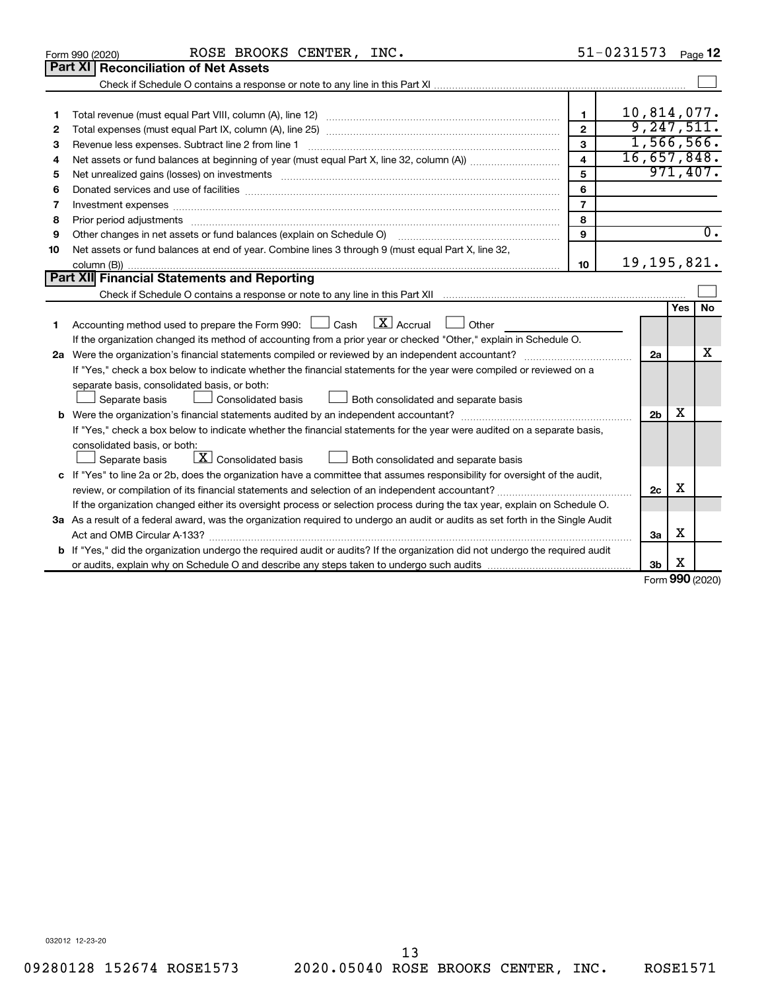|    | ROSE BROOKS CENTER, INC.<br>Form 990 (2020)                                                                                          |                         | 51-0231573     |               | Page 12          |
|----|--------------------------------------------------------------------------------------------------------------------------------------|-------------------------|----------------|---------------|------------------|
|    | Part XI<br><b>Reconciliation of Net Assets</b>                                                                                       |                         |                |               |                  |
|    |                                                                                                                                      |                         |                |               |                  |
|    |                                                                                                                                      |                         |                |               |                  |
| 1  |                                                                                                                                      | $\blacksquare$          | 10,814,077.    |               |                  |
| 2  |                                                                                                                                      | $\overline{2}$          |                |               | 9, 247, 511.     |
| 3  | Revenue less expenses. Subtract line 2 from line 1                                                                                   | 3                       |                |               | 1,566,566.       |
| 4  |                                                                                                                                      | $\overline{\mathbf{4}}$ | 16,657,848.    |               |                  |
| 5  |                                                                                                                                      | 5                       |                |               | 971,407.         |
| 6  |                                                                                                                                      | 6                       |                |               |                  |
| 7  | Investment expenses www.communication.com/www.communication.com/www.communication.com/www.com                                        | $\overline{7}$          |                |               |                  |
| 8  |                                                                                                                                      | 8                       |                |               |                  |
| 9  | Other changes in net assets or fund balances (explain on Schedule O)                                                                 | 9                       |                |               | $\overline{0}$ . |
| 10 | Net assets or fund balances at end of year. Combine lines 3 through 9 (must equal Part X, line 32,                                   |                         |                |               |                  |
|    |                                                                                                                                      | 10                      | 19, 195, 821.  |               |                  |
|    | Part XII Financial Statements and Reporting                                                                                          |                         |                |               |                  |
|    |                                                                                                                                      |                         |                |               |                  |
|    |                                                                                                                                      |                         |                | Yes           | No               |
| 1  | $\lfloor x \rfloor$ Accrual<br>Accounting method used to prepare the Form 990: [130] Cash<br>$\Box$ Other                            |                         |                |               |                  |
|    | If the organization changed its method of accounting from a prior year or checked "Other," explain in Schedule O.                    |                         |                |               |                  |
|    |                                                                                                                                      |                         | 2a             |               | x                |
|    | If "Yes," check a box below to indicate whether the financial statements for the year were compiled or reviewed on a                 |                         |                |               |                  |
|    | separate basis, consolidated basis, or both:                                                                                         |                         |                |               |                  |
|    | Both consolidated and separate basis<br>Separate basis<br>Consolidated basis                                                         |                         |                |               |                  |
|    |                                                                                                                                      |                         | 2 <sub>b</sub> | х             |                  |
|    | If "Yes," check a box below to indicate whether the financial statements for the year were audited on a separate basis,              |                         |                |               |                  |
|    | consolidated basis, or both:                                                                                                         |                         |                |               |                  |
|    | $\boxed{\textbf{X}}$ Consolidated basis<br>Both consolidated and separate basis<br>Separate basis                                    |                         |                |               |                  |
|    | c If "Yes" to line 2a or 2b, does the organization have a committee that assumes responsibility for oversight of the audit,          |                         |                |               |                  |
|    |                                                                                                                                      |                         | 2c             | х             |                  |
|    | If the organization changed either its oversight process or selection process during the tax year, explain on Schedule O.            |                         |                |               |                  |
|    | 3a As a result of a federal award, was the organization required to undergo an audit or audits as set forth in the Single Audit      |                         |                |               |                  |
|    |                                                                                                                                      |                         | За             | х             |                  |
|    | <b>b</b> If "Yes," did the organization undergo the required audit or audits? If the organization did not undergo the required audit |                         |                |               |                  |
|    |                                                                                                                                      |                         | Зb             | х<br>$\Omega$ |                  |

Form (2020) **990**

032012 12-23-20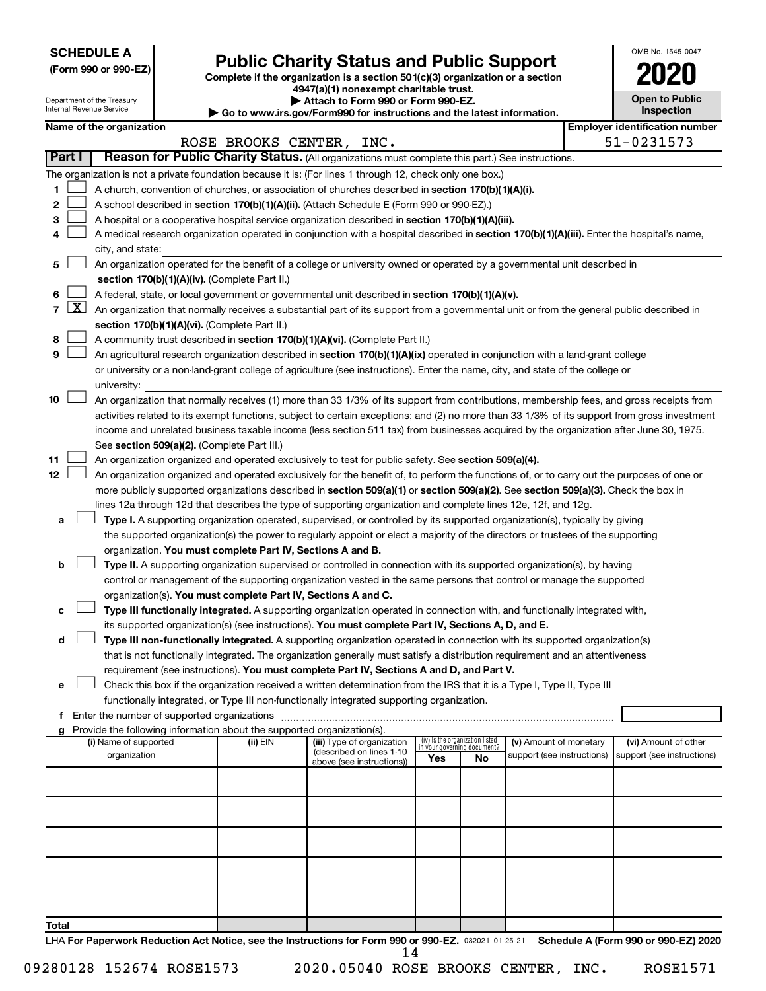**SCHEDULE A**

Department of the Treasury Internal Revenue Service

# Form 990 or 990-EZ) **Public Charity Status and Public Support**<br>
Complete if the organization is a section 501(c)(3) organization or a section<br> **2020**

**4947(a)(1) nonexempt charitable trust. | Attach to Form 990 or Form 990-EZ.** 

**| Go to www.irs.gov/Form990 for instructions and the latest information.**

| <b>Open to Public</b>   |
|-------------------------|
| Inspection              |
| er identification numbe |

OMB No. 1545-0047

|                |                     | Name of the organization                                                                                                                     |                          |                                                        |     |                                 |                                                      | <b>Employer identification number</b>              |
|----------------|---------------------|----------------------------------------------------------------------------------------------------------------------------------------------|--------------------------|--------------------------------------------------------|-----|---------------------------------|------------------------------------------------------|----------------------------------------------------|
|                |                     |                                                                                                                                              | ROSE BROOKS CENTER, INC. |                                                        |     |                                 |                                                      | 51-0231573                                         |
| Part I         |                     | Reason for Public Charity Status. (All organizations must complete this part.) See instructions.                                             |                          |                                                        |     |                                 |                                                      |                                                    |
|                |                     | The organization is not a private foundation because it is: (For lines 1 through 12, check only one box.)                                    |                          |                                                        |     |                                 |                                                      |                                                    |
| 1              |                     | A church, convention of churches, or association of churches described in section 170(b)(1)(A)(i).                                           |                          |                                                        |     |                                 |                                                      |                                                    |
| 2              |                     | A school described in section 170(b)(1)(A)(ii). (Attach Schedule E (Form 990 or 990-EZ).)                                                    |                          |                                                        |     |                                 |                                                      |                                                    |
| з              |                     | A hospital or a cooperative hospital service organization described in section 170(b)(1)(A)(iii).                                            |                          |                                                        |     |                                 |                                                      |                                                    |
|                |                     | A medical research organization operated in conjunction with a hospital described in section 170(b)(1)(A)(iii). Enter the hospital's name,   |                          |                                                        |     |                                 |                                                      |                                                    |
|                |                     | city, and state:                                                                                                                             |                          |                                                        |     |                                 |                                                      |                                                    |
| 5              |                     | An organization operated for the benefit of a college or university owned or operated by a governmental unit described in                    |                          |                                                        |     |                                 |                                                      |                                                    |
|                |                     | section 170(b)(1)(A)(iv). (Complete Part II.)                                                                                                |                          |                                                        |     |                                 |                                                      |                                                    |
| 6              |                     | A federal, state, or local government or governmental unit described in section 170(b)(1)(A)(v).                                             |                          |                                                        |     |                                 |                                                      |                                                    |
| $\overline{7}$ | $\lfloor x \rfloor$ | An organization that normally receives a substantial part of its support from a governmental unit or from the general public described in    |                          |                                                        |     |                                 |                                                      |                                                    |
|                |                     | section 170(b)(1)(A)(vi). (Complete Part II.)                                                                                                |                          |                                                        |     |                                 |                                                      |                                                    |
| 8              |                     | A community trust described in section 170(b)(1)(A)(vi). (Complete Part II.)                                                                 |                          |                                                        |     |                                 |                                                      |                                                    |
| 9              |                     | An agricultural research organization described in section 170(b)(1)(A)(ix) operated in conjunction with a land-grant college                |                          |                                                        |     |                                 |                                                      |                                                    |
|                |                     | or university or a non-land-grant college of agriculture (see instructions). Enter the name, city, and state of the college or               |                          |                                                        |     |                                 |                                                      |                                                    |
|                |                     | university:                                                                                                                                  |                          |                                                        |     |                                 |                                                      |                                                    |
| 10             |                     | An organization that normally receives (1) more than 33 1/3% of its support from contributions, membership fees, and gross receipts from     |                          |                                                        |     |                                 |                                                      |                                                    |
|                |                     | activities related to its exempt functions, subject to certain exceptions; and (2) no more than 33 1/3% of its support from gross investment |                          |                                                        |     |                                 |                                                      |                                                    |
|                |                     | income and unrelated business taxable income (less section 511 tax) from businesses acquired by the organization after June 30, 1975.        |                          |                                                        |     |                                 |                                                      |                                                    |
|                |                     | See section 509(a)(2). (Complete Part III.)                                                                                                  |                          |                                                        |     |                                 |                                                      |                                                    |
| 11             |                     | An organization organized and operated exclusively to test for public safety. See section 509(a)(4).                                         |                          |                                                        |     |                                 |                                                      |                                                    |
| 12             |                     | An organization organized and operated exclusively for the benefit of, to perform the functions of, or to carry out the purposes of one or   |                          |                                                        |     |                                 |                                                      |                                                    |
|                |                     | more publicly supported organizations described in section 509(a)(1) or section 509(a)(2). See section 509(a)(3). Check the box in           |                          |                                                        |     |                                 |                                                      |                                                    |
|                |                     | lines 12a through 12d that describes the type of supporting organization and complete lines 12e, 12f, and 12g.                               |                          |                                                        |     |                                 |                                                      |                                                    |
| а              |                     | Type I. A supporting organization operated, supervised, or controlled by its supported organization(s), typically by giving                  |                          |                                                        |     |                                 |                                                      |                                                    |
|                |                     | the supported organization(s) the power to regularly appoint or elect a majority of the directors or trustees of the supporting              |                          |                                                        |     |                                 |                                                      |                                                    |
|                |                     | organization. You must complete Part IV, Sections A and B.                                                                                   |                          |                                                        |     |                                 |                                                      |                                                    |
| b              |                     | Type II. A supporting organization supervised or controlled in connection with its supported organization(s), by having                      |                          |                                                        |     |                                 |                                                      |                                                    |
|                |                     | control or management of the supporting organization vested in the same persons that control or manage the supported                         |                          |                                                        |     |                                 |                                                      |                                                    |
|                |                     | organization(s). You must complete Part IV, Sections A and C.                                                                                |                          |                                                        |     |                                 |                                                      |                                                    |
| с              |                     | Type III functionally integrated. A supporting organization operated in connection with, and functionally integrated with,                   |                          |                                                        |     |                                 |                                                      |                                                    |
|                |                     | its supported organization(s) (see instructions). You must complete Part IV, Sections A, D, and E.                                           |                          |                                                        |     |                                 |                                                      |                                                    |
| d              |                     | Type III non-functionally integrated. A supporting organization operated in connection with its supported organization(s)                    |                          |                                                        |     |                                 |                                                      |                                                    |
|                |                     | that is not functionally integrated. The organization generally must satisfy a distribution requirement and an attentiveness                 |                          |                                                        |     |                                 |                                                      |                                                    |
|                |                     | requirement (see instructions). You must complete Part IV, Sections A and D, and Part V.                                                     |                          |                                                        |     |                                 |                                                      |                                                    |
| е              |                     | Check this box if the organization received a written determination from the IRS that it is a Type I, Type II, Type III                      |                          |                                                        |     |                                 |                                                      |                                                    |
|                |                     | functionally integrated, or Type III non-functionally integrated supporting organization.                                                    |                          |                                                        |     |                                 |                                                      |                                                    |
|                |                     | f Enter the number of supported organizations                                                                                                |                          |                                                        |     |                                 |                                                      |                                                    |
|                |                     | g Provide the following information about the supported organization(s).                                                                     |                          |                                                        |     | (iv) Is the organization listed |                                                      |                                                    |
|                |                     | (i) Name of supported<br>organization                                                                                                        | (ii) EIN                 | (iii) Type of organization<br>(described on lines 1-10 |     | in your governing document?     | (v) Amount of monetary<br>support (see instructions) | (vi) Amount of other<br>support (see instructions) |
|                |                     |                                                                                                                                              |                          | above (see instructions))                              | Yes | No                              |                                                      |                                                    |
|                |                     |                                                                                                                                              |                          |                                                        |     |                                 |                                                      |                                                    |
|                |                     |                                                                                                                                              |                          |                                                        |     |                                 |                                                      |                                                    |
|                |                     |                                                                                                                                              |                          |                                                        |     |                                 |                                                      |                                                    |
|                |                     |                                                                                                                                              |                          |                                                        |     |                                 |                                                      |                                                    |
|                |                     |                                                                                                                                              |                          |                                                        |     |                                 |                                                      |                                                    |
|                |                     |                                                                                                                                              |                          |                                                        |     |                                 |                                                      |                                                    |
|                |                     |                                                                                                                                              |                          |                                                        |     |                                 |                                                      |                                                    |
|                |                     |                                                                                                                                              |                          |                                                        |     |                                 |                                                      |                                                    |
|                |                     |                                                                                                                                              |                          |                                                        |     |                                 |                                                      |                                                    |
|                |                     |                                                                                                                                              |                          |                                                        |     |                                 |                                                      |                                                    |
| Total          |                     |                                                                                                                                              |                          |                                                        |     |                                 |                                                      |                                                    |
|                |                     | LHA For Paperwork Reduction Act Notice, see the Instructions for Form 990 or 990-EZ. 032021 01-25-21                                         |                          |                                                        |     |                                 |                                                      | Schedule A (Form 990 or 990-EZ) 2020               |

14

 $\Box$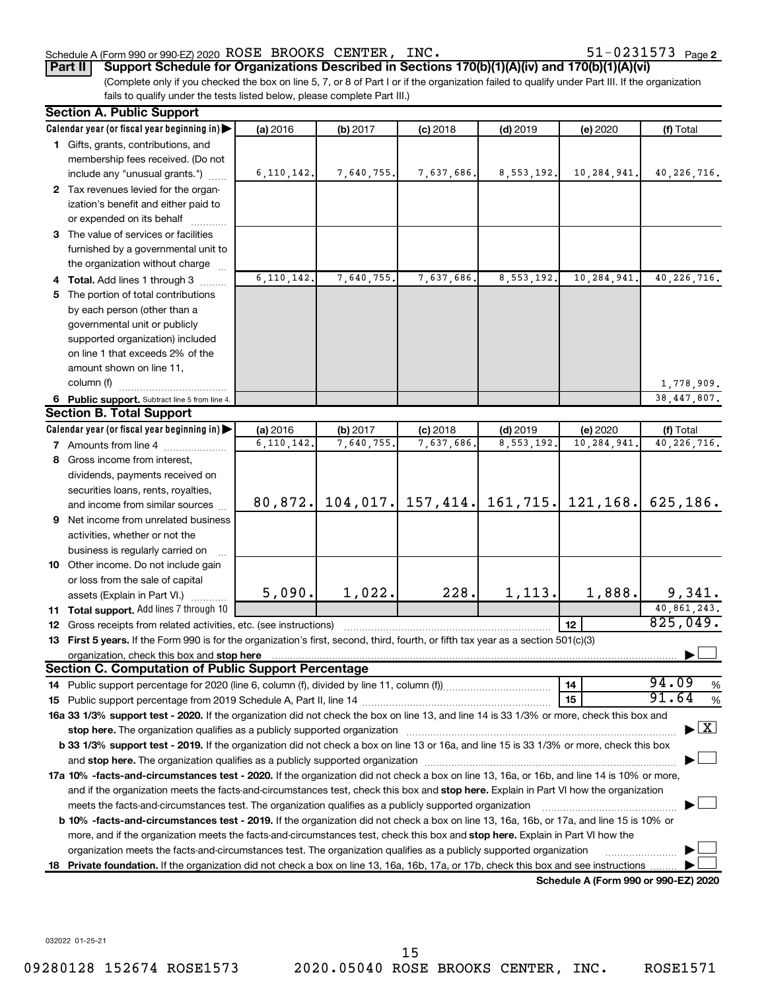#### Schedule A (Form 990 or 990-EZ) 2020 Page ROSE BROOKS CENTER, INC. 51-0231573

51-0231573 Page 2

**Part II Support Schedule for Organizations Described in Sections 170(b)(1)(A)(iv) and 170(b)(1)(A)(vi)**

(Complete only if you checked the box on line 5, 7, or 8 of Part I or if the organization failed to qualify under Part III. If the organization fails to qualify under the tests listed below, please complete Part III.)

|    | <b>Section A. Public Support</b>                                                                                                                                                                                                                 |              |            |                       |            |                                      |                                          |
|----|--------------------------------------------------------------------------------------------------------------------------------------------------------------------------------------------------------------------------------------------------|--------------|------------|-----------------------|------------|--------------------------------------|------------------------------------------|
|    | Calendar year (or fiscal year beginning in)                                                                                                                                                                                                      | (a) 2016     | (b) 2017   | $(c)$ 2018            | $(d)$ 2019 | (e) 2020                             | (f) Total                                |
|    | 1 Gifts, grants, contributions, and                                                                                                                                                                                                              |              |            |                       |            |                                      |                                          |
|    | membership fees received. (Do not                                                                                                                                                                                                                |              |            |                       |            |                                      |                                          |
|    | include any "unusual grants.")                                                                                                                                                                                                                   | 6, 110, 142. | 7,640,755. | 7,637,686.            | 8,553,192. | 10,284,941.                          | 40, 226, 716.                            |
|    | 2 Tax revenues levied for the organ-                                                                                                                                                                                                             |              |            |                       |            |                                      |                                          |
|    | ization's benefit and either paid to                                                                                                                                                                                                             |              |            |                       |            |                                      |                                          |
|    | or expended on its behalf                                                                                                                                                                                                                        |              |            |                       |            |                                      |                                          |
|    | 3 The value of services or facilities                                                                                                                                                                                                            |              |            |                       |            |                                      |                                          |
|    | furnished by a governmental unit to                                                                                                                                                                                                              |              |            |                       |            |                                      |                                          |
|    | the organization without charge                                                                                                                                                                                                                  |              |            |                       |            |                                      |                                          |
|    | 4 Total. Add lines 1 through 3                                                                                                                                                                                                                   | 6,110,142.   | 7,640,755. | 7,637,686             | 8,553,192. | 10,284,941.                          | 40, 226, 716.                            |
|    | 5 The portion of total contributions                                                                                                                                                                                                             |              |            |                       |            |                                      |                                          |
|    | by each person (other than a                                                                                                                                                                                                                     |              |            |                       |            |                                      |                                          |
|    | governmental unit or publicly                                                                                                                                                                                                                    |              |            |                       |            |                                      |                                          |
|    | supported organization) included                                                                                                                                                                                                                 |              |            |                       |            |                                      |                                          |
|    | on line 1 that exceeds 2% of the                                                                                                                                                                                                                 |              |            |                       |            |                                      |                                          |
|    | amount shown on line 11,                                                                                                                                                                                                                         |              |            |                       |            |                                      |                                          |
|    | column (f)                                                                                                                                                                                                                                       |              |            |                       |            |                                      | 1,778,909.                               |
|    | 6 Public support. Subtract line 5 from line 4.                                                                                                                                                                                                   |              |            |                       |            |                                      | 38, 447, 807.                            |
|    | <b>Section B. Total Support</b>                                                                                                                                                                                                                  |              |            |                       |            |                                      |                                          |
|    | Calendar year (or fiscal year beginning in)                                                                                                                                                                                                      | (a) 2016     | (b) 2017   | $(c)$ 2018            | $(d)$ 2019 | (e) 2020                             | (f) Total                                |
|    | <b>7</b> Amounts from line 4                                                                                                                                                                                                                     | 6, 110, 142. | 7,640,755  | 7,637,686             | 8,553,192  | 10,284,941                           | 40, 226, 716.                            |
|    | 8 Gross income from interest,                                                                                                                                                                                                                    |              |            |                       |            |                                      |                                          |
|    | dividends, payments received on                                                                                                                                                                                                                  |              |            |                       |            |                                      |                                          |
|    | securities loans, rents, royalties,                                                                                                                                                                                                              |              |            |                       |            |                                      |                                          |
|    | and income from similar sources                                                                                                                                                                                                                  | 80,872.      |            | $104, 017.$ 157, 414. |            | $161, 715.$ 121, 168.                | 625, 186.                                |
|    | 9 Net income from unrelated business                                                                                                                                                                                                             |              |            |                       |            |                                      |                                          |
|    | activities, whether or not the                                                                                                                                                                                                                   |              |            |                       |            |                                      |                                          |
|    | business is regularly carried on                                                                                                                                                                                                                 |              |            |                       |            |                                      |                                          |
|    | 10 Other income. Do not include gain                                                                                                                                                                                                             |              |            |                       |            |                                      |                                          |
|    | or loss from the sale of capital                                                                                                                                                                                                                 |              |            |                       |            |                                      |                                          |
|    | assets (Explain in Part VI.)                                                                                                                                                                                                                     | 5,090.       | 1,022.     | 228.                  | 1,113.     | 1,888.                               | 9,341.                                   |
|    | 11 Total support. Add lines 7 through 10                                                                                                                                                                                                         |              |            |                       |            |                                      | 40,861,243.                              |
|    | <b>12</b> Gross receipts from related activities, etc. (see instructions)                                                                                                                                                                        |              |            |                       |            | 12                                   | 825,049.                                 |
|    | 13 First 5 years. If the Form 990 is for the organization's first, second, third, fourth, or fifth tax year as a section 501(c)(3)                                                                                                               |              |            |                       |            |                                      |                                          |
|    |                                                                                                                                                                                                                                                  |              |            |                       |            |                                      |                                          |
|    | <b>Section C. Computation of Public Support Percentage</b>                                                                                                                                                                                       |              |            |                       |            |                                      | 94.09                                    |
|    |                                                                                                                                                                                                                                                  |              |            |                       |            | 14                                   | %                                        |
|    |                                                                                                                                                                                                                                                  |              |            |                       |            | 15                                   | 91.64<br>$\%$                            |
|    | 16a 33 1/3% support test - 2020. If the organization did not check the box on line 13, and line 14 is 33 1/3% or more, check this box and                                                                                                        |              |            |                       |            |                                      | $\blacktriangleright$ $\boxed{\text{X}}$ |
|    | stop here. The organization qualifies as a publicly supported organization manufaction manufacture or manufacture or the organization manufacture or the organization of the state of the state of the state of the state of t                   |              |            |                       |            |                                      |                                          |
|    | b 33 1/3% support test - 2019. If the organization did not check a box on line 13 or 16a, and line 15 is 33 1/3% or more, check this box                                                                                                         |              |            |                       |            |                                      |                                          |
|    |                                                                                                                                                                                                                                                  |              |            |                       |            |                                      |                                          |
|    | 17a 10% -facts-and-circumstances test - 2020. If the organization did not check a box on line 13, 16a, or 16b, and line 14 is 10% or more,                                                                                                       |              |            |                       |            |                                      |                                          |
|    | and if the organization meets the facts-and-circumstances test, check this box and stop here. Explain in Part VI how the organization<br>meets the facts-and-circumstances test. The organization qualifies as a publicly supported organization |              |            |                       |            |                                      |                                          |
|    | <b>b 10%</b> -facts-and-circumstances test - 2019. If the organization did not check a box on line 13, 16a, 16b, or 17a, and line 15 is 10% or                                                                                                   |              |            |                       |            |                                      |                                          |
|    | more, and if the organization meets the facts-and-circumstances test, check this box and <b>stop here.</b> Explain in Part VI how the                                                                                                            |              |            |                       |            |                                      |                                          |
|    | organization meets the facts-and-circumstances test. The organization qualifies as a publicly supported organization                                                                                                                             |              |            |                       |            |                                      |                                          |
| 18 | Private foundation. If the organization did not check a box on line 13, 16a, 16b, 17a, or 17b, check this box and see instructions.                                                                                                              |              |            |                       |            |                                      |                                          |
|    |                                                                                                                                                                                                                                                  |              |            |                       |            | Schedule A (Form 990 or 990-EZ) 2020 |                                          |

032022 01-25-21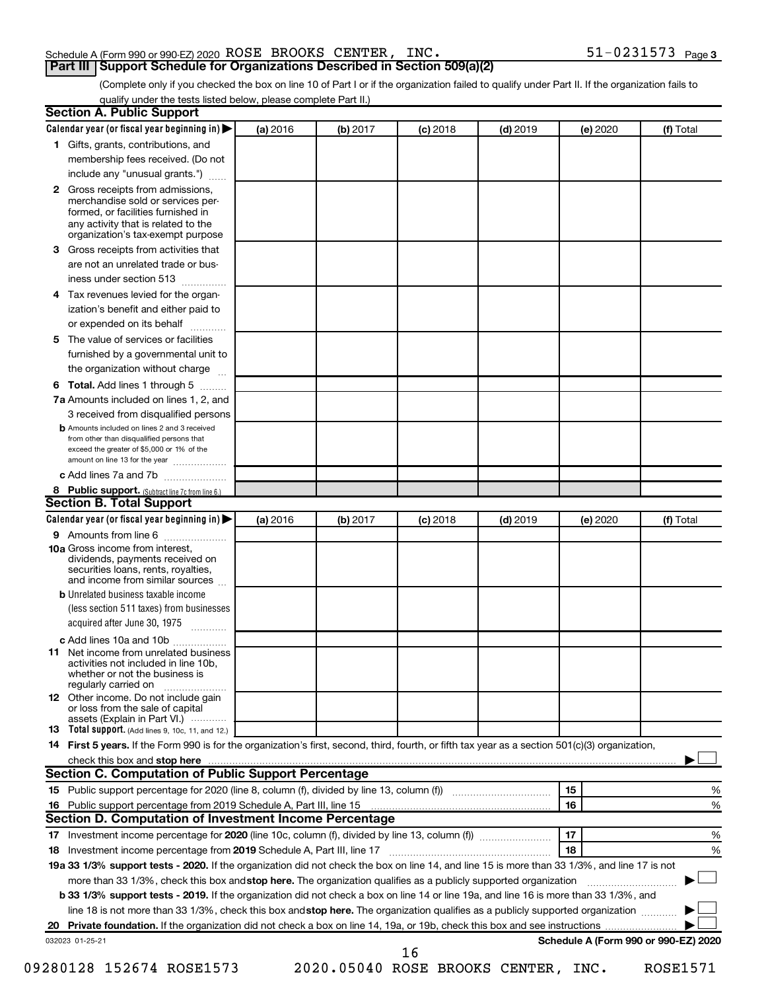#### Schedule A (Form 990 or 990-EZ) 2020 Page ROSE BROOKS CENTER, INC. 51-0231573 **Part III Support Schedule for Organizations Described in Section 509(a)(2)**

(Complete only if you checked the box on line 10 of Part I or if the organization failed to qualify under Part II. If the organization fails to qualify under the tests listed below, please complete Part II.)

| Calendar year (or fiscal year beginning in)                                                                                                                                                                                                                                     | (a) 2016 | (b) 2017 | $(c)$ 2018                          | $(d)$ 2019 | (e) 2020 | (f) Total                            |
|---------------------------------------------------------------------------------------------------------------------------------------------------------------------------------------------------------------------------------------------------------------------------------|----------|----------|-------------------------------------|------------|----------|--------------------------------------|
| 1 Gifts, grants, contributions, and                                                                                                                                                                                                                                             |          |          |                                     |            |          |                                      |
| membership fees received. (Do not                                                                                                                                                                                                                                               |          |          |                                     |            |          |                                      |
| include any "unusual grants.")                                                                                                                                                                                                                                                  |          |          |                                     |            |          |                                      |
| Gross receipts from admissions,<br>$\mathbf{2}$<br>merchandise sold or services per-<br>formed, or facilities furnished in<br>any activity that is related to the<br>organization's tax-exempt purpose                                                                          |          |          |                                     |            |          |                                      |
| Gross receipts from activities that<br>3.                                                                                                                                                                                                                                       |          |          |                                     |            |          |                                      |
| are not an unrelated trade or bus-                                                                                                                                                                                                                                              |          |          |                                     |            |          |                                      |
| iness under section 513                                                                                                                                                                                                                                                         |          |          |                                     |            |          |                                      |
| Tax revenues levied for the organ-<br>4                                                                                                                                                                                                                                         |          |          |                                     |            |          |                                      |
| ization's benefit and either paid to<br>or expended on its behalf<br>.                                                                                                                                                                                                          |          |          |                                     |            |          |                                      |
| The value of services or facilities<br>5                                                                                                                                                                                                                                        |          |          |                                     |            |          |                                      |
| furnished by a governmental unit to                                                                                                                                                                                                                                             |          |          |                                     |            |          |                                      |
| the organization without charge                                                                                                                                                                                                                                                 |          |          |                                     |            |          |                                      |
| Total. Add lines 1 through 5<br>6                                                                                                                                                                                                                                               |          |          |                                     |            |          |                                      |
| 7a Amounts included on lines 1, 2, and                                                                                                                                                                                                                                          |          |          |                                     |            |          |                                      |
| 3 received from disqualified persons<br><b>b</b> Amounts included on lines 2 and 3 received                                                                                                                                                                                     |          |          |                                     |            |          |                                      |
| from other than disqualified persons that<br>exceed the greater of \$5,000 or 1% of the<br>amount on line 13 for the year                                                                                                                                                       |          |          |                                     |            |          |                                      |
| c Add lines 7a and 7b                                                                                                                                                                                                                                                           |          |          |                                     |            |          |                                      |
| 8 Public support. (Subtract line 7c from line 6.)                                                                                                                                                                                                                               |          |          |                                     |            |          |                                      |
| <b>Section B. Total Support</b>                                                                                                                                                                                                                                                 |          |          |                                     |            |          |                                      |
| Calendar year (or fiscal year beginning in)                                                                                                                                                                                                                                     | (a) 2016 | (b) 2017 | $(c)$ 2018                          | $(d)$ 2019 | (e) 2020 | (f) Total                            |
| 9 Amounts from line 6                                                                                                                                                                                                                                                           |          |          |                                     |            |          |                                      |
| <b>10a</b> Gross income from interest,<br>dividends, payments received on<br>securities loans, rents, royalties,<br>and income from similar sources                                                                                                                             |          |          |                                     |            |          |                                      |
| <b>b</b> Unrelated business taxable income                                                                                                                                                                                                                                      |          |          |                                     |            |          |                                      |
| (less section 511 taxes) from businesses<br>acquired after June 30, 1975                                                                                                                                                                                                        |          |          |                                     |            |          |                                      |
| c Add lines 10a and 10b                                                                                                                                                                                                                                                         |          |          |                                     |            |          |                                      |
| Net income from unrelated business<br>11<br>activities not included in line 10b.<br>whether or not the business is<br>regularly carried on                                                                                                                                      |          |          |                                     |            |          |                                      |
| <b>12</b> Other income. Do not include gain<br>or loss from the sale of capital<br>assets (Explain in Part VI.)                                                                                                                                                                 |          |          |                                     |            |          |                                      |
| <b>13</b> Total support. (Add lines 9, 10c, 11, and 12.)                                                                                                                                                                                                                        |          |          |                                     |            |          |                                      |
| 14 First 5 years. If the Form 990 is for the organization's first, second, third, fourth, or fifth tax year as a section 501(c)(3) organization,                                                                                                                                |          |          |                                     |            |          |                                      |
| check this box and stop here measurement and the contract of the state of the contract of the state of the contract of the contract of the contract of the contract of the contract of the contract of the contract of the con                                                  |          |          |                                     |            |          |                                      |
| <b>Section C. Computation of Public Support Percentage</b>                                                                                                                                                                                                                      |          |          |                                     |            |          |                                      |
|                                                                                                                                                                                                                                                                                 |          |          |                                     |            | 15       | %                                    |
|                                                                                                                                                                                                                                                                                 |          |          |                                     |            | 16       | %                                    |
| Section D. Computation of Investment Income Percentage                                                                                                                                                                                                                          |          |          |                                     |            |          |                                      |
|                                                                                                                                                                                                                                                                                 |          |          |                                     |            | 17       | %                                    |
|                                                                                                                                                                                                                                                                                 |          |          |                                     |            | 18       | %                                    |
| 19a 33 1/3% support tests - 2020. If the organization did not check the box on line 14, and line 15 is more than 33 1/3%, and line 17 is not                                                                                                                                    |          |          |                                     |            |          |                                      |
| more than 33 1/3%, check this box and stop here. The organization qualifies as a publicly supported organization                                                                                                                                                                |          |          |                                     |            |          |                                      |
| <b>b 33 1/3% support tests - 2019.</b> If the organization did not check a box on line 14 or line 19a, and line 16 is more than 33 1/3%, and<br>line 18 is not more than 33 1/3%, check this box and stop here. The organization qualifies as a publicly supported organization |          |          |                                     |            |          |                                      |
|                                                                                                                                                                                                                                                                                 |          |          |                                     |            |          |                                      |
|                                                                                                                                                                                                                                                                                 |          |          |                                     |            |          | Schedule A (Form 990 or 990-EZ) 2020 |
| 032023 01-25-21                                                                                                                                                                                                                                                                 |          |          | 16                                  |            |          |                                      |
| 09280128 152674 ROSE1573                                                                                                                                                                                                                                                        |          |          | 2020.05040 ROSE BROOKS CENTER, INC. |            |          | <b>ROSE1571</b>                      |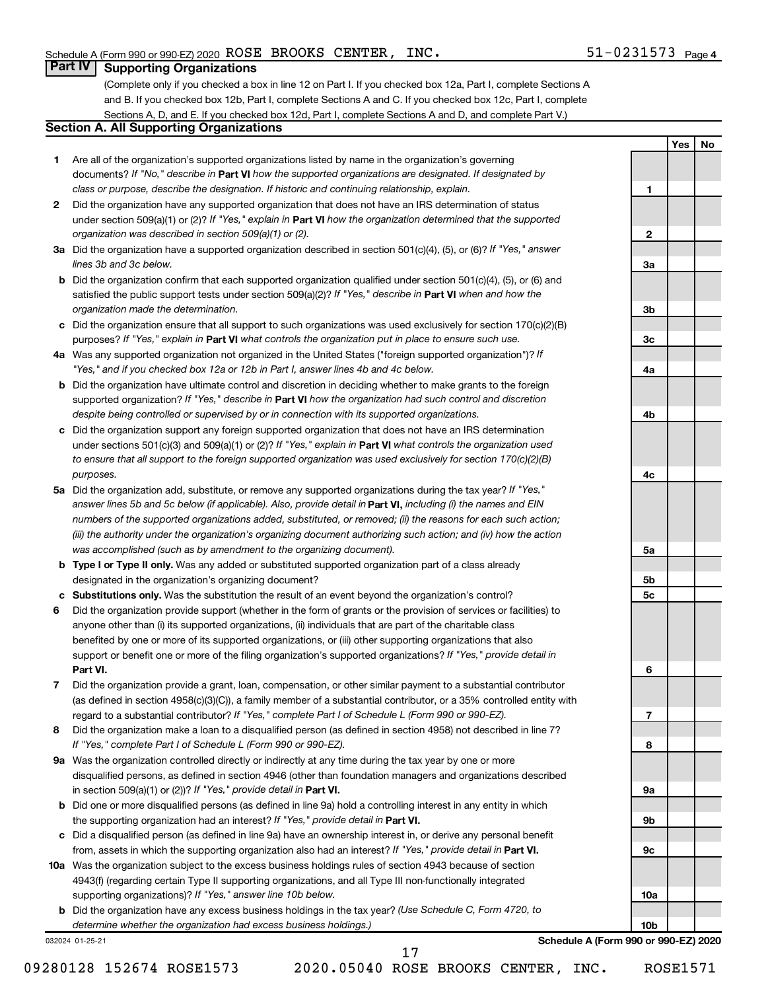**1**

**2**

**3a**

**3b**

**3c**

**4a**

**4b**

**4c**

**5a**

**5b 5c**

**6**

**7**

**8**

**9a**

**9b**

**9c**

**10a**

**10b**

**Yes No**

#### **Part IV Supporting Organizations**

(Complete only if you checked a box in line 12 on Part I. If you checked box 12a, Part I, complete Sections A and B. If you checked box 12b, Part I, complete Sections A and C. If you checked box 12c, Part I, complete Sections A, D, and E. If you checked box 12d, Part I, complete Sections A and D, and complete Part V.)

### **Section A. All Supporting Organizations**

- **1** Are all of the organization's supported organizations listed by name in the organization's governing documents? If "No," describe in Part VI how the supported organizations are designated. If designated by *class or purpose, describe the designation. If historic and continuing relationship, explain.*
- **2** Did the organization have any supported organization that does not have an IRS determination of status under section 509(a)(1) or (2)? If "Yes," explain in Part **VI** how the organization determined that the supported *organization was described in section 509(a)(1) or (2).*
- **3a** Did the organization have a supported organization described in section 501(c)(4), (5), or (6)? If "Yes," answer *lines 3b and 3c below.*
- **b** Did the organization confirm that each supported organization qualified under section 501(c)(4), (5), or (6) and satisfied the public support tests under section 509(a)(2)? If "Yes," describe in Part VI when and how the *organization made the determination.*
- **c** Did the organization ensure that all support to such organizations was used exclusively for section 170(c)(2)(B) purposes? If "Yes," explain in Part VI what controls the organization put in place to ensure such use.
- **4 a** *If* Was any supported organization not organized in the United States ("foreign supported organization")? *"Yes," and if you checked box 12a or 12b in Part I, answer lines 4b and 4c below.*
- **b** Did the organization have ultimate control and discretion in deciding whether to make grants to the foreign supported organization? If "Yes," describe in Part VI how the organization had such control and discretion *despite being controlled or supervised by or in connection with its supported organizations.*
- **c** Did the organization support any foreign supported organization that does not have an IRS determination under sections 501(c)(3) and 509(a)(1) or (2)? If "Yes," explain in Part VI what controls the organization used *to ensure that all support to the foreign supported organization was used exclusively for section 170(c)(2)(B) purposes.*
- **5a** Did the organization add, substitute, or remove any supported organizations during the tax year? If "Yes," answer lines 5b and 5c below (if applicable). Also, provide detail in **Part VI,** including (i) the names and EIN *numbers of the supported organizations added, substituted, or removed; (ii) the reasons for each such action; (iii) the authority under the organization's organizing document authorizing such action; and (iv) how the action was accomplished (such as by amendment to the organizing document).*
- **b** Type I or Type II only. Was any added or substituted supported organization part of a class already designated in the organization's organizing document?
- **c Substitutions only.**  Was the substitution the result of an event beyond the organization's control?
- **6** Did the organization provide support (whether in the form of grants or the provision of services or facilities) to **Part VI.** support or benefit one or more of the filing organization's supported organizations? If "Yes," provide detail in anyone other than (i) its supported organizations, (ii) individuals that are part of the charitable class benefited by one or more of its supported organizations, or (iii) other supporting organizations that also
- **7** Did the organization provide a grant, loan, compensation, or other similar payment to a substantial contributor regard to a substantial contributor? If "Yes," complete Part I of Schedule L (Form 990 or 990-EZ). (as defined in section 4958(c)(3)(C)), a family member of a substantial contributor, or a 35% controlled entity with
- **8** Did the organization make a loan to a disqualified person (as defined in section 4958) not described in line 7? *If "Yes," complete Part I of Schedule L (Form 990 or 990-EZ).*
- **9 a** Was the organization controlled directly or indirectly at any time during the tax year by one or more in section 509(a)(1) or (2))? If "Yes," provide detail in **Part VI.** disqualified persons, as defined in section 4946 (other than foundation managers and organizations described
- **b** Did one or more disqualified persons (as defined in line 9a) hold a controlling interest in any entity in which the supporting organization had an interest? If "Yes," provide detail in Part VI.
- **c** Did a disqualified person (as defined in line 9a) have an ownership interest in, or derive any personal benefit from, assets in which the supporting organization also had an interest? If "Yes," provide detail in Part VI.
- **10 a** Was the organization subject to the excess business holdings rules of section 4943 because of section supporting organizations)? If "Yes," answer line 10b below. 4943(f) (regarding certain Type II supporting organizations, and all Type III non-functionally integrated
	- **b** Did the organization have any excess business holdings in the tax year? (Use Schedule C, Form 4720, to *determine whether the organization had excess business holdings.)*

032024 01-25-21

**Schedule A (Form 990 or 990-EZ) 2020**

17

09280128 152674 ROSE1573 2020.05040 ROSE BROOKS CENTER, INC. ROSE1571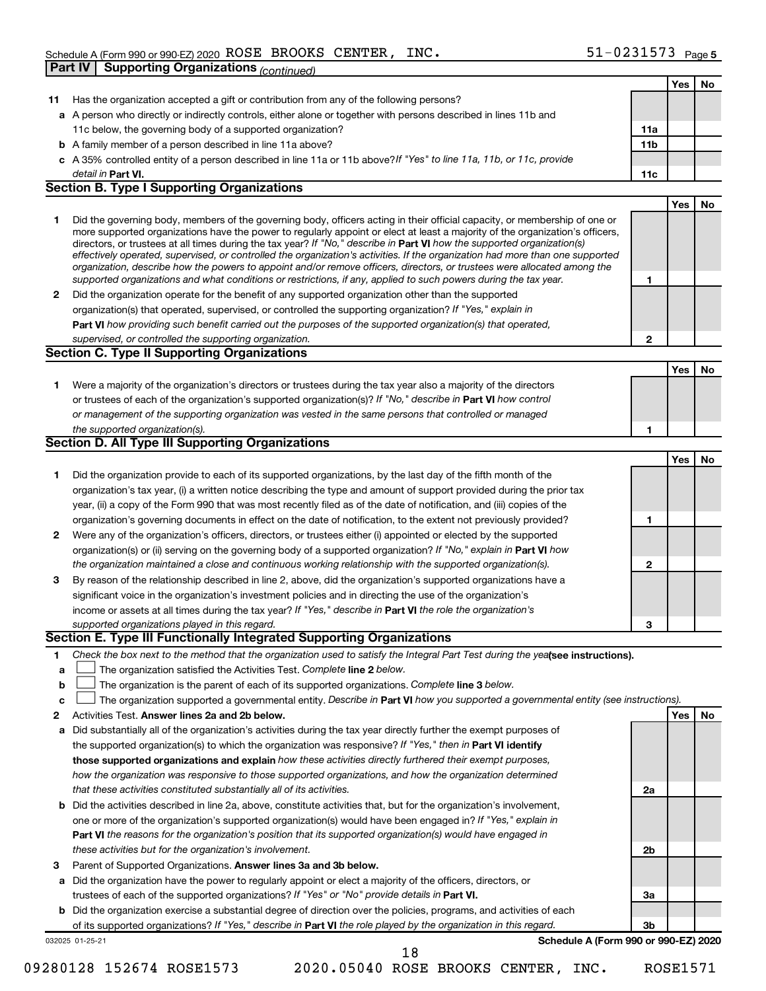|              |                                                                                                                                                                                                                                                          |                 | Yes | No |
|--------------|----------------------------------------------------------------------------------------------------------------------------------------------------------------------------------------------------------------------------------------------------------|-----------------|-----|----|
| 11           | Has the organization accepted a gift or contribution from any of the following persons?                                                                                                                                                                  |                 |     |    |
|              | a A person who directly or indirectly controls, either alone or together with persons described in lines 11b and                                                                                                                                         |                 |     |    |
|              | 11c below, the governing body of a supported organization?                                                                                                                                                                                               | 11a             |     |    |
|              | <b>b</b> A family member of a person described in line 11a above?                                                                                                                                                                                        | 11 <sub>b</sub> |     |    |
|              | c A 35% controlled entity of a person described in line 11a or 11b above?If "Yes" to line 11a, 11b, or 11c, provide                                                                                                                                      |                 |     |    |
|              | detail in <b>Part VI.</b>                                                                                                                                                                                                                                | 11c             |     |    |
|              | <b>Section B. Type I Supporting Organizations</b>                                                                                                                                                                                                        |                 |     |    |
|              |                                                                                                                                                                                                                                                          |                 | Yes | No |
| 1            | Did the governing body, members of the governing body, officers acting in their official capacity, or membership of one or                                                                                                                               |                 |     |    |
|              | more supported organizations have the power to regularly appoint or elect at least a majority of the organization's officers,<br>directors, or trustees at all times during the tax year? If "No," describe in Part VI how the supported organization(s) |                 |     |    |
|              | effectively operated, supervised, or controlled the organization's activities. If the organization had more than one supported                                                                                                                           |                 |     |    |
|              | organization, describe how the powers to appoint and/or remove officers, directors, or trustees were allocated among the                                                                                                                                 |                 |     |    |
|              | supported organizations and what conditions or restrictions, if any, applied to such powers during the tax year.                                                                                                                                         | 1               |     |    |
| $\mathbf{2}$ | Did the organization operate for the benefit of any supported organization other than the supported                                                                                                                                                      |                 |     |    |
|              | organization(s) that operated, supervised, or controlled the supporting organization? If "Yes," explain in                                                                                                                                               |                 |     |    |
|              | Part VI how providing such benefit carried out the purposes of the supported organization(s) that operated,                                                                                                                                              |                 |     |    |
|              | supervised, or controlled the supporting organization.                                                                                                                                                                                                   | 2               |     |    |
|              | <b>Section C. Type II Supporting Organizations</b>                                                                                                                                                                                                       |                 |     |    |
|              |                                                                                                                                                                                                                                                          |                 | Yes | No |
| 1            | Were a majority of the organization's directors or trustees during the tax year also a majority of the directors                                                                                                                                         |                 |     |    |
|              | or trustees of each of the organization's supported organization(s)? If "No," describe in Part VI how control                                                                                                                                            |                 |     |    |
|              | or management of the supporting organization was vested in the same persons that controlled or managed                                                                                                                                                   |                 |     |    |
|              | the supported organization(s).<br><b>Section D. All Type III Supporting Organizations</b>                                                                                                                                                                | 1               |     |    |
|              |                                                                                                                                                                                                                                                          |                 | Yes | No |
| 1            | Did the organization provide to each of its supported organizations, by the last day of the fifth month of the                                                                                                                                           |                 |     |    |
|              | organization's tax year, (i) a written notice describing the type and amount of support provided during the prior tax                                                                                                                                    |                 |     |    |
|              | year, (ii) a copy of the Form 990 that was most recently filed as of the date of notification, and (iii) copies of the                                                                                                                                   |                 |     |    |
|              | organization's governing documents in effect on the date of notification, to the extent not previously provided?                                                                                                                                         | 1               |     |    |
| 2            | Were any of the organization's officers, directors, or trustees either (i) appointed or elected by the supported                                                                                                                                         |                 |     |    |
|              | organization(s) or (ii) serving on the governing body of a supported organization? If "No," explain in Part VI how                                                                                                                                       |                 |     |    |
|              | the organization maintained a close and continuous working relationship with the supported organization(s).                                                                                                                                              | $\mathbf{2}$    |     |    |
| 3            | By reason of the relationship described in line 2, above, did the organization's supported organizations have a                                                                                                                                          |                 |     |    |
|              | significant voice in the organization's investment policies and in directing the use of the organization's                                                                                                                                               |                 |     |    |
|              | income or assets at all times during the tax year? If "Yes," describe in Part VI the role the organization's                                                                                                                                             |                 |     |    |
|              | supported organizations played in this regard.                                                                                                                                                                                                           | З               |     |    |
|              | Section E. Type III Functionally Integrated Supporting Organizations                                                                                                                                                                                     |                 |     |    |
| 1            | Check the box next to the method that the organization used to satisfy the Integral Part Test during the yealsee instructions).                                                                                                                          |                 |     |    |
| а            | The organization satisfied the Activities Test. Complete line 2 below.                                                                                                                                                                                   |                 |     |    |
| b            | The organization is the parent of each of its supported organizations. Complete line 3 below.                                                                                                                                                            |                 |     |    |
| c            | The organization supported a governmental entity. Describe in Part VI how you supported a governmental entity (see instructions).                                                                                                                        |                 |     |    |
| 2            | Activities Test. Answer lines 2a and 2b below.                                                                                                                                                                                                           |                 | Yes | No |
| а            | Did substantially all of the organization's activities during the tax year directly further the exempt purposes of                                                                                                                                       |                 |     |    |
|              | the supported organization(s) to which the organization was responsive? If "Yes," then in Part VI identify                                                                                                                                               |                 |     |    |
|              | those supported organizations and explain how these activities directly furthered their exempt purposes,                                                                                                                                                 |                 |     |    |
|              | how the organization was responsive to those supported organizations, and how the organization determined                                                                                                                                                |                 |     |    |
|              | that these activities constituted substantially all of its activities.                                                                                                                                                                                   | 2a              |     |    |
| b            | Did the activities described in line 2a, above, constitute activities that, but for the organization's involvement,                                                                                                                                      |                 |     |    |
|              | one or more of the organization's supported organization(s) would have been engaged in? If "Yes," explain in                                                                                                                                             |                 |     |    |
|              | <b>Part VI</b> the reasons for the organization's position that its supported organization(s) would have engaged in                                                                                                                                      |                 |     |    |
|              | these activities but for the organization's involvement.                                                                                                                                                                                                 | 2b              |     |    |
| з            | Parent of Supported Organizations. Answer lines 3a and 3b below.                                                                                                                                                                                         |                 |     |    |
| а            | Did the organization have the power to regularly appoint or elect a majority of the officers, directors, or                                                                                                                                              |                 |     |    |
|              | trustees of each of the supported organizations? If "Yes" or "No" provide details in Part VI.                                                                                                                                                            | За              |     |    |
|              | <b>b</b> Did the organization exercise a substantial degree of direction over the policies, programs, and activities of each                                                                                                                             | Зb              |     |    |
|              | of its supported organizations? If "Yes," describe in Part VI the role played by the organization in this regard.<br>Schedule A (Form 990 or 990-EZ) 2020<br>032025 01-25-21                                                                             |                 |     |    |
|              | 18                                                                                                                                                                                                                                                       |                 |     |    |

<sup>09280128 152674</sup> ROSE1573 2020.05040 ROSE BROOKS CENTER, INC. ROSE1571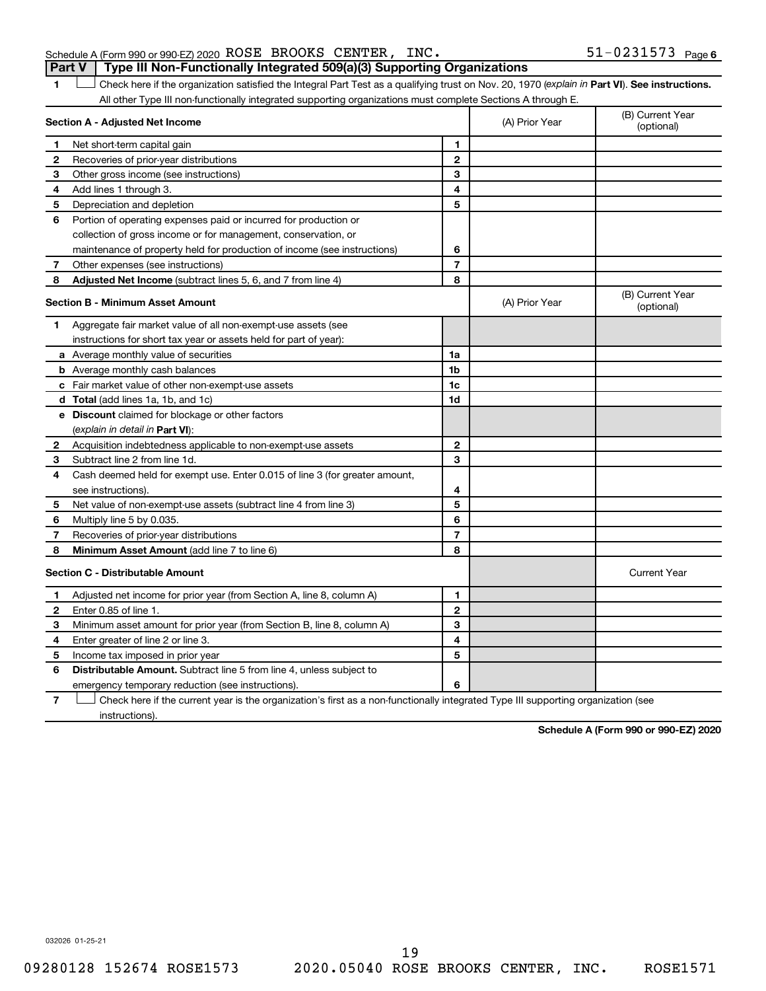| Schedule A (Form 990 or 990-EZ) 2020 ROSE BROOKS CENTER, INC.                  |  | $51 - 0231573$ Page 6 |  |
|--------------------------------------------------------------------------------|--|-----------------------|--|
| Part V Type III Non-Functionally Integrated 509(a)(3) Supporting Organizations |  |                       |  |

1 **Letter See instructions.** Check here if the organization satisfied the Integral Part Test as a qualifying trust on Nov. 20, 1970 (*explain in* Part **VI**). See instructions. All other Type III non-functionally integrated supporting organizations must complete Sections A through E.

|    | Section A - Adjusted Net Income                                             |                | (A) Prior Year | (B) Current Year<br>(optional) |
|----|-----------------------------------------------------------------------------|----------------|----------------|--------------------------------|
| 1  | Net short-term capital gain                                                 | 1              |                |                                |
| 2  | Recoveries of prior-year distributions                                      | $\mathbf{2}$   |                |                                |
| 3  | Other gross income (see instructions)                                       | 3              |                |                                |
| 4  | Add lines 1 through 3.                                                      | 4              |                |                                |
| 5  | Depreciation and depletion                                                  | 5              |                |                                |
| 6  | Portion of operating expenses paid or incurred for production or            |                |                |                                |
|    | collection of gross income or for management, conservation, or              |                |                |                                |
|    | maintenance of property held for production of income (see instructions)    | 6              |                |                                |
| 7  | Other expenses (see instructions)                                           | $\overline{7}$ |                |                                |
| 8  | Adjusted Net Income (subtract lines 5, 6, and 7 from line 4)                | 8              |                |                                |
|    | <b>Section B - Minimum Asset Amount</b>                                     |                | (A) Prior Year | (B) Current Year<br>(optional) |
| 1. | Aggregate fair market value of all non-exempt-use assets (see               |                |                |                                |
|    | instructions for short tax year or assets held for part of year):           |                |                |                                |
|    | <b>a</b> Average monthly value of securities                                | 1a             |                |                                |
|    | <b>b</b> Average monthly cash balances                                      | 1 <sub>b</sub> |                |                                |
|    | c Fair market value of other non-exempt-use assets                          | 1c             |                |                                |
|    | d Total (add lines 1a, 1b, and 1c)                                          | 1 <sub>d</sub> |                |                                |
|    | e Discount claimed for blockage or other factors                            |                |                |                                |
|    | (explain in detail in <b>Part VI</b> ):                                     |                |                |                                |
| 2  | Acquisition indebtedness applicable to non-exempt-use assets                | $\mathbf{2}$   |                |                                |
| 3  | Subtract line 2 from line 1d.                                               | 3              |                |                                |
| 4  | Cash deemed held for exempt use. Enter 0.015 of line 3 (for greater amount, |                |                |                                |
|    | see instructions).                                                          | 4              |                |                                |
| 5  | Net value of non-exempt-use assets (subtract line 4 from line 3)            | 5              |                |                                |
| 6  | Multiply line 5 by 0.035.                                                   | 6              |                |                                |
| 7  | Recoveries of prior-year distributions                                      | $\overline{7}$ |                |                                |
| 8  | Minimum Asset Amount (add line 7 to line 6)                                 | 8              |                |                                |
|    | <b>Section C - Distributable Amount</b>                                     |                |                | <b>Current Year</b>            |
| 1  | Adjusted net income for prior year (from Section A, line 8, column A)       | 1              |                |                                |
| 2  | Enter 0.85 of line 1.                                                       | $\mathbf{2}$   |                |                                |
| 3  | Minimum asset amount for prior year (from Section B, line 8, column A)      | 3              |                |                                |
| 4  | Enter greater of line 2 or line 3.                                          | 4              |                |                                |
| 5  | Income tax imposed in prior year                                            | 5              |                |                                |
| 6  | Distributable Amount. Subtract line 5 from line 4, unless subject to        |                |                |                                |
|    | emergency temporary reduction (see instructions).                           | 6              |                |                                |
|    |                                                                             |                |                |                                |

**7** Check here if the current year is the organization's first as a non-functionally integrated Type III supporting organization (see † instructions).

**Schedule A (Form 990 or 990-EZ) 2020**

032026 01-25-21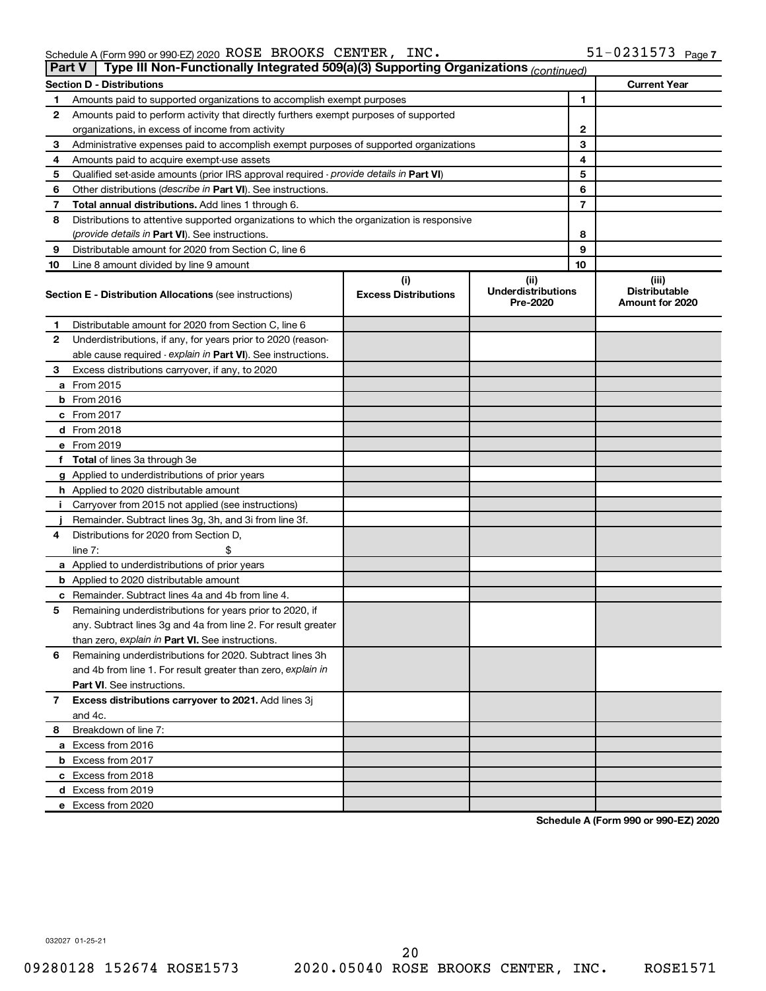| Part V | Type III Non-Functionally Integrated 509(a)(3) Supporting Organizations (continued)        |                                    |                                               |    |                                                  |
|--------|--------------------------------------------------------------------------------------------|------------------------------------|-----------------------------------------------|----|--------------------------------------------------|
|        | <b>Section D - Distributions</b>                                                           |                                    |                                               |    | <b>Current Year</b>                              |
| 1      | Amounts paid to supported organizations to accomplish exempt purposes                      |                                    |                                               | 1  |                                                  |
| 2      | Amounts paid to perform activity that directly furthers exempt purposes of supported       |                                    |                                               |    |                                                  |
|        | organizations, in excess of income from activity                                           |                                    |                                               | 2  |                                                  |
| 3      | Administrative expenses paid to accomplish exempt purposes of supported organizations      |                                    |                                               | 3  |                                                  |
| 4      | Amounts paid to acquire exempt-use assets                                                  | 4                                  |                                               |    |                                                  |
| 5      | Qualified set-aside amounts (prior IRS approval required - provide details in Part VI)     | 5                                  |                                               |    |                                                  |
| 6      | Other distributions (describe in Part VI). See instructions.                               | 6                                  |                                               |    |                                                  |
| 7      | Total annual distributions. Add lines 1 through 6.                                         |                                    |                                               | 7  |                                                  |
| 8      | Distributions to attentive supported organizations to which the organization is responsive |                                    |                                               |    |                                                  |
|        | ( <i>provide details in Part VI</i> ). See instructions.                                   |                                    |                                               | 8  |                                                  |
| 9      | Distributable amount for 2020 from Section C, line 6                                       |                                    |                                               | 9  |                                                  |
| 10     | Line 8 amount divided by line 9 amount                                                     |                                    |                                               | 10 |                                                  |
|        | <b>Section E - Distribution Allocations (see instructions)</b>                             | (i)<br><b>Excess Distributions</b> | (ii)<br><b>Underdistributions</b><br>Pre-2020 |    | (iii)<br><b>Distributable</b><br>Amount for 2020 |
| 1      | Distributable amount for 2020 from Section C, line 6                                       |                                    |                                               |    |                                                  |
| 2      | Underdistributions, if any, for years prior to 2020 (reason-                               |                                    |                                               |    |                                                  |
|        | able cause required - explain in Part VI). See instructions.                               |                                    |                                               |    |                                                  |
| З      | Excess distributions carryover, if any, to 2020                                            |                                    |                                               |    |                                                  |
|        | a From 2015                                                                                |                                    |                                               |    |                                                  |
|        | $b$ From 2016                                                                              |                                    |                                               |    |                                                  |
|        | c From 2017                                                                                |                                    |                                               |    |                                                  |
|        | <b>d</b> From 2018                                                                         |                                    |                                               |    |                                                  |
|        | e From 2019                                                                                |                                    |                                               |    |                                                  |
|        | f Total of lines 3a through 3e                                                             |                                    |                                               |    |                                                  |
|        | g Applied to underdistributions of prior years                                             |                                    |                                               |    |                                                  |
|        | <b>h</b> Applied to 2020 distributable amount                                              |                                    |                                               |    |                                                  |
| Ť.     | Carryover from 2015 not applied (see instructions)                                         |                                    |                                               |    |                                                  |
|        | Remainder. Subtract lines 3g, 3h, and 3i from line 3f.                                     |                                    |                                               |    |                                                  |
| 4      | Distributions for 2020 from Section D,                                                     |                                    |                                               |    |                                                  |
|        | line 7:                                                                                    |                                    |                                               |    |                                                  |
|        | a Applied to underdistributions of prior years                                             |                                    |                                               |    |                                                  |
|        | <b>b</b> Applied to 2020 distributable amount                                              |                                    |                                               |    |                                                  |
|        | c Remainder. Subtract lines 4a and 4b from line 4.                                         |                                    |                                               |    |                                                  |
| 5      | Remaining underdistributions for years prior to 2020, if                                   |                                    |                                               |    |                                                  |
|        | any. Subtract lines 3g and 4a from line 2. For result greater                              |                                    |                                               |    |                                                  |
|        | than zero, explain in Part VI. See instructions.                                           |                                    |                                               |    |                                                  |
| 6      | Remaining underdistributions for 2020. Subtract lines 3h                                   |                                    |                                               |    |                                                  |
|        | and 4b from line 1. For result greater than zero, explain in                               |                                    |                                               |    |                                                  |
|        | <b>Part VI.</b> See instructions.                                                          |                                    |                                               |    |                                                  |
| 7      | Excess distributions carryover to 2021. Add lines 3j                                       |                                    |                                               |    |                                                  |
|        | and 4c.                                                                                    |                                    |                                               |    |                                                  |
| 8      | Breakdown of line 7:                                                                       |                                    |                                               |    |                                                  |
|        | a Excess from 2016                                                                         |                                    |                                               |    |                                                  |
|        | <b>b</b> Excess from 2017                                                                  |                                    |                                               |    |                                                  |
|        | c Excess from 2018                                                                         |                                    |                                               |    |                                                  |
|        | d Excess from 2019                                                                         |                                    |                                               |    |                                                  |
|        | e Excess from 2020                                                                         |                                    |                                               |    |                                                  |

**Schedule A (Form 990 or 990-EZ) 2020**

032027 01-25-21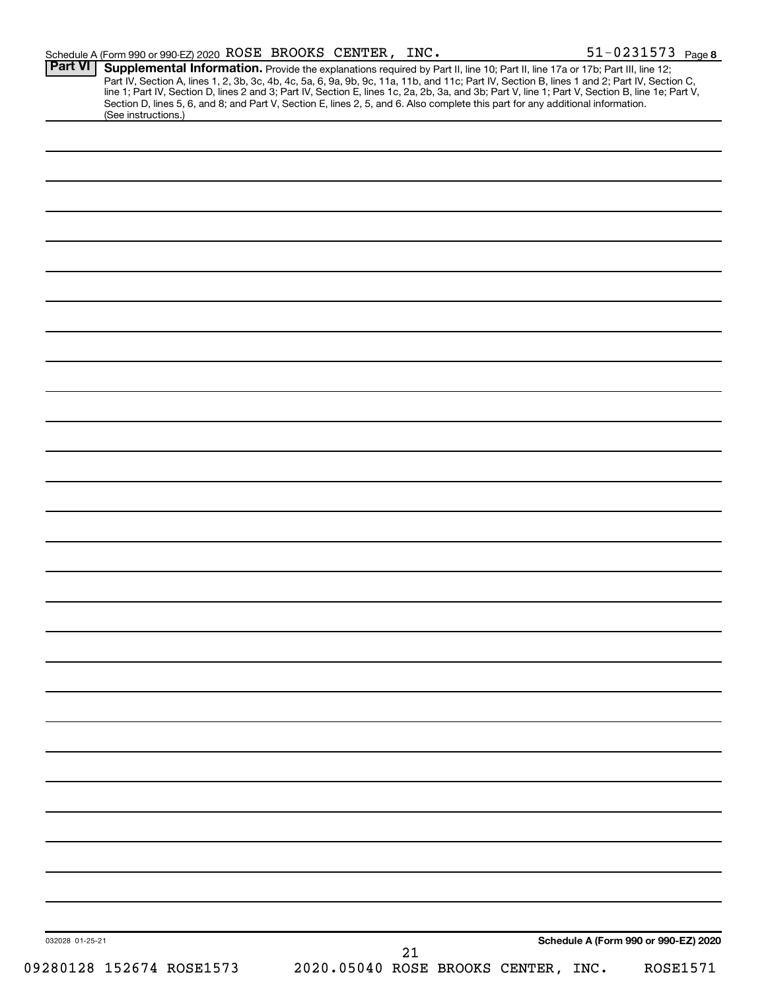| <b>Part VI</b>  | Schedule A (Form 990 or 990-EZ) 2020 ROSE BROOKS CENTER, INC.                                                                                                                                                                                                                                                                                                                                                                     |  |    |                                     | 51-0231573 Page 8                    |
|-----------------|-----------------------------------------------------------------------------------------------------------------------------------------------------------------------------------------------------------------------------------------------------------------------------------------------------------------------------------------------------------------------------------------------------------------------------------|--|----|-------------------------------------|--------------------------------------|
|                 | Supplemental Information. Provide the explanations required by Part II, line 10; Part II, line 17a or 17b; Part III, line 12;<br>Part IV, Section A, lines 1, 2, 3b, 3c, 4b, 4c, 5a, 6, 9a, 9b, 9c, 11a, 11b, and 11c; Part IV, Section B, lines 1 and 2; Part IV, Section C,<br>line 1; Part IV, Section D, lines 2 and 3; Part IV, Section E, lines 1c, 2a, 2b, 3a, and 3b; Part V, line 1; Part V, Section B, line 1e; Part V, |  |    |                                     |                                      |
|                 | Section D, lines 5, 6, and 8; and Part V, Section E, lines 2, 5, and 6. Also complete this part for any additional information.                                                                                                                                                                                                                                                                                                   |  |    |                                     |                                      |
|                 | (See instructions.)                                                                                                                                                                                                                                                                                                                                                                                                               |  |    |                                     |                                      |
|                 |                                                                                                                                                                                                                                                                                                                                                                                                                                   |  |    |                                     |                                      |
|                 |                                                                                                                                                                                                                                                                                                                                                                                                                                   |  |    |                                     |                                      |
|                 |                                                                                                                                                                                                                                                                                                                                                                                                                                   |  |    |                                     |                                      |
|                 |                                                                                                                                                                                                                                                                                                                                                                                                                                   |  |    |                                     |                                      |
|                 |                                                                                                                                                                                                                                                                                                                                                                                                                                   |  |    |                                     |                                      |
|                 |                                                                                                                                                                                                                                                                                                                                                                                                                                   |  |    |                                     |                                      |
|                 |                                                                                                                                                                                                                                                                                                                                                                                                                                   |  |    |                                     |                                      |
|                 |                                                                                                                                                                                                                                                                                                                                                                                                                                   |  |    |                                     |                                      |
|                 |                                                                                                                                                                                                                                                                                                                                                                                                                                   |  |    |                                     |                                      |
|                 |                                                                                                                                                                                                                                                                                                                                                                                                                                   |  |    |                                     |                                      |
|                 |                                                                                                                                                                                                                                                                                                                                                                                                                                   |  |    |                                     |                                      |
|                 |                                                                                                                                                                                                                                                                                                                                                                                                                                   |  |    |                                     |                                      |
|                 |                                                                                                                                                                                                                                                                                                                                                                                                                                   |  |    |                                     |                                      |
|                 |                                                                                                                                                                                                                                                                                                                                                                                                                                   |  |    |                                     |                                      |
|                 |                                                                                                                                                                                                                                                                                                                                                                                                                                   |  |    |                                     |                                      |
|                 |                                                                                                                                                                                                                                                                                                                                                                                                                                   |  |    |                                     |                                      |
|                 |                                                                                                                                                                                                                                                                                                                                                                                                                                   |  |    |                                     |                                      |
|                 |                                                                                                                                                                                                                                                                                                                                                                                                                                   |  |    |                                     |                                      |
|                 |                                                                                                                                                                                                                                                                                                                                                                                                                                   |  |    |                                     |                                      |
|                 |                                                                                                                                                                                                                                                                                                                                                                                                                                   |  |    |                                     |                                      |
|                 |                                                                                                                                                                                                                                                                                                                                                                                                                                   |  |    |                                     |                                      |
|                 |                                                                                                                                                                                                                                                                                                                                                                                                                                   |  |    |                                     |                                      |
|                 |                                                                                                                                                                                                                                                                                                                                                                                                                                   |  |    |                                     |                                      |
|                 |                                                                                                                                                                                                                                                                                                                                                                                                                                   |  |    |                                     |                                      |
|                 |                                                                                                                                                                                                                                                                                                                                                                                                                                   |  |    |                                     |                                      |
|                 |                                                                                                                                                                                                                                                                                                                                                                                                                                   |  |    |                                     |                                      |
|                 |                                                                                                                                                                                                                                                                                                                                                                                                                                   |  |    |                                     |                                      |
|                 |                                                                                                                                                                                                                                                                                                                                                                                                                                   |  |    |                                     |                                      |
|                 |                                                                                                                                                                                                                                                                                                                                                                                                                                   |  |    |                                     |                                      |
|                 |                                                                                                                                                                                                                                                                                                                                                                                                                                   |  |    |                                     |                                      |
|                 |                                                                                                                                                                                                                                                                                                                                                                                                                                   |  |    |                                     |                                      |
|                 |                                                                                                                                                                                                                                                                                                                                                                                                                                   |  |    |                                     |                                      |
|                 |                                                                                                                                                                                                                                                                                                                                                                                                                                   |  |    |                                     |                                      |
|                 |                                                                                                                                                                                                                                                                                                                                                                                                                                   |  |    |                                     |                                      |
|                 |                                                                                                                                                                                                                                                                                                                                                                                                                                   |  |    |                                     |                                      |
|                 |                                                                                                                                                                                                                                                                                                                                                                                                                                   |  |    |                                     |                                      |
|                 |                                                                                                                                                                                                                                                                                                                                                                                                                                   |  |    |                                     |                                      |
|                 |                                                                                                                                                                                                                                                                                                                                                                                                                                   |  |    |                                     |                                      |
|                 |                                                                                                                                                                                                                                                                                                                                                                                                                                   |  |    |                                     |                                      |
|                 |                                                                                                                                                                                                                                                                                                                                                                                                                                   |  |    |                                     |                                      |
|                 |                                                                                                                                                                                                                                                                                                                                                                                                                                   |  |    |                                     |                                      |
| 032028 01-25-21 |                                                                                                                                                                                                                                                                                                                                                                                                                                   |  | 21 |                                     | Schedule A (Form 990 or 990-EZ) 2020 |
|                 | 09280128 152674 ROSE1573                                                                                                                                                                                                                                                                                                                                                                                                          |  |    | 2020.05040 ROSE BROOKS CENTER, INC. | <b>ROSE1571</b>                      |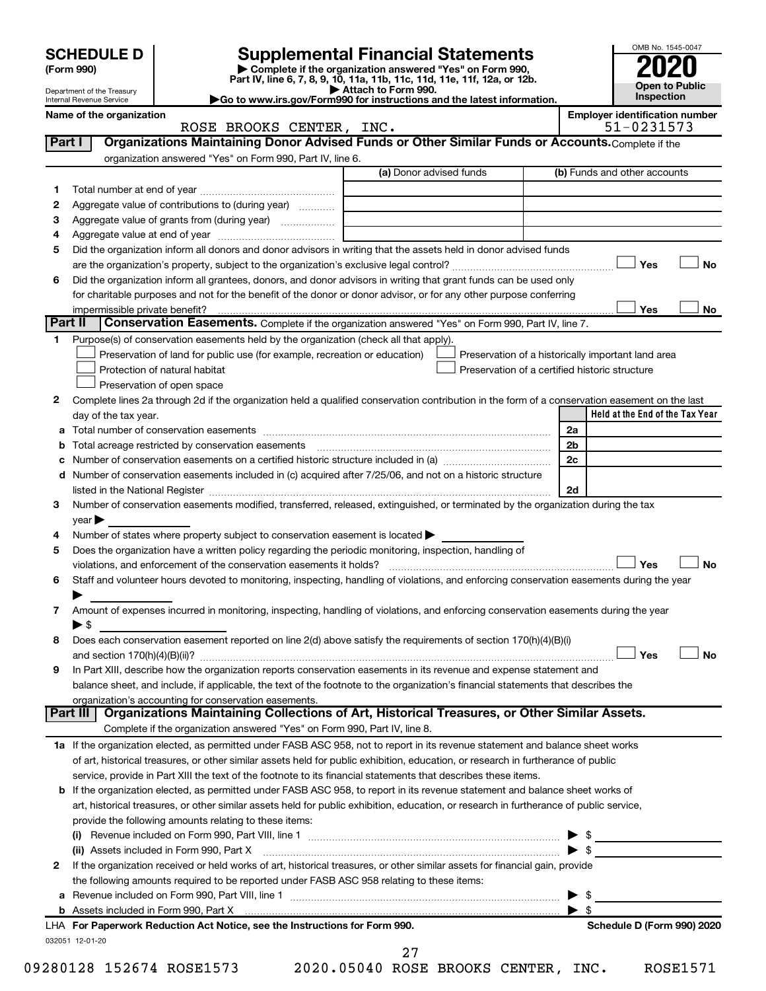|         | <b>SCHEDULE D</b><br>(Form 990)<br>Department of the Treasury<br>Internal Revenue Service |                                                                                                        | <b>Supplemental Financial Statements</b><br>Complete if the organization answered "Yes" on Form 990,<br>Part IV, line 6, 7, 8, 9, 10, 11a, 11b, 11c, 11d, 11e, 11f, 12a, or 12b.<br>Attach to Form 990.<br>Go to www.irs.gov/Form990 for instructions and the latest information. |    | OMB No. 1545-0047<br><b>Open to Public</b><br>Inspection |
|---------|-------------------------------------------------------------------------------------------|--------------------------------------------------------------------------------------------------------|-----------------------------------------------------------------------------------------------------------------------------------------------------------------------------------------------------------------------------------------------------------------------------------|----|----------------------------------------------------------|
|         | Name of the organization                                                                  |                                                                                                        |                                                                                                                                                                                                                                                                                   |    | <b>Employer identification number</b>                    |
|         |                                                                                           | ROSE BROOKS CENTER, INC.                                                                               |                                                                                                                                                                                                                                                                                   |    | 51-0231573                                               |
| Part I  |                                                                                           |                                                                                                        | Organizations Maintaining Donor Advised Funds or Other Similar Funds or Accounts. Complete if the                                                                                                                                                                                 |    |                                                          |
|         |                                                                                           | organization answered "Yes" on Form 990, Part IV, line 6.                                              |                                                                                                                                                                                                                                                                                   |    |                                                          |
|         |                                                                                           |                                                                                                        | (a) Donor advised funds                                                                                                                                                                                                                                                           |    | (b) Funds and other accounts                             |
| 1.      |                                                                                           |                                                                                                        |                                                                                                                                                                                                                                                                                   |    |                                                          |
| 2       |                                                                                           | Aggregate value of contributions to (during year)                                                      |                                                                                                                                                                                                                                                                                   |    |                                                          |
| З       |                                                                                           | Aggregate value of grants from (during year)                                                           |                                                                                                                                                                                                                                                                                   |    |                                                          |
| 4       |                                                                                           |                                                                                                        |                                                                                                                                                                                                                                                                                   |    |                                                          |
| 5       |                                                                                           |                                                                                                        | Did the organization inform all donors and donor advisors in writing that the assets held in donor advised funds                                                                                                                                                                  |    |                                                          |
|         |                                                                                           |                                                                                                        |                                                                                                                                                                                                                                                                                   |    | Yes<br><b>No</b>                                         |
| 6       |                                                                                           |                                                                                                        | Did the organization inform all grantees, donors, and donor advisors in writing that grant funds can be used only                                                                                                                                                                 |    |                                                          |
|         | impermissible private benefit?                                                            |                                                                                                        | for charitable purposes and not for the benefit of the donor or donor advisor, or for any other purpose conferring                                                                                                                                                                |    | Yes<br>No                                                |
| Part II |                                                                                           |                                                                                                        | Conservation Easements. Complete if the organization answered "Yes" on Form 990, Part IV, line 7.                                                                                                                                                                                 |    |                                                          |
|         |                                                                                           | Purpose(s) of conservation easements held by the organization (check all that apply).                  |                                                                                                                                                                                                                                                                                   |    |                                                          |
|         |                                                                                           | Preservation of land for public use (for example, recreation or education)                             | Preservation of a historically important land area                                                                                                                                                                                                                                |    |                                                          |
|         |                                                                                           | Protection of natural habitat                                                                          | Preservation of a certified historic structure                                                                                                                                                                                                                                    |    |                                                          |
|         |                                                                                           | Preservation of open space                                                                             |                                                                                                                                                                                                                                                                                   |    |                                                          |
| 2       |                                                                                           |                                                                                                        | Complete lines 2a through 2d if the organization held a qualified conservation contribution in the form of a conservation easement on the last                                                                                                                                    |    |                                                          |
|         | day of the tax year.                                                                      |                                                                                                        |                                                                                                                                                                                                                                                                                   |    | Held at the End of the Tax Year                          |
| а       |                                                                                           |                                                                                                        |                                                                                                                                                                                                                                                                                   | 2a |                                                          |
|         |                                                                                           |                                                                                                        |                                                                                                                                                                                                                                                                                   | 2b |                                                          |
| с       |                                                                                           |                                                                                                        |                                                                                                                                                                                                                                                                                   | 2c |                                                          |
|         |                                                                                           |                                                                                                        | d Number of conservation easements included in (c) acquired after 7/25/06, and not on a historic structure                                                                                                                                                                        |    |                                                          |
|         |                                                                                           |                                                                                                        |                                                                                                                                                                                                                                                                                   | 2d |                                                          |
| З       |                                                                                           |                                                                                                        | Number of conservation easements modified, transferred, released, extinguished, or terminated by the organization during the tax                                                                                                                                                  |    |                                                          |
|         | $\vee$ ear $\blacktriangleright$                                                          |                                                                                                        |                                                                                                                                                                                                                                                                                   |    |                                                          |
| 4       |                                                                                           | Number of states where property subject to conservation easement is located $\blacktriangleright$      |                                                                                                                                                                                                                                                                                   |    |                                                          |
| 5       |                                                                                           | Does the organization have a written policy regarding the periodic monitoring, inspection, handling of |                                                                                                                                                                                                                                                                                   |    | Yes<br>No                                                |
|         |                                                                                           |                                                                                                        | Staff and volunteer hours devoted to monitoring, inspecting, handling of violations, and enforcing conservation easements during the year                                                                                                                                         |    |                                                          |
|         |                                                                                           |                                                                                                        |                                                                                                                                                                                                                                                                                   |    |                                                          |
| 7       |                                                                                           |                                                                                                        | Amount of expenses incurred in monitoring, inspecting, handling of violations, and enforcing conservation easements during the year                                                                                                                                               |    |                                                          |
|         | $\blacktriangleright$ \$                                                                  |                                                                                                        |                                                                                                                                                                                                                                                                                   |    |                                                          |
| 8       |                                                                                           |                                                                                                        | Does each conservation easement reported on line 2(d) above satisfy the requirements of section 170(h)(4)(B)(i)                                                                                                                                                                   |    |                                                          |
|         |                                                                                           |                                                                                                        |                                                                                                                                                                                                                                                                                   |    | Yes<br>No                                                |
| 9       |                                                                                           |                                                                                                        | In Part XIII, describe how the organization reports conservation easements in its revenue and expense statement and                                                                                                                                                               |    |                                                          |
|         |                                                                                           |                                                                                                        | balance sheet, and include, if applicable, the text of the footnote to the organization's financial statements that describes the                                                                                                                                                 |    |                                                          |
|         | Part III                                                                                  | organization's accounting for conservation easements.                                                  | Organizations Maintaining Collections of Art, Historical Treasures, or Other Similar Assets.                                                                                                                                                                                      |    |                                                          |
|         |                                                                                           | Complete if the organization answered "Yes" on Form 990, Part IV, line 8.                              |                                                                                                                                                                                                                                                                                   |    |                                                          |
|         |                                                                                           |                                                                                                        | 1a If the organization elected, as permitted under FASB ASC 958, not to report in its revenue statement and balance sheet works                                                                                                                                                   |    |                                                          |
|         |                                                                                           |                                                                                                        | of art, historical treasures, or other similar assets held for public exhibition, education, or research in furtherance of public                                                                                                                                                 |    |                                                          |
|         |                                                                                           |                                                                                                        | service, provide in Part XIII the text of the footnote to its financial statements that describes these items.                                                                                                                                                                    |    |                                                          |
| b       |                                                                                           |                                                                                                        | If the organization elected, as permitted under FASB ASC 958, to report in its revenue statement and balance sheet works of                                                                                                                                                       |    |                                                          |
|         |                                                                                           |                                                                                                        | art, historical treasures, or other similar assets held for public exhibition, education, or research in furtherance of public service,                                                                                                                                           |    |                                                          |
|         |                                                                                           | provide the following amounts relating to these items:                                                 |                                                                                                                                                                                                                                                                                   |    |                                                          |
|         |                                                                                           |                                                                                                        |                                                                                                                                                                                                                                                                                   |    | \$                                                       |
|         |                                                                                           | (ii) Assets included in Form 990, Part X                                                               |                                                                                                                                                                                                                                                                                   |    | \$                                                       |
| 2       |                                                                                           |                                                                                                        | If the organization received or held works of art, historical treasures, or other similar assets for financial gain, provide                                                                                                                                                      |    |                                                          |

|  | 2 If the organization received or held works of art, historical treasures, or other similar assets for financial gain, provide |                          |  |
|--|--------------------------------------------------------------------------------------------------------------------------------|--------------------------|--|
|  | the following amounts required to be reported under FASB ASC 958 relating to these items:                                      |                          |  |
|  | <b>a</b> Revenue included on Form 990, Part VIII, line 1                                                                       | $\blacktriangleright$ \$ |  |

09280128 152674 ROSE1573 2020.05040 ROSE BROOKS CENTER, INC. ROSE1571

27

**b** Assets included in Form 990, Part X | \$

032051 12-01-20 **For Paperwork Reduction Act Notice, see the Instructions for Form 990. Schedule D (Form 990) 2020** LHA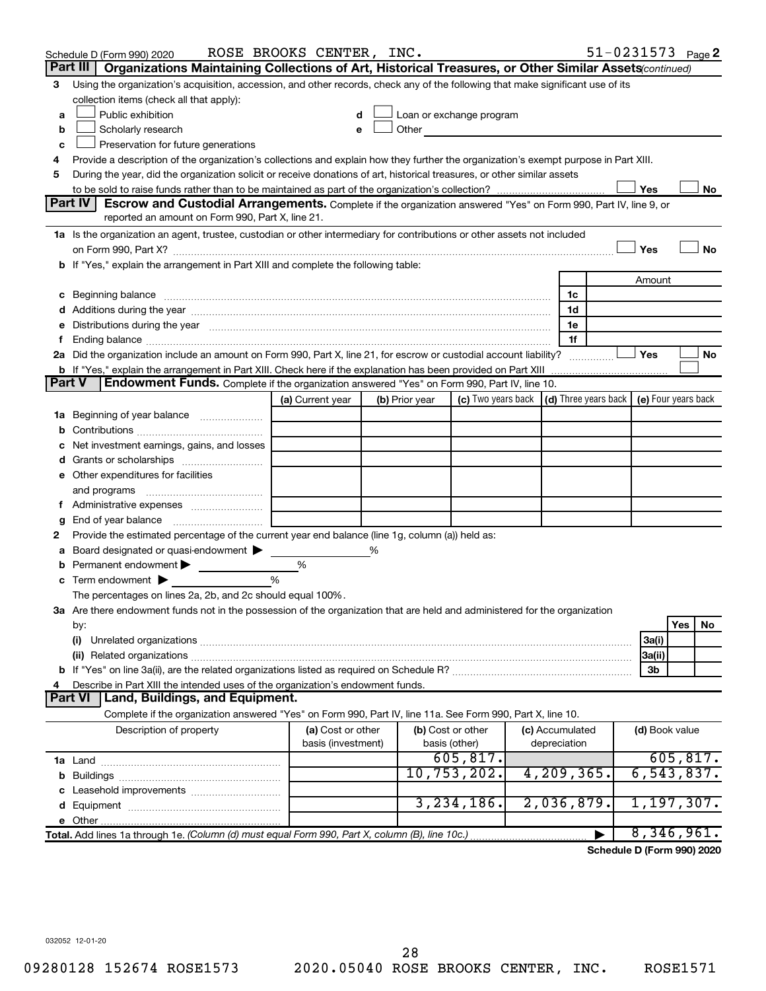|               | Schedule D (Form 990) 2020                                                                                                                                                                                                     | ROSE BROOKS CENTER, INC. |   |                   |                          |  |                 |  |                | $51 - 0231573$ Page 2                            |
|---------------|--------------------------------------------------------------------------------------------------------------------------------------------------------------------------------------------------------------------------------|--------------------------|---|-------------------|--------------------------|--|-----------------|--|----------------|--------------------------------------------------|
|               | Part III<br>Organizations Maintaining Collections of Art, Historical Treasures, or Other Similar Assets (continued)                                                                                                            |                          |   |                   |                          |  |                 |  |                |                                                  |
| 3             | Using the organization's acquisition, accession, and other records, check any of the following that make significant use of its                                                                                                |                          |   |                   |                          |  |                 |  |                |                                                  |
|               | collection items (check all that apply):                                                                                                                                                                                       |                          |   |                   |                          |  |                 |  |                |                                                  |
| a             | Public exhibition                                                                                                                                                                                                              |                          | d |                   | Loan or exchange program |  |                 |  |                |                                                  |
| b             | Other <u>Communication</u><br>Scholarly research<br>е                                                                                                                                                                          |                          |   |                   |                          |  |                 |  |                |                                                  |
| с             | Preservation for future generations                                                                                                                                                                                            |                          |   |                   |                          |  |                 |  |                |                                                  |
| 4             | Provide a description of the organization's collections and explain how they further the organization's exempt purpose in Part XIII.                                                                                           |                          |   |                   |                          |  |                 |  |                |                                                  |
| 5             | During the year, did the organization solicit or receive donations of art, historical treasures, or other similar assets                                                                                                       |                          |   |                   |                          |  |                 |  |                |                                                  |
|               | Yes<br>No<br>Part IV<br>Escrow and Custodial Arrangements. Complete if the organization answered "Yes" on Form 990, Part IV, line 9, or                                                                                        |                          |   |                   |                          |  |                 |  |                |                                                  |
|               | reported an amount on Form 990, Part X, line 21.                                                                                                                                                                               |                          |   |                   |                          |  |                 |  |                |                                                  |
|               | 1a Is the organization an agent, trustee, custodian or other intermediary for contributions or other assets not included                                                                                                       |                          |   |                   |                          |  |                 |  |                |                                                  |
|               |                                                                                                                                                                                                                                |                          |   |                   |                          |  |                 |  | Yes            | No                                               |
|               | b If "Yes," explain the arrangement in Part XIII and complete the following table:                                                                                                                                             |                          |   |                   |                          |  |                 |  |                |                                                  |
|               |                                                                                                                                                                                                                                |                          |   |                   |                          |  |                 |  | Amount         |                                                  |
|               | Beginning balance material continuum contracts and a series of the contract of the contract of the contract of                                                                                                                 |                          |   |                   |                          |  | 1c              |  |                |                                                  |
|               |                                                                                                                                                                                                                                |                          |   |                   |                          |  | 1d              |  |                |                                                  |
| е             | Distributions during the year measurement contains and all the year measurement of the state of the state of the state of the state of the state of the state of the state of the state of the state of the state of the state |                          |   |                   |                          |  | 1e              |  |                |                                                  |
| f.            |                                                                                                                                                                                                                                |                          |   |                   |                          |  | 1f              |  |                |                                                  |
|               | 2a Did the organization include an amount on Form 990, Part X, line 21, for escrow or custodial account liability?                                                                                                             |                          |   |                   |                          |  |                 |  | Yes            | No                                               |
|               | <b>b</b> If "Yes," explain the arrangement in Part XIII. Check here if the explanation has been provided on Part XIII                                                                                                          |                          |   |                   |                          |  |                 |  |                |                                                  |
| <b>Part V</b> | <b>Endowment Funds.</b> Complete if the organization answered "Yes" on Form 990, Part IV, line 10.                                                                                                                             |                          |   |                   |                          |  |                 |  |                |                                                  |
|               |                                                                                                                                                                                                                                | (a) Current year         |   | (b) Prior year    | (c) Two years back       |  |                 |  |                | (d) Three years back $\vert$ (e) Four years back |
|               | 1a Beginning of year balance                                                                                                                                                                                                   |                          |   |                   |                          |  |                 |  |                |                                                  |
| b             |                                                                                                                                                                                                                                |                          |   |                   |                          |  |                 |  |                |                                                  |
|               | Net investment earnings, gains, and losses                                                                                                                                                                                     |                          |   |                   |                          |  |                 |  |                |                                                  |
| d             |                                                                                                                                                                                                                                |                          |   |                   |                          |  |                 |  |                |                                                  |
|               | e Other expenditures for facilities                                                                                                                                                                                            |                          |   |                   |                          |  |                 |  |                |                                                  |
|               | and programs                                                                                                                                                                                                                   |                          |   |                   |                          |  |                 |  |                |                                                  |
|               |                                                                                                                                                                                                                                |                          |   |                   |                          |  |                 |  |                |                                                  |
| g             | Provide the estimated percentage of the current year end balance (line 1g, column (a)) held as:                                                                                                                                |                          |   |                   |                          |  |                 |  |                |                                                  |
| 2             | Board designated or quasi-endowment                                                                                                                                                                                            |                          | % |                   |                          |  |                 |  |                |                                                  |
| а<br>b        | Permanent endowment                                                                                                                                                                                                            | %                        |   |                   |                          |  |                 |  |                |                                                  |
| c             | Term endowment $\blacktriangleright$                                                                                                                                                                                           | %                        |   |                   |                          |  |                 |  |                |                                                  |
|               | The percentages on lines 2a, 2b, and 2c should equal 100%.                                                                                                                                                                     |                          |   |                   |                          |  |                 |  |                |                                                  |
|               | 3a Are there endowment funds not in the possession of the organization that are held and administered for the organization                                                                                                     |                          |   |                   |                          |  |                 |  |                |                                                  |
|               | by:                                                                                                                                                                                                                            |                          |   |                   |                          |  |                 |  |                | Yes<br>No                                        |
|               | (i)                                                                                                                                                                                                                            |                          |   |                   |                          |  |                 |  | 3a(i)          |                                                  |
|               |                                                                                                                                                                                                                                |                          |   |                   |                          |  |                 |  | 3a(ii)         |                                                  |
|               |                                                                                                                                                                                                                                |                          |   |                   |                          |  |                 |  | 3b             |                                                  |
| 4             | Describe in Part XIII the intended uses of the organization's endowment funds.                                                                                                                                                 |                          |   |                   |                          |  |                 |  |                |                                                  |
|               | Part VI   Land, Buildings, and Equipment.                                                                                                                                                                                      |                          |   |                   |                          |  |                 |  |                |                                                  |
|               | Complete if the organization answered "Yes" on Form 990, Part IV, line 11a. See Form 990, Part X, line 10.                                                                                                                     |                          |   |                   |                          |  |                 |  |                |                                                  |
|               | Description of property                                                                                                                                                                                                        | (a) Cost or other        |   | (b) Cost or other |                          |  | (c) Accumulated |  | (d) Book value |                                                  |
|               |                                                                                                                                                                                                                                | basis (investment)       |   | basis (other)     | 605, 817.                |  | depreciation    |  |                | 605, 817.                                        |
|               |                                                                                                                                                                                                                                |                          |   |                   | 10, 753, 202.            |  | 4, 209, 365.    |  |                | 6, 543, 837.                                     |
|               |                                                                                                                                                                                                                                |                          |   |                   |                          |  |                 |  |                |                                                  |
| c             | Leasehold improvements                                                                                                                                                                                                         |                          |   |                   | 3, 234, 186.             |  | 2,036,879.      |  |                | 1, 197, 307.                                     |
|               |                                                                                                                                                                                                                                |                          |   |                   |                          |  |                 |  |                |                                                  |
|               | Total. Add lines 1a through 1e. (Column (d) must equal Form 990, Part X, column (B), line 10c.)                                                                                                                                |                          |   |                   |                          |  |                 |  |                | 8,346,961.                                       |
|               |                                                                                                                                                                                                                                |                          |   |                   |                          |  |                 |  |                |                                                  |

**Schedule D (Form 990) 2020**

032052 12-01-20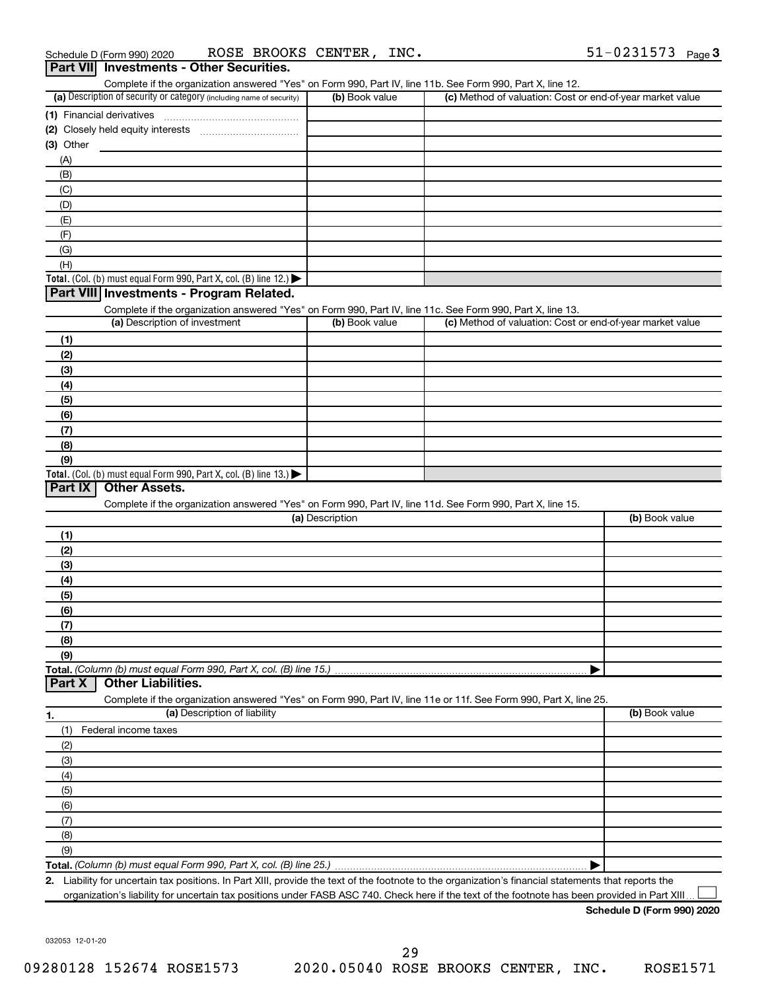| (a) Description of security or category (including name of security)                                              | (b) Book value  | (c) Method of valuation: Cost or end-of-year market value |                |
|-------------------------------------------------------------------------------------------------------------------|-----------------|-----------------------------------------------------------|----------------|
|                                                                                                                   |                 |                                                           |                |
|                                                                                                                   |                 |                                                           |                |
| (3) Other                                                                                                         |                 |                                                           |                |
|                                                                                                                   |                 |                                                           |                |
| (A)                                                                                                               |                 |                                                           |                |
| (B)                                                                                                               |                 |                                                           |                |
| (C)                                                                                                               |                 |                                                           |                |
| (D)                                                                                                               |                 |                                                           |                |
| (E)                                                                                                               |                 |                                                           |                |
| (F)                                                                                                               |                 |                                                           |                |
| (G)                                                                                                               |                 |                                                           |                |
| (H)                                                                                                               |                 |                                                           |                |
| Total. (Col. (b) must equal Form 990, Part X, col. (B) line 12.) $\blacktriangleright$                            |                 |                                                           |                |
| Part VIII Investments - Program Related.                                                                          |                 |                                                           |                |
| Complete if the organization answered "Yes" on Form 990, Part IV, line 11c. See Form 990, Part X, line 13.        |                 |                                                           |                |
| (a) Description of investment                                                                                     | (b) Book value  | (c) Method of valuation: Cost or end-of-year market value |                |
| (1)                                                                                                               |                 |                                                           |                |
| (2)                                                                                                               |                 |                                                           |                |
| (3)                                                                                                               |                 |                                                           |                |
| (4)                                                                                                               |                 |                                                           |                |
| (5)                                                                                                               |                 |                                                           |                |
| (6)                                                                                                               |                 |                                                           |                |
|                                                                                                                   |                 |                                                           |                |
| (7)                                                                                                               |                 |                                                           |                |
| (8)                                                                                                               |                 |                                                           |                |
|                                                                                                                   |                 |                                                           |                |
| (9)                                                                                                               |                 |                                                           |                |
| Total. (Col. (b) must equal Form 990, Part X, col. (B) line 13.) $\blacktriangleright$                            |                 |                                                           |                |
| Part IX<br><b>Other Assets.</b>                                                                                   |                 |                                                           |                |
| Complete if the organization answered "Yes" on Form 990, Part IV, line 11d. See Form 990, Part X, line 15.        |                 |                                                           |                |
|                                                                                                                   | (a) Description |                                                           | (b) Book value |
| (1)                                                                                                               |                 |                                                           |                |
| (2)                                                                                                               |                 |                                                           |                |
| (3)                                                                                                               |                 |                                                           |                |
|                                                                                                                   |                 |                                                           |                |
| (4)                                                                                                               |                 |                                                           |                |
| (5)                                                                                                               |                 |                                                           |                |
| (6)                                                                                                               |                 |                                                           |                |
| (7)                                                                                                               |                 |                                                           |                |
| (8)                                                                                                               |                 |                                                           |                |
| (9)                                                                                                               |                 |                                                           |                |
|                                                                                                                   |                 |                                                           |                |
| <b>Other Liabilities.</b><br>Part X                                                                               |                 |                                                           |                |
| Complete if the organization answered "Yes" on Form 990, Part IV, line 11e or 11f. See Form 990, Part X, line 25. |                 |                                                           |                |
| (a) Description of liability                                                                                      |                 |                                                           | (b) Book value |
| (1)<br>Federal income taxes                                                                                       |                 |                                                           |                |
| (2)                                                                                                               |                 |                                                           |                |
| (3)                                                                                                               |                 |                                                           |                |
| (4)                                                                                                               |                 |                                                           |                |
|                                                                                                                   |                 |                                                           |                |
| (5)                                                                                                               |                 |                                                           |                |
| (6)                                                                                                               |                 |                                                           |                |
| (7)                                                                                                               |                 |                                                           |                |
| 1.<br>(8)<br>(9)                                                                                                  |                 |                                                           |                |

**2.** Liability for uncertain tax positions. In Part XIII, provide the text of the footnote to the organization's financial statements that reports the organization's liability for uncertain tax positions under FASB ASC 740. Check here if the text of the footnote has been provided in Part XIII  $\perp$ 

**Schedule D (Form 990) 2020**

032053 12-01-20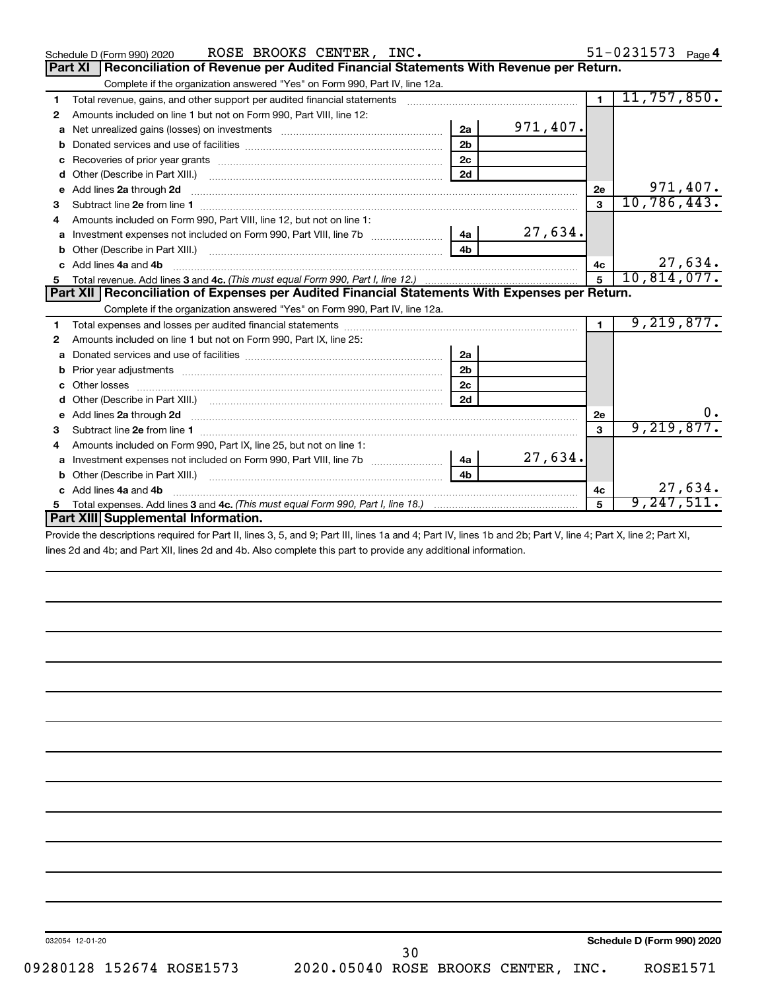|              | ROSE BROOKS CENTER, INC.<br>Schedule D (Form 990) 2020                                                                                                                                                                               |                |          |                | 51-0231573 Page 4 |
|--------------|--------------------------------------------------------------------------------------------------------------------------------------------------------------------------------------------------------------------------------------|----------------|----------|----------------|-------------------|
|              | Reconciliation of Revenue per Audited Financial Statements With Revenue per Return.<br>Part XI                                                                                                                                       |                |          |                |                   |
|              | Complete if the organization answered "Yes" on Form 990, Part IV, line 12a.                                                                                                                                                          |                |          |                |                   |
| 1            | Total revenue, gains, and other support per audited financial statements [[[[[[[[[[[[[[[[[[[[[[[[[]]]]]]]]]]]                                                                                                                        |                |          | $\overline{1}$ | 11,757,850.       |
| $\mathbf{2}$ | Amounts included on line 1 but not on Form 990, Part VIII, line 12:                                                                                                                                                                  |                |          |                |                   |
| a            |                                                                                                                                                                                                                                      | 2a             | 971,407. |                |                   |
| b            |                                                                                                                                                                                                                                      | 2 <sub>b</sub> |          |                |                   |
| c            |                                                                                                                                                                                                                                      | 2 <sub>c</sub> |          |                |                   |
| d            |                                                                                                                                                                                                                                      | 2d             |          |                |                   |
| e            | Add lines 2a through 2d <b>continuum continuum contract and continuum contract and continuum contract and continuum contract and continuum contract and continuum contract and continuum contract and continuum contract and con</b> |                |          | 2e             | 971,407.          |
| 3            |                                                                                                                                                                                                                                      |                |          | 3              | 10,786,443.       |
| 4            | Amounts included on Form 990, Part VIII, line 12, but not on line 1:                                                                                                                                                                 |                |          |                |                   |
|              | Investment expenses not included on Form 990, Part VIII, line 7b [11, 11, 11, 11, 11]                                                                                                                                                | 4a             | 27,634.  |                |                   |
| b            |                                                                                                                                                                                                                                      | 4 <sub>h</sub> |          |                |                   |
|              | Add lines 4a and 4b                                                                                                                                                                                                                  |                |          | 4c             | 27,634.           |
| 5.           |                                                                                                                                                                                                                                      |                |          | 5              | 10,814,077.       |
|              | Part XII Reconciliation of Expenses per Audited Financial Statements With Expenses per Return.                                                                                                                                       |                |          |                |                   |
|              |                                                                                                                                                                                                                                      |                |          |                |                   |
|              | Complete if the organization answered "Yes" on Form 990, Part IV, line 12a.                                                                                                                                                          |                |          |                |                   |
| 1            |                                                                                                                                                                                                                                      |                |          | $\blacksquare$ | 9,219,877.        |
| 2            | Amounts included on line 1 but not on Form 990, Part IX, line 25:                                                                                                                                                                    |                |          |                |                   |
| a            |                                                                                                                                                                                                                                      | 2a             |          |                |                   |
| b            |                                                                                                                                                                                                                                      | 2 <sub>b</sub> |          |                |                   |
|              |                                                                                                                                                                                                                                      | 2 <sub>c</sub> |          |                |                   |
| d            |                                                                                                                                                                                                                                      | 2d             |          |                |                   |
| e            | Add lines 2a through 2d <b>contained a contained a contained a contained a</b> contained a contained a contained a contained a contact a contact a contact a contact a contact a contact a contact a contact a contact a contact a   |                |          | <b>2e</b>      | $0 \cdot$         |
| 3            |                                                                                                                                                                                                                                      |                |          | 3              | 9,219,877.        |
| 4            | Amounts included on Form 990, Part IX, line 25, but not on line 1:                                                                                                                                                                   |                |          |                |                   |
| a            |                                                                                                                                                                                                                                      | 4a l           | 27,634.  |                |                   |
| b            | Other (Describe in Part XIII.) [100] [100] [100] [100] [100] [100] [100] [100] [100] [100] [100] [100] [100] [                                                                                                                       | 4 <sub>h</sub> |          |                |                   |
|              | c Add lines 4a and 4b                                                                                                                                                                                                                |                |          | 4c             | 27,634.           |
|              | Part XIII Supplemental Information.                                                                                                                                                                                                  |                |          | 5              | 9,247,511         |

Provide the descriptions required for Part II, lines 3, 5, and 9; Part III, lines 1a and 4; Part IV, lines 1b and 2b; Part V, line 4; Part X, line 2; Part XI, lines 2d and 4b; and Part XII, lines 2d and 4b. Also complete this part to provide any additional information.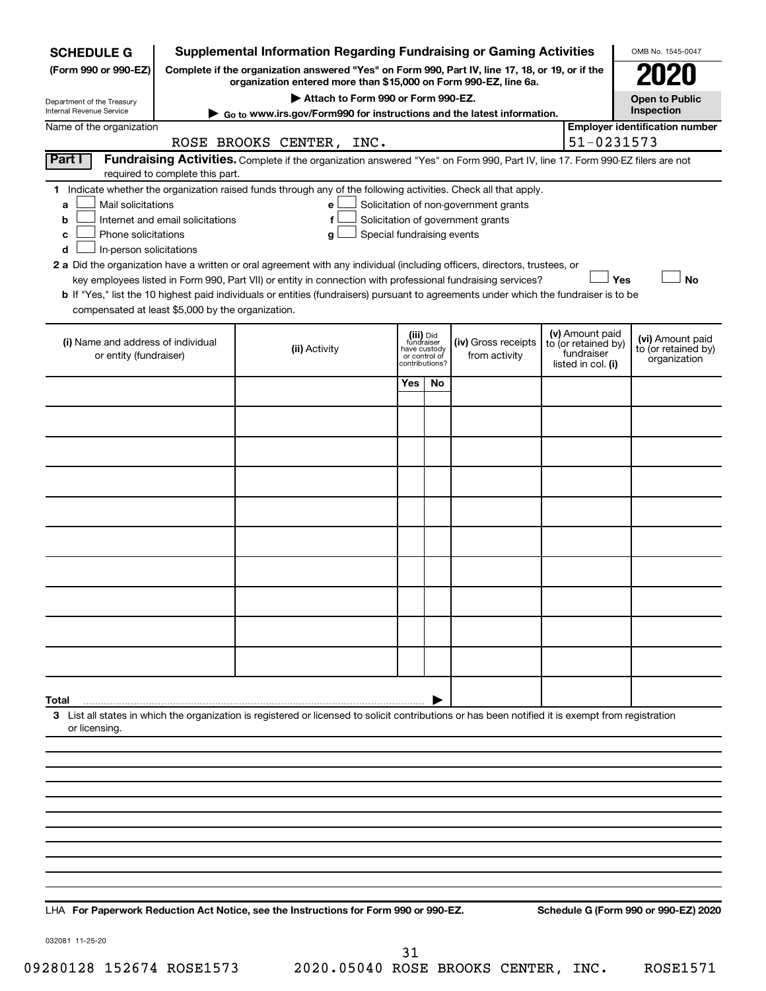| <b>SCHEDULE G</b>                                                                                                                                                                                                                                                                                                                                                                                                                                                                                                                                                                                                                    |  | <b>Supplemental Information Regarding Fundraising or Gaming Activities</b>                                                                                |                                                           |               |                                      |  |                                                                            | OMB No. 1545-0047                                       |  |
|--------------------------------------------------------------------------------------------------------------------------------------------------------------------------------------------------------------------------------------------------------------------------------------------------------------------------------------------------------------------------------------------------------------------------------------------------------------------------------------------------------------------------------------------------------------------------------------------------------------------------------------|--|-----------------------------------------------------------------------------------------------------------------------------------------------------------|-----------------------------------------------------------|---------------|--------------------------------------|--|----------------------------------------------------------------------------|---------------------------------------------------------|--|
| (Form 990 or 990-EZ)                                                                                                                                                                                                                                                                                                                                                                                                                                                                                                                                                                                                                 |  | Complete if the organization answered "Yes" on Form 990, Part IV, line 17, 18, or 19, or if the                                                           |                                                           |               |                                      |  |                                                                            |                                                         |  |
|                                                                                                                                                                                                                                                                                                                                                                                                                                                                                                                                                                                                                                      |  | organization entered more than \$15,000 on Form 990-EZ, line 6a.<br>Attach to Form 990 or Form 990-EZ.                                                    |                                                           |               |                                      |  |                                                                            | <b>Open to Public</b>                                   |  |
| Department of the Treasury<br><b>Internal Revenue Service</b>                                                                                                                                                                                                                                                                                                                                                                                                                                                                                                                                                                        |  | Go to www.irs.gov/Form990 for instructions and the latest information.                                                                                    |                                                           |               |                                      |  |                                                                            | Inspection                                              |  |
| Name of the organization                                                                                                                                                                                                                                                                                                                                                                                                                                                                                                                                                                                                             |  |                                                                                                                                                           |                                                           |               |                                      |  | 51-0231573                                                                 | <b>Employer identification number</b>                   |  |
| Part I                                                                                                                                                                                                                                                                                                                                                                                                                                                                                                                                                                                                                               |  | ROSE BROOKS CENTER, INC.<br>Fundraising Activities. Complete if the organization answered "Yes" on Form 990, Part IV, line 17. Form 990-EZ filers are not |                                                           |               |                                      |  |                                                                            |                                                         |  |
| required to complete this part.                                                                                                                                                                                                                                                                                                                                                                                                                                                                                                                                                                                                      |  |                                                                                                                                                           |                                                           |               |                                      |  |                                                                            |                                                         |  |
| 1 Indicate whether the organization raised funds through any of the following activities. Check all that apply.<br>Mail solicitations<br>Solicitation of non-government grants<br>a<br>e<br>Internet and email solicitations<br>Solicitation of government grants<br>f<br>b<br>Phone solicitations<br>Special fundraising events<br>с<br>g<br>In-person solicitations<br>d<br>2 a Did the organization have a written or oral agreement with any individual (including officers, directors, trustees, or<br>key employees listed in Form 990, Part VII) or entity in connection with professional fundraising services?<br>Yes<br>No |  |                                                                                                                                                           |                                                           |               |                                      |  |                                                                            |                                                         |  |
| compensated at least \$5,000 by the organization.                                                                                                                                                                                                                                                                                                                                                                                                                                                                                                                                                                                    |  | b If "Yes," list the 10 highest paid individuals or entities (fundraisers) pursuant to agreements under which the fundraiser is to be                     |                                                           |               |                                      |  |                                                                            |                                                         |  |
| (i) Name and address of individual<br>or entity (fundraiser)                                                                                                                                                                                                                                                                                                                                                                                                                                                                                                                                                                         |  | (ii) Activity                                                                                                                                             | (iii) Did<br>fundraiser<br>have custody<br>contributions? | or control of | (iv) Gross receipts<br>from activity |  | (v) Amount paid<br>to (or retained by)<br>fundraiser<br>listed in col. (i) | (vi) Amount paid<br>to (or retained by)<br>organization |  |
|                                                                                                                                                                                                                                                                                                                                                                                                                                                                                                                                                                                                                                      |  |                                                                                                                                                           | Yes                                                       | No            |                                      |  |                                                                            |                                                         |  |
|                                                                                                                                                                                                                                                                                                                                                                                                                                                                                                                                                                                                                                      |  |                                                                                                                                                           |                                                           |               |                                      |  |                                                                            |                                                         |  |
|                                                                                                                                                                                                                                                                                                                                                                                                                                                                                                                                                                                                                                      |  |                                                                                                                                                           |                                                           |               |                                      |  |                                                                            |                                                         |  |
|                                                                                                                                                                                                                                                                                                                                                                                                                                                                                                                                                                                                                                      |  |                                                                                                                                                           |                                                           |               |                                      |  |                                                                            |                                                         |  |
|                                                                                                                                                                                                                                                                                                                                                                                                                                                                                                                                                                                                                                      |  |                                                                                                                                                           |                                                           |               |                                      |  |                                                                            |                                                         |  |
|                                                                                                                                                                                                                                                                                                                                                                                                                                                                                                                                                                                                                                      |  |                                                                                                                                                           |                                                           |               |                                      |  |                                                                            |                                                         |  |
|                                                                                                                                                                                                                                                                                                                                                                                                                                                                                                                                                                                                                                      |  |                                                                                                                                                           |                                                           |               |                                      |  |                                                                            |                                                         |  |
|                                                                                                                                                                                                                                                                                                                                                                                                                                                                                                                                                                                                                                      |  |                                                                                                                                                           |                                                           |               |                                      |  |                                                                            |                                                         |  |
|                                                                                                                                                                                                                                                                                                                                                                                                                                                                                                                                                                                                                                      |  |                                                                                                                                                           |                                                           |               |                                      |  |                                                                            |                                                         |  |
|                                                                                                                                                                                                                                                                                                                                                                                                                                                                                                                                                                                                                                      |  |                                                                                                                                                           |                                                           |               |                                      |  |                                                                            |                                                         |  |
|                                                                                                                                                                                                                                                                                                                                                                                                                                                                                                                                                                                                                                      |  |                                                                                                                                                           |                                                           |               |                                      |  |                                                                            |                                                         |  |
|                                                                                                                                                                                                                                                                                                                                                                                                                                                                                                                                                                                                                                      |  |                                                                                                                                                           |                                                           |               |                                      |  |                                                                            |                                                         |  |
|                                                                                                                                                                                                                                                                                                                                                                                                                                                                                                                                                                                                                                      |  |                                                                                                                                                           |                                                           |               |                                      |  |                                                                            |                                                         |  |
|                                                                                                                                                                                                                                                                                                                                                                                                                                                                                                                                                                                                                                      |  |                                                                                                                                                           |                                                           |               |                                      |  |                                                                            |                                                         |  |
|                                                                                                                                                                                                                                                                                                                                                                                                                                                                                                                                                                                                                                      |  |                                                                                                                                                           |                                                           |               |                                      |  |                                                                            |                                                         |  |
| Total                                                                                                                                                                                                                                                                                                                                                                                                                                                                                                                                                                                                                                |  | 3 List all states in which the organization is registered or licensed to solicit contributions or has been notified it is exempt from registration        |                                                           |               |                                      |  |                                                                            |                                                         |  |
| or licensing.                                                                                                                                                                                                                                                                                                                                                                                                                                                                                                                                                                                                                        |  |                                                                                                                                                           |                                                           |               |                                      |  |                                                                            |                                                         |  |
|                                                                                                                                                                                                                                                                                                                                                                                                                                                                                                                                                                                                                                      |  |                                                                                                                                                           |                                                           |               |                                      |  |                                                                            |                                                         |  |
|                                                                                                                                                                                                                                                                                                                                                                                                                                                                                                                                                                                                                                      |  |                                                                                                                                                           |                                                           |               |                                      |  |                                                                            |                                                         |  |
|                                                                                                                                                                                                                                                                                                                                                                                                                                                                                                                                                                                                                                      |  |                                                                                                                                                           |                                                           |               |                                      |  |                                                                            |                                                         |  |
|                                                                                                                                                                                                                                                                                                                                                                                                                                                                                                                                                                                                                                      |  |                                                                                                                                                           |                                                           |               |                                      |  |                                                                            |                                                         |  |
|                                                                                                                                                                                                                                                                                                                                                                                                                                                                                                                                                                                                                                      |  |                                                                                                                                                           |                                                           |               |                                      |  |                                                                            |                                                         |  |
|                                                                                                                                                                                                                                                                                                                                                                                                                                                                                                                                                                                                                                      |  |                                                                                                                                                           |                                                           |               |                                      |  |                                                                            |                                                         |  |
|                                                                                                                                                                                                                                                                                                                                                                                                                                                                                                                                                                                                                                      |  |                                                                                                                                                           |                                                           |               |                                      |  |                                                                            |                                                         |  |
|                                                                                                                                                                                                                                                                                                                                                                                                                                                                                                                                                                                                                                      |  |                                                                                                                                                           |                                                           |               |                                      |  |                                                                            |                                                         |  |

**For Paperwork Reduction Act Notice, see the Instructions for Form 990 or 990-EZ. Schedule G (Form 990 or 990-EZ) 2020** LHA

032081 11-25-20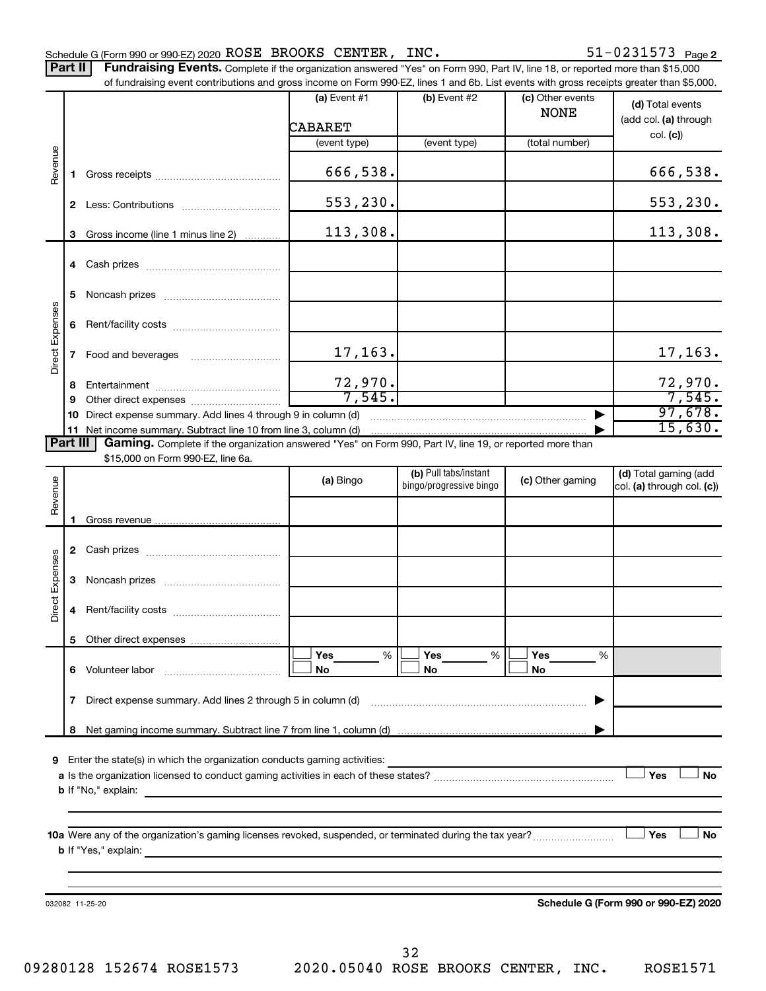Part II | Fundraising Events. Complete if the organization answered "Yes" on Form 990, Part IV, line 18, or reported more than \$15,000

|                 |              | of fundraising event contributions and gross income on Form 990-EZ, lines 1 and 6b. List events with gross receipts greater than \$5,000.          | $(a)$ Event #1 | (b) Event #2                                     | (c) Other events | (d) Total events                                    |
|-----------------|--------------|----------------------------------------------------------------------------------------------------------------------------------------------------|----------------|--------------------------------------------------|------------------|-----------------------------------------------------|
|                 |              |                                                                                                                                                    | <b>CABARET</b> |                                                  | <b>NONE</b>      | (add col. (a) through                               |
|                 |              |                                                                                                                                                    | (event type)   | (event type)                                     | (total number)   | col. (c)                                            |
|                 |              |                                                                                                                                                    |                |                                                  |                  |                                                     |
| Revenue         | 1.           |                                                                                                                                                    | 666,538.       |                                                  |                  | 666,538.                                            |
|                 |              |                                                                                                                                                    | 553,230.       |                                                  |                  | 553,230.                                            |
|                 | 3            | Gross income (line 1 minus line 2)                                                                                                                 | 113,308.       |                                                  |                  | 113,308.                                            |
|                 | 4            |                                                                                                                                                    |                |                                                  |                  |                                                     |
|                 | 5            |                                                                                                                                                    |                |                                                  |                  |                                                     |
|                 | 6            |                                                                                                                                                    |                |                                                  |                  |                                                     |
| Direct Expenses | 7            | Food and beverages                                                                                                                                 | 17,163.        |                                                  |                  | 17, 163.                                            |
|                 | 8            |                                                                                                                                                    | 72,970.        |                                                  |                  | 72,970.                                             |
|                 | 9            |                                                                                                                                                    | 7,545.         |                                                  |                  | 7,545.                                              |
|                 | 10           | Direct expense summary. Add lines 4 through 9 in column (d)                                                                                        |                |                                                  |                  | 97,678.                                             |
|                 |              | 11 Net income summary. Subtract line 10 from line 3, column (d)                                                                                    |                |                                                  |                  | 15,630.                                             |
| <b>Part III</b> |              | Gaming. Complete if the organization answered "Yes" on Form 990, Part IV, line 19, or reported more than                                           |                |                                                  |                  |                                                     |
|                 |              | \$15,000 on Form 990-EZ, line 6a.                                                                                                                  |                |                                                  |                  |                                                     |
| Revenue         |              |                                                                                                                                                    | (a) Bingo      | (b) Pull tabs/instant<br>bingo/progressive bingo | (c) Other gaming | (d) Total gaming (add<br>col. (a) through col. (c)) |
|                 |              |                                                                                                                                                    |                |                                                  |                  |                                                     |
|                 | 1.           |                                                                                                                                                    |                |                                                  |                  |                                                     |
|                 | $\mathbf{2}$ |                                                                                                                                                    |                |                                                  |                  |                                                     |
| Direct Expenses | 3            |                                                                                                                                                    |                |                                                  |                  |                                                     |
|                 | 4            |                                                                                                                                                    |                |                                                  |                  |                                                     |
|                 |              |                                                                                                                                                    |                |                                                  |                  |                                                     |
|                 |              |                                                                                                                                                    | %<br>Yes       | %<br>Yes                                         | Yes<br>%         |                                                     |
|                 | 6.           | Volunteer labor                                                                                                                                    | No             | No                                               | No               |                                                     |
|                 | 7            | Direct expense summary. Add lines 2 through 5 in column (d)                                                                                        |                |                                                  |                  |                                                     |
|                 |              |                                                                                                                                                    |                |                                                  |                  |                                                     |
|                 |              |                                                                                                                                                    |                |                                                  |                  |                                                     |
| 9               |              | Enter the state(s) in which the organization conducts gaming activities:                                                                           |                |                                                  |                  |                                                     |
|                 |              |                                                                                                                                                    |                |                                                  |                  | Yes<br><b>No</b>                                    |
|                 |              | <b>b</b> If "No," explain:<br><u> 1989 - Andrea Andrea Andrea Andrea Andrea Andrea Andrea Andrea Andrea Andrea Andrea Andrea Andrea Andrea And</u> |                |                                                  |                  |                                                     |
|                 |              |                                                                                                                                                    |                |                                                  |                  |                                                     |
|                 |              |                                                                                                                                                    |                |                                                  |                  |                                                     |
|                 |              | 10a Were any of the organization's gaming licenses revoked, suspended, or terminated during the tax year?                                          |                |                                                  |                  | Yes<br>No                                           |
|                 |              |                                                                                                                                                    |                |                                                  |                  |                                                     |
|                 |              |                                                                                                                                                    |                |                                                  |                  |                                                     |
|                 |              |                                                                                                                                                    |                |                                                  |                  |                                                     |
|                 |              | 032082 11-25-20                                                                                                                                    |                |                                                  |                  | Schedule G (Form 990 or 990-EZ) 2020                |
|                 |              |                                                                                                                                                    |                |                                                  |                  |                                                     |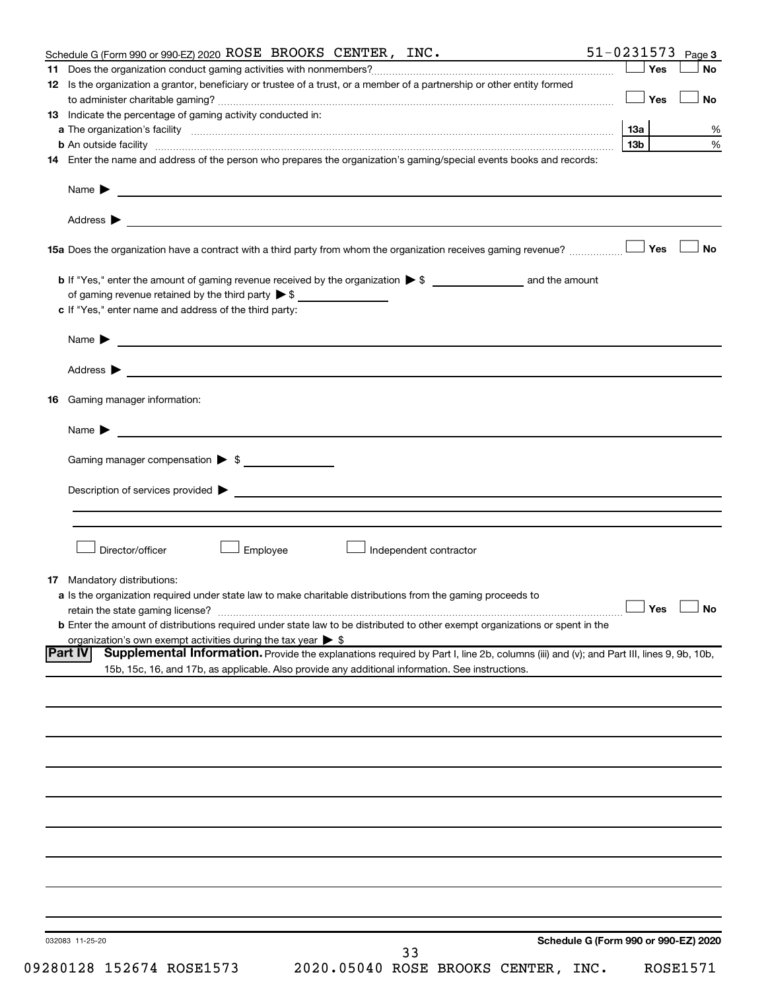|    | Schedule G (Form 990 or 990-EZ) 2020 ROSE BROOKS CENTER, INC.                                                                                             | $51 - 0231573$ Page 3 |     |                 |
|----|-----------------------------------------------------------------------------------------------------------------------------------------------------------|-----------------------|-----|-----------------|
|    |                                                                                                                                                           |                       | Yes | <b>No</b>       |
|    | 12 Is the organization a grantor, beneficiary or trustee of a trust, or a member of a partnership or other entity formed                                  |                       |     |                 |
|    |                                                                                                                                                           |                       | Yes | No              |
|    | <b>13</b> Indicate the percentage of gaming activity conducted in:                                                                                        |                       |     |                 |
|    |                                                                                                                                                           | 13a                   |     |                 |
|    |                                                                                                                                                           | 13 <sub>b</sub>       |     |                 |
|    | 14 Enter the name and address of the person who prepares the organization's gaming/special events books and records:                                      |                       |     |                 |
|    |                                                                                                                                                           |                       |     |                 |
|    |                                                                                                                                                           |                       |     |                 |
|    |                                                                                                                                                           |                       | Yes | ⊥No             |
|    |                                                                                                                                                           |                       |     |                 |
|    |                                                                                                                                                           |                       |     |                 |
|    | of gaming revenue retained by the third party $\triangleright$ \$                                                                                         |                       |     |                 |
|    | c If "Yes," enter name and address of the third party:                                                                                                    |                       |     |                 |
|    | Name $\blacktriangleright$ $\frac{1}{\sqrt{1-\frac{1}{2}}\left(1-\frac{1}{2}\right)}$                                                                     |                       |     |                 |
|    | Address > 2008 - 2009 - 2009 - 2009 - 2009 - 2009 - 2009 - 2009 - 2009 - 2009 - 2009 - 2009 - 2009 - 2009 - 20                                            |                       |     |                 |
| 16 | Gaming manager information:                                                                                                                               |                       |     |                 |
|    |                                                                                                                                                           |                       |     |                 |
|    |                                                                                                                                                           |                       |     |                 |
|    | Gaming manager compensation > \$                                                                                                                          |                       |     |                 |
|    | Employee<br>Director/officer<br>Independent contractor                                                                                                    |                       |     |                 |
|    |                                                                                                                                                           |                       |     |                 |
|    | <b>17</b> Mandatory distributions:<br>a Is the organization required under state law to make charitable distributions from the gaming proceeds to         |                       |     |                 |
|    | retain the state gaming license? $\Box$ No                                                                                                                |                       |     |                 |
|    | <b>b</b> Enter the amount of distributions required under state law to be distributed to other exempt organizations or spent in the                       |                       |     |                 |
|    | organization's own exempt activities during the tax year $\triangleright$ \$                                                                              |                       |     |                 |
|    | Supplemental Information. Provide the explanations required by Part I, line 2b, columns (iii) and (v); and Part III, lines 9, 9b, 10b,<br><b>IPart IV</b> |                       |     |                 |
|    | 15b, 15c, 16, and 17b, as applicable. Also provide any additional information. See instructions.                                                          |                       |     |                 |
|    |                                                                                                                                                           |                       |     |                 |
|    |                                                                                                                                                           |                       |     |                 |
|    |                                                                                                                                                           |                       |     |                 |
|    |                                                                                                                                                           |                       |     |                 |
|    |                                                                                                                                                           |                       |     |                 |
|    |                                                                                                                                                           |                       |     |                 |
|    |                                                                                                                                                           |                       |     |                 |
|    |                                                                                                                                                           |                       |     |                 |
|    |                                                                                                                                                           |                       |     |                 |
|    |                                                                                                                                                           |                       |     |                 |
|    |                                                                                                                                                           |                       |     |                 |
|    |                                                                                                                                                           |                       |     |                 |
|    |                                                                                                                                                           |                       |     |                 |
|    |                                                                                                                                                           |                       |     |                 |
|    |                                                                                                                                                           |                       |     |                 |
|    |                                                                                                                                                           |                       |     |                 |
|    | Schedule G (Form 990 or 990-EZ) 2020<br>032083 11-25-20<br>33                                                                                             |                       |     |                 |
|    | 09280128 152674 ROSE1573<br>2020.05040 ROSE BROOKS CENTER, INC.                                                                                           |                       |     | <b>ROSE1571</b> |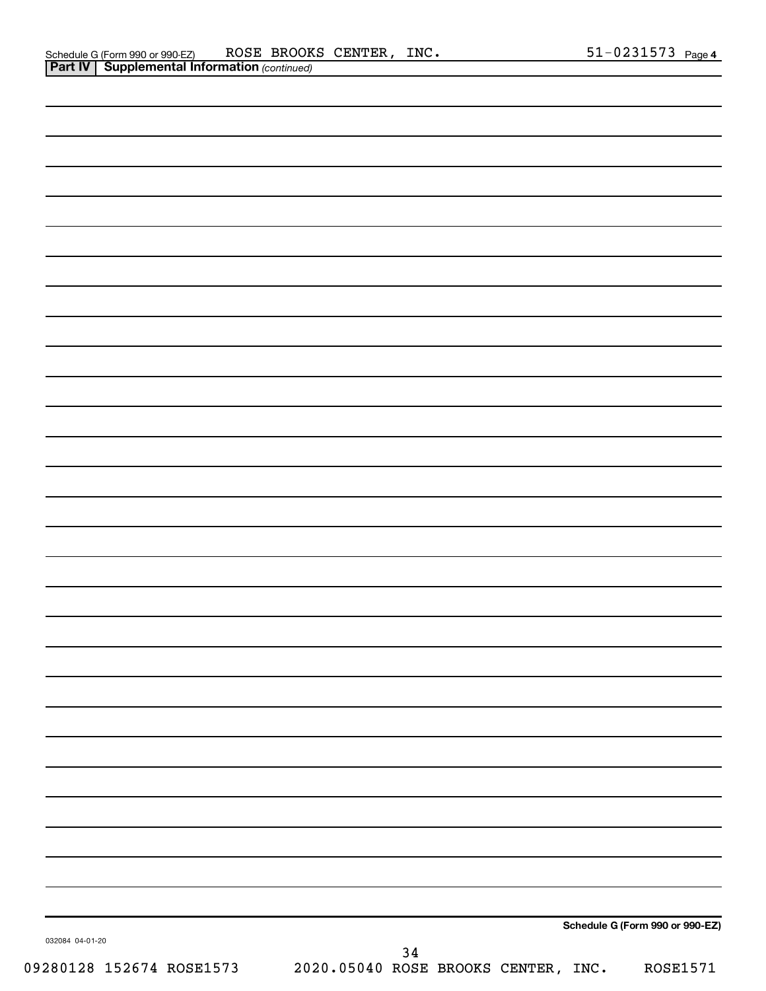|                          |                                     | Schedule G (Form 990 or 990-EZ) |
|--------------------------|-------------------------------------|---------------------------------|
| 032084 04-01-20          | $34$                                |                                 |
| 09280128 152674 ROSE1573 | 2020.05040 ROSE BROOKS CENTER, INC. | <b>ROSE1571</b>                 |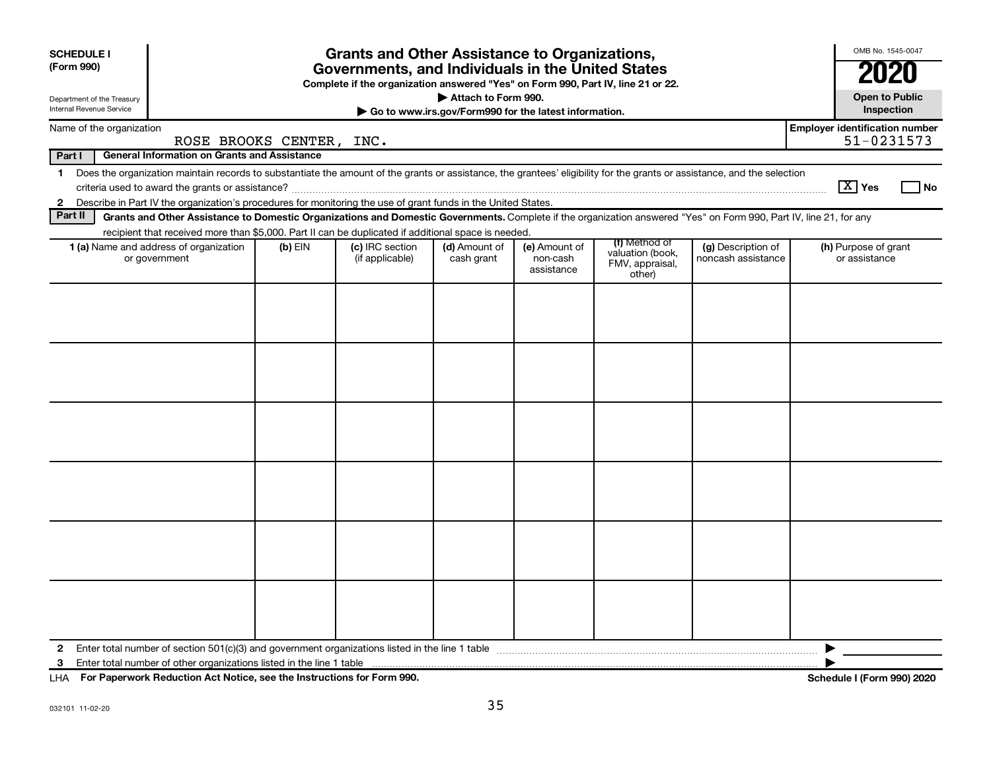| <b>SCHEDULE I</b><br>(Form 990)<br>Department of the Treasury<br>Internal Revenue Service                       |                                                                                                                                                                          |           | <b>Grants and Other Assistance to Organizations,</b><br>Governments, and Individuals in the United States<br>Complete if the organization answered "Yes" on Form 990, Part IV, line 21 or 22. | Attach to Form 990.<br>Go to www.irs.gov/Form990 for the latest information. |                                         |                                                                |                                          |                                       | OMB No. 1545-0047<br><b>Open to Public</b><br>Inspection |  |
|-----------------------------------------------------------------------------------------------------------------|--------------------------------------------------------------------------------------------------------------------------------------------------------------------------|-----------|-----------------------------------------------------------------------------------------------------------------------------------------------------------------------------------------------|------------------------------------------------------------------------------|-----------------------------------------|----------------------------------------------------------------|------------------------------------------|---------------------------------------|----------------------------------------------------------|--|
| Name of the organization                                                                                        |                                                                                                                                                                          |           |                                                                                                                                                                                               |                                                                              |                                         |                                                                |                                          | <b>Employer identification number</b> |                                                          |  |
|                                                                                                                 | ROSE BROOKS CENTER, INC.                                                                                                                                                 |           |                                                                                                                                                                                               |                                                                              |                                         |                                                                |                                          |                                       | 51-0231573                                               |  |
| Part I                                                                                                          | <b>General Information on Grants and Assistance</b>                                                                                                                      |           |                                                                                                                                                                                               |                                                                              |                                         |                                                                |                                          |                                       |                                                          |  |
| $\mathbf 1$                                                                                                     | Does the organization maintain records to substantiate the amount of the grants or assistance, the grantees' eligibility for the grants or assistance, and the selection |           |                                                                                                                                                                                               |                                                                              |                                         |                                                                |                                          | $\boxed{\text{X}}$ Yes                | l No                                                     |  |
| 2 Describe in Part IV the organization's procedures for monitoring the use of grant funds in the United States. |                                                                                                                                                                          |           |                                                                                                                                                                                               |                                                                              |                                         |                                                                |                                          |                                       |                                                          |  |
| Part II                                                                                                         | Grants and Other Assistance to Domestic Organizations and Domestic Governments. Complete if the organization answered "Yes" on Form 990, Part IV, line 21, for any       |           |                                                                                                                                                                                               |                                                                              |                                         |                                                                |                                          |                                       |                                                          |  |
|                                                                                                                 | recipient that received more than \$5,000. Part II can be duplicated if additional space is needed.                                                                      |           |                                                                                                                                                                                               |                                                                              |                                         |                                                                |                                          |                                       |                                                          |  |
|                                                                                                                 | 1 (a) Name and address of organization<br>or government                                                                                                                  | $(b)$ EIN | (c) IRC section<br>(if applicable)                                                                                                                                                            | (d) Amount of<br>cash grant                                                  | (e) Amount of<br>non-cash<br>assistance | (f) Method of<br>valuation (book,<br>FMV, appraisal,<br>other) | (g) Description of<br>noncash assistance |                                       | (h) Purpose of grant<br>or assistance                    |  |
|                                                                                                                 |                                                                                                                                                                          |           |                                                                                                                                                                                               |                                                                              |                                         |                                                                |                                          |                                       |                                                          |  |
| 2                                                                                                               |                                                                                                                                                                          |           |                                                                                                                                                                                               |                                                                              |                                         |                                                                |                                          | ▶                                     |                                                          |  |

**For Paperwork Reduction Act Notice, see the Instructions for Form 990. Schedule I (Form 990) 2020** LHA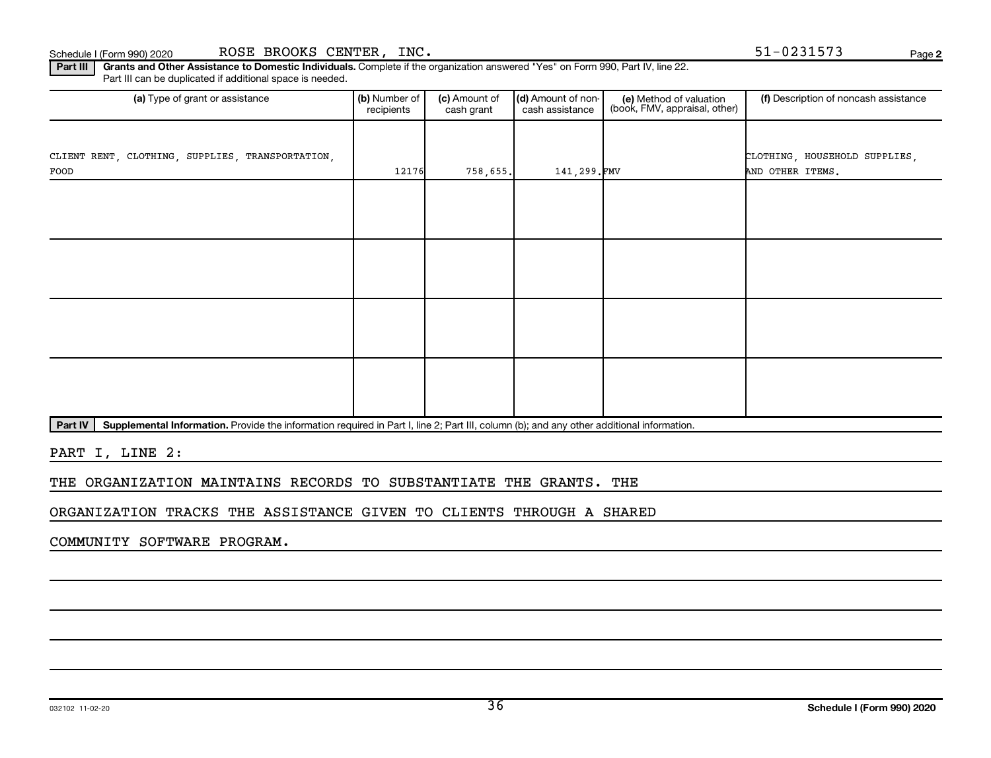Part III | Grants and Other Assistance to Domestic Individuals. Complete if the organization answered "Yes" on Form 990, Part IV, line 22. Part III can be duplicated if additional space is needed.

| (a) Type of grant or assistance                          | (b) Number of<br>recipients | (c) Amount of<br>cash grant | (d) Amount of non-<br>cash assistance | (e) Method of valuation<br>(book, FMV, appraisal, other) | (f) Description of noncash assistance             |
|----------------------------------------------------------|-----------------------------|-----------------------------|---------------------------------------|----------------------------------------------------------|---------------------------------------------------|
| CLIENT RENT, CLOTHING, SUPPLIES, TRANSPORTATION,<br>FOOD | 12176                       | 758,655.                    | 141,299.FMV                           |                                                          | CLOTHING, HOUSEHOLD SUPPLIES,<br>AND OTHER ITEMS. |
|                                                          |                             |                             |                                       |                                                          |                                                   |
|                                                          |                             |                             |                                       |                                                          |                                                   |
|                                                          |                             |                             |                                       |                                                          |                                                   |
|                                                          |                             |                             |                                       |                                                          |                                                   |

Part IV | Supplemental Information. Provide the information required in Part I, line 2; Part III, column (b); and any other additional information.

PART I, LINE 2:

THE ORGANIZATION MAINTAINS RECORDS TO SUBSTANTIATE THE GRANTS. THE

ORGANIZATION TRACKS THE ASSISTANCE GIVEN TO CLIENTS THROUGH A SHARED

COMMUNITY SOFTWARE PROGRAM.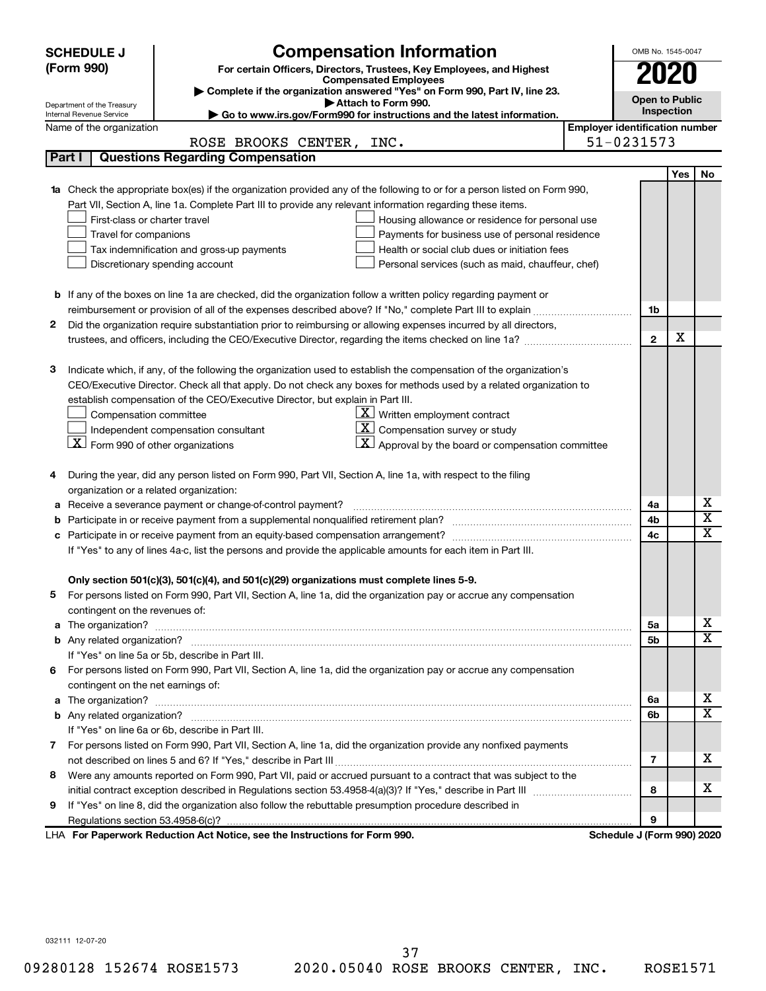|    | <b>Compensation Information</b><br><b>SCHEDULE J</b>                                                                                                                                                     |                                                                                                                                        |                                       |                            | OMB No. 1545-0047 |                         |  |  |  |
|----|----------------------------------------------------------------------------------------------------------------------------------------------------------------------------------------------------------|----------------------------------------------------------------------------------------------------------------------------------------|---------------------------------------|----------------------------|-------------------|-------------------------|--|--|--|
|    | (Form 990)                                                                                                                                                                                               | For certain Officers, Directors, Trustees, Key Employees, and Highest                                                                  |                                       | 2020                       |                   |                         |  |  |  |
|    |                                                                                                                                                                                                          | <b>Compensated Employees</b><br>Complete if the organization answered "Yes" on Form 990, Part IV, line 23.                             |                                       |                            |                   |                         |  |  |  |
|    | Department of the Treasury                                                                                                                                                                               | Attach to Form 990.                                                                                                                    |                                       | <b>Open to Public</b>      |                   |                         |  |  |  |
|    | Internal Revenue Service                                                                                                                                                                                 | Go to www.irs.gov/Form990 for instructions and the latest information.                                                                 |                                       |                            | Inspection        |                         |  |  |  |
|    | Name of the organization                                                                                                                                                                                 |                                                                                                                                        | <b>Employer identification number</b> |                            |                   |                         |  |  |  |
|    |                                                                                                                                                                                                          | ROSE BROOKS CENTER, INC.                                                                                                               |                                       | 51-0231573                 |                   |                         |  |  |  |
|    | Part I                                                                                                                                                                                                   | <b>Questions Regarding Compensation</b>                                                                                                |                                       |                            |                   |                         |  |  |  |
|    |                                                                                                                                                                                                          |                                                                                                                                        |                                       |                            | <b>Yes</b>        | No                      |  |  |  |
| 1a |                                                                                                                                                                                                          | Check the appropriate box(es) if the organization provided any of the following to or for a person listed on Form 990,                 |                                       |                            |                   |                         |  |  |  |
|    |                                                                                                                                                                                                          | Part VII, Section A, line 1a. Complete Part III to provide any relevant information regarding these items.                             |                                       |                            |                   |                         |  |  |  |
|    | First-class or charter travel                                                                                                                                                                            | Housing allowance or residence for personal use                                                                                        |                                       |                            |                   |                         |  |  |  |
|    | Travel for companions                                                                                                                                                                                    | Payments for business use of personal residence                                                                                        |                                       |                            |                   |                         |  |  |  |
|    |                                                                                                                                                                                                          | Health or social club dues or initiation fees<br>Tax indemnification and gross-up payments                                             |                                       |                            |                   |                         |  |  |  |
|    |                                                                                                                                                                                                          | Discretionary spending account<br>Personal services (such as maid, chauffeur, chef)                                                    |                                       |                            |                   |                         |  |  |  |
|    |                                                                                                                                                                                                          |                                                                                                                                        |                                       |                            |                   |                         |  |  |  |
|    |                                                                                                                                                                                                          | <b>b</b> If any of the boxes on line 1a are checked, did the organization follow a written policy regarding payment or                 |                                       |                            |                   |                         |  |  |  |
|    |                                                                                                                                                                                                          |                                                                                                                                        |                                       | 1b                         |                   |                         |  |  |  |
| 2  |                                                                                                                                                                                                          | Did the organization require substantiation prior to reimbursing or allowing expenses incurred by all directors,                       |                                       |                            | х                 |                         |  |  |  |
|    |                                                                                                                                                                                                          | trustees, and officers, including the CEO/Executive Director, regarding the items checked on line 1a?                                  |                                       | $\mathbf{2}$               |                   |                         |  |  |  |
|    |                                                                                                                                                                                                          |                                                                                                                                        |                                       |                            |                   |                         |  |  |  |
| з  |                                                                                                                                                                                                          | Indicate which, if any, of the following the organization used to establish the compensation of the organization's                     |                                       |                            |                   |                         |  |  |  |
|    |                                                                                                                                                                                                          | CEO/Executive Director. Check all that apply. Do not check any boxes for methods used by a related organization to                     |                                       |                            |                   |                         |  |  |  |
|    |                                                                                                                                                                                                          | establish compensation of the CEO/Executive Director, but explain in Part III.<br>$\underline{\mathbf{X}}$ Written employment contract |                                       |                            |                   |                         |  |  |  |
|    | Compensation committee                                                                                                                                                                                   | <u>x  </u>                                                                                                                             |                                       |                            |                   |                         |  |  |  |
|    | Compensation survey or study<br>Independent compensation consultant<br>$\lfloor \underline{X} \rfloor$ Form 990 of other organizations<br>$ \mathbf{X} $ Approval by the board or compensation committee |                                                                                                                                        |                                       |                            |                   |                         |  |  |  |
|    |                                                                                                                                                                                                          |                                                                                                                                        |                                       |                            |                   |                         |  |  |  |
| 4  |                                                                                                                                                                                                          | During the year, did any person listed on Form 990, Part VII, Section A, line 1a, with respect to the filing                           |                                       |                            |                   |                         |  |  |  |
|    | organization or a related organization:                                                                                                                                                                  |                                                                                                                                        |                                       |                            |                   |                         |  |  |  |
| а  |                                                                                                                                                                                                          | Receive a severance payment or change-of-control payment?                                                                              |                                       | 4a                         |                   | х                       |  |  |  |
| b  |                                                                                                                                                                                                          |                                                                                                                                        |                                       | 4b                         |                   | $\overline{\textbf{x}}$ |  |  |  |
| c  |                                                                                                                                                                                                          |                                                                                                                                        |                                       | 4c                         |                   | X                       |  |  |  |
|    |                                                                                                                                                                                                          | If "Yes" to any of lines 4a-c, list the persons and provide the applicable amounts for each item in Part III.                          |                                       |                            |                   |                         |  |  |  |
|    |                                                                                                                                                                                                          |                                                                                                                                        |                                       |                            |                   |                         |  |  |  |
|    |                                                                                                                                                                                                          | Only section 501(c)(3), 501(c)(4), and 501(c)(29) organizations must complete lines 5-9.                                               |                                       |                            |                   |                         |  |  |  |
|    |                                                                                                                                                                                                          | For persons listed on Form 990, Part VII, Section A, line 1a, did the organization pay or accrue any compensation                      |                                       |                            |                   |                         |  |  |  |
|    | contingent on the revenues of:                                                                                                                                                                           |                                                                                                                                        |                                       |                            |                   |                         |  |  |  |
|    |                                                                                                                                                                                                          |                                                                                                                                        |                                       | 5a                         |                   | x                       |  |  |  |
|    |                                                                                                                                                                                                          |                                                                                                                                        |                                       | 5b                         |                   | X                       |  |  |  |
|    |                                                                                                                                                                                                          | If "Yes" on line 5a or 5b, describe in Part III.                                                                                       |                                       |                            |                   |                         |  |  |  |
| 6. |                                                                                                                                                                                                          | For persons listed on Form 990, Part VII, Section A, line 1a, did the organization pay or accrue any compensation                      |                                       |                            |                   |                         |  |  |  |
|    | contingent on the net earnings of:                                                                                                                                                                       |                                                                                                                                        |                                       |                            |                   |                         |  |  |  |
|    |                                                                                                                                                                                                          |                                                                                                                                        |                                       | 6a                         |                   | х                       |  |  |  |
|    |                                                                                                                                                                                                          |                                                                                                                                        |                                       | 6b                         |                   | X                       |  |  |  |
|    |                                                                                                                                                                                                          | If "Yes" on line 6a or 6b, describe in Part III.                                                                                       |                                       |                            |                   |                         |  |  |  |
|    |                                                                                                                                                                                                          | 7 For persons listed on Form 990, Part VII, Section A, line 1a, did the organization provide any nonfixed payments                     |                                       |                            |                   |                         |  |  |  |
|    |                                                                                                                                                                                                          |                                                                                                                                        |                                       | 7                          |                   | x                       |  |  |  |
| 8  |                                                                                                                                                                                                          | Were any amounts reported on Form 990, Part VII, paid or accrued pursuant to a contract that was subject to the                        |                                       |                            |                   |                         |  |  |  |
|    |                                                                                                                                                                                                          |                                                                                                                                        |                                       | 8                          |                   | x                       |  |  |  |
| 9  |                                                                                                                                                                                                          | If "Yes" on line 8, did the organization also follow the rebuttable presumption procedure described in                                 |                                       |                            |                   |                         |  |  |  |
|    |                                                                                                                                                                                                          |                                                                                                                                        |                                       | 9                          |                   |                         |  |  |  |
|    |                                                                                                                                                                                                          | LHA For Paperwork Reduction Act Notice, see the Instructions for Form 990.                                                             |                                       | Schedule J (Form 990) 2020 |                   |                         |  |  |  |

032111 12-07-20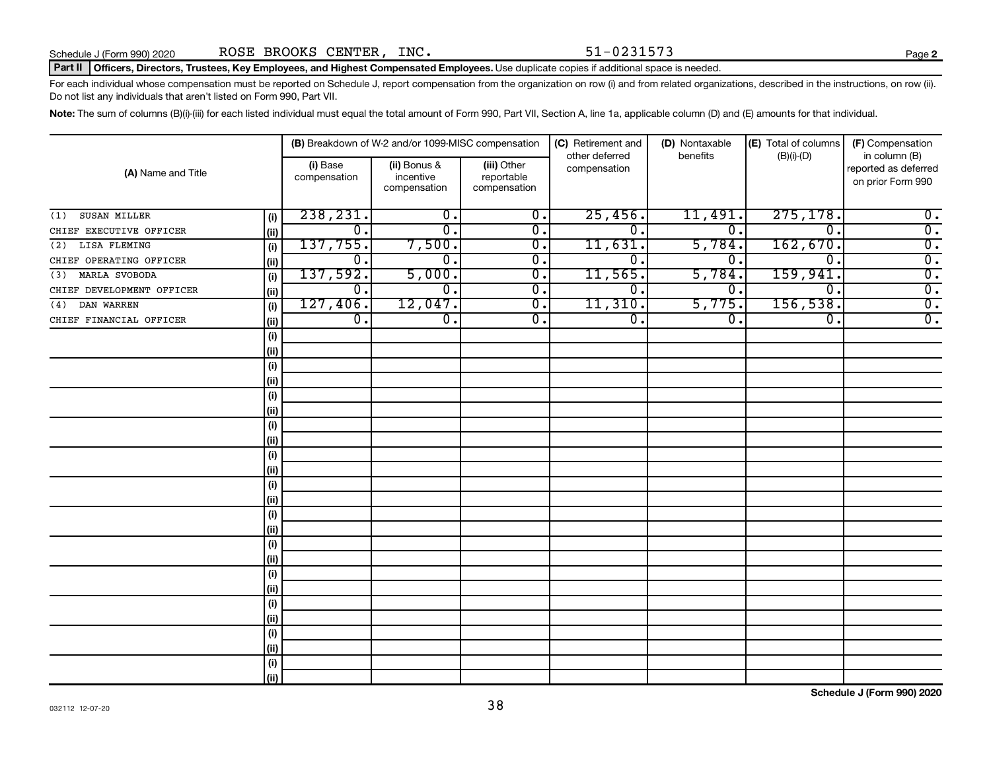#### Part II | Officers, Directors, Trustees, Key Employees, and Highest Compensated Employees. Use duplicate copies if additional space is needed.

For each individual whose compensation must be reported on Schedule J, report compensation from the organization on row (i) and from related organizations, described in the instructions, on row (ii). Do not list any individuals that aren't listed on Form 990, Part VII.

Note: The sum of columns (B)(i)-(iii) for each listed individual must equal the total amount of Form 990, Part VII, Section A, line 1a, applicable column (D) and (E) amounts for that individual.

| (A) Name and Title        |       |                          | (B) Breakdown of W-2 and/or 1099-MISC compensation |                                           | (C) Retirement and             | (D) Nontaxable | (E) Total of columns        | (F) Compensation                                           |
|---------------------------|-------|--------------------------|----------------------------------------------------|-------------------------------------------|--------------------------------|----------------|-----------------------------|------------------------------------------------------------|
|                           |       | (i) Base<br>compensation | (ii) Bonus &<br>incentive<br>compensation          | (iii) Other<br>reportable<br>compensation | other deferred<br>compensation | benefits       | $(B)(i)$ - $(D)$            | in column (B)<br>reported as deferred<br>on prior Form 990 |
| SUSAN MILLER<br>(1)       | (i)   | 238, 231.                | 0.                                                 | $\overline{0}$ .                          | 25,456.                        | 11,491.        | 275, 178.                   | $\overline{0}$ .                                           |
| CHIEF EXECUTIVE OFFICER   | (ii)  | 0.                       | 0.                                                 | $\overline{0}$ .                          | $\mathbf 0$                    | 0.             | $\mathbf 0$ .               | $\overline{0}$ .                                           |
| LISA FLEMING<br>(2)       | (i)   | 137,755.                 | 7,500.                                             | $\overline{\mathbf{0}}$ .                 | 11,631.                        | 5,784.         | 162,670.                    | $\overline{0}$ .                                           |
| CHIEF OPERATING OFFICER   | (ii)  | $\overline{0}$ .         | 0.                                                 | $\overline{\mathbf{0}}$ .                 | 0 <sub>1</sub>                 | $0 \, .$       | $\mathbf 0$ .               | $\overline{0}$ .                                           |
| MARLA SVOBODA<br>(3)      | (i)   | 137,592.                 | 5,000.                                             | $\overline{0}$ .                          | 11,565.                        | 5,784.         | 159,941                     | $\overline{0}$ .                                           |
| CHIEF DEVELOPMENT OFFICER | (ii)  | $\overline{0}$ .         | $\overline{0}$ .                                   | $\overline{0}$ .                          | $\overline{0}$ .               | σ.             | $\overline{0}$ .            | $\overline{0}$ .                                           |
| DAN WARREN<br>(4)         | (i)   | 127,406.                 | 12,047.                                            | $\overline{0}$ .                          | 11,310.                        | 5,775.         | 156, 538.                   | $\overline{0}$ .                                           |
| CHIEF FINANCIAL OFFICER   | (ii)  | $\overline{0}$ .         | $\overline{0}$ .                                   | $\overline{0}$ .                          | σ.                             | σ.             | $\overline{\mathfrak{o}}$ . | $\overline{0}$ .                                           |
|                           | (i)   |                          |                                                    |                                           |                                |                |                             |                                                            |
|                           | (ii)  |                          |                                                    |                                           |                                |                |                             |                                                            |
|                           | (i)   |                          |                                                    |                                           |                                |                |                             |                                                            |
|                           | (ii)  |                          |                                                    |                                           |                                |                |                             |                                                            |
|                           | (i)   |                          |                                                    |                                           |                                |                |                             |                                                            |
|                           | (ii)  |                          |                                                    |                                           |                                |                |                             |                                                            |
|                           | (i)   |                          |                                                    |                                           |                                |                |                             |                                                            |
|                           | (ii)  |                          |                                                    |                                           |                                |                |                             |                                                            |
|                           | (i)   |                          |                                                    |                                           |                                |                |                             |                                                            |
|                           | (ii)  |                          |                                                    |                                           |                                |                |                             |                                                            |
|                           | (i)   |                          |                                                    |                                           |                                |                |                             |                                                            |
|                           | (ii)  |                          |                                                    |                                           |                                |                |                             |                                                            |
|                           | (i)   |                          |                                                    |                                           |                                |                |                             |                                                            |
|                           | (ii)  |                          |                                                    |                                           |                                |                |                             |                                                            |
|                           | (i)   |                          |                                                    |                                           |                                |                |                             |                                                            |
|                           | (ii)  |                          |                                                    |                                           |                                |                |                             |                                                            |
|                           | (i)   |                          |                                                    |                                           |                                |                |                             |                                                            |
|                           | (ii)  |                          |                                                    |                                           |                                |                |                             |                                                            |
|                           | (i)   |                          |                                                    |                                           |                                |                |                             |                                                            |
|                           | (ii)  |                          |                                                    |                                           |                                |                |                             |                                                            |
|                           | (i)   |                          |                                                    |                                           |                                |                |                             |                                                            |
|                           | (ii)  |                          |                                                    |                                           |                                |                |                             |                                                            |
|                           | (i)   |                          |                                                    |                                           |                                |                |                             |                                                            |
|                           | (iii) |                          |                                                    |                                           |                                |                |                             |                                                            |

**Schedule J (Form 990) 2020**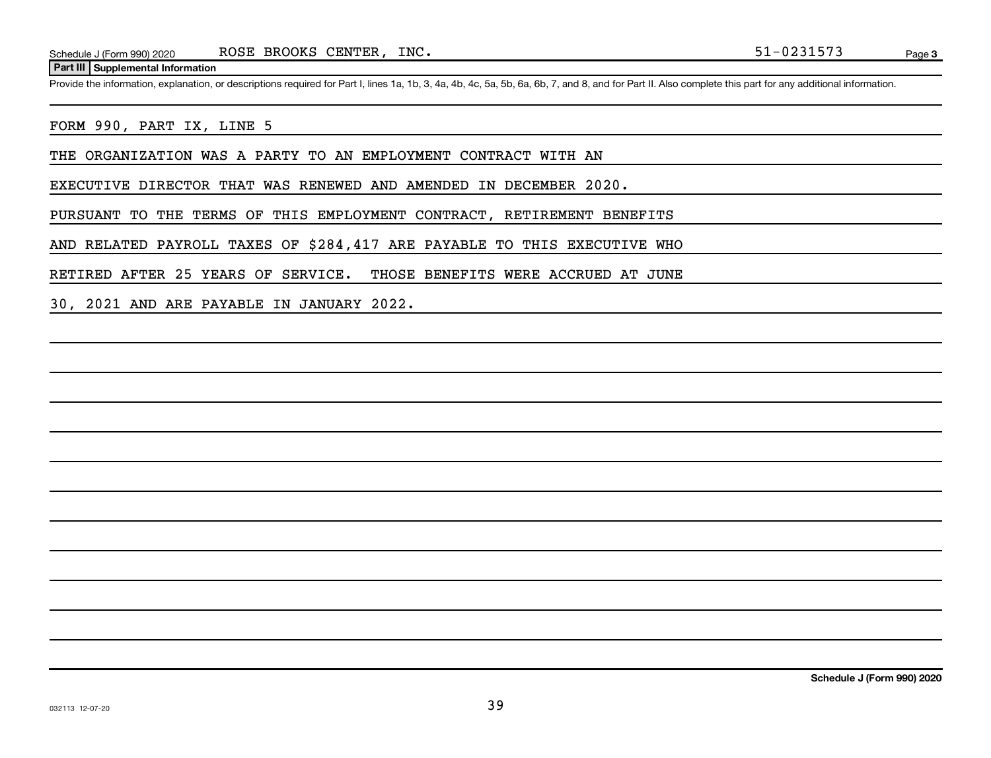#### **Part III Supplemental Information**

Provide the information, explanation, or descriptions required for Part I, lines 1a, 1b, 3, 4a, 4b, 4c, 5a, 5b, 6a, 6b, 7, and 8, and for Part II. Also complete this part for any additional information.

#### FORM 990, PART IX, LINE 5

THE ORGANIZATION WAS A PARTY TO AN EMPLOYMENT CONTRACT WITH AN

EXECUTIVE DIRECTOR THAT WAS RENEWED AND AMENDED IN DECEMBER 2020.

PURSUANT TO THE TERMS OF THIS EMPLOYMENT CONTRACT, RETIREMENT BENEFITS

AND RELATED PAYROLL TAXES OF \$284,417 ARE PAYABLE TO THIS EXECUTIVE WHO

RETIRED AFTER 25 YEARS OF SERVICE. THOSE BENEFITS WERE ACCRUED AT JUNE

30, 2021 AND ARE PAYABLE IN JANUARY 2022.

**Schedule J (Form 990) 2020**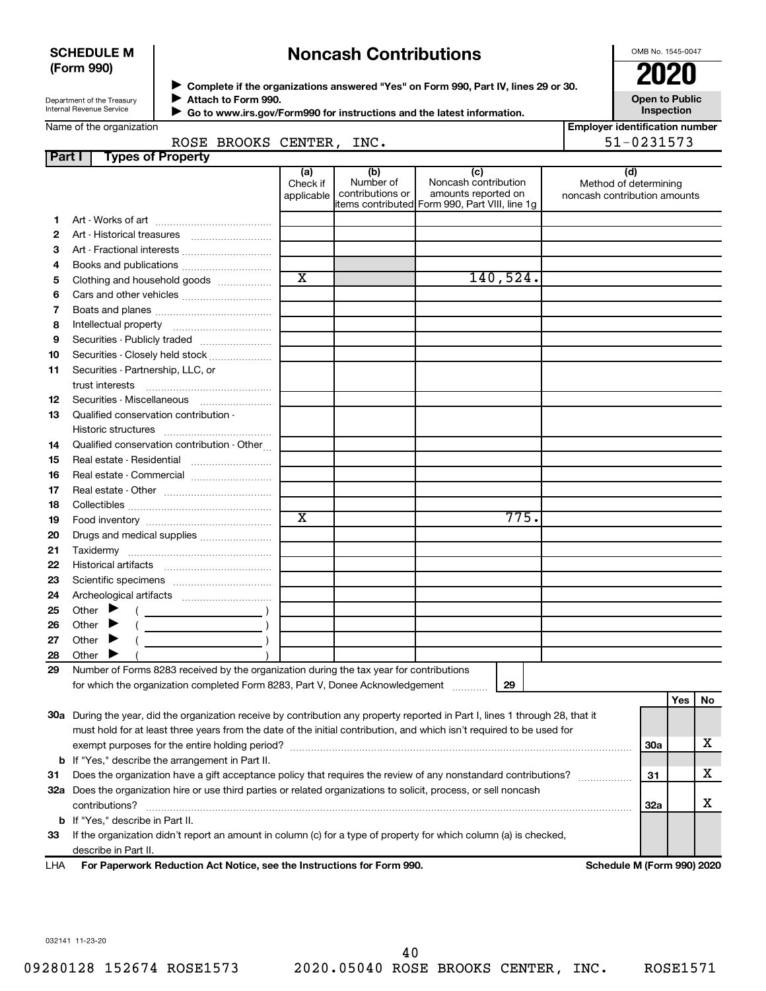#### **SCHEDULE M (Form 990)**

## **Noncash Contributions**

OMB No. 1545-0047

| Department of the Treasury |
|----------------------------|
| Internal Revenue Service   |

◆ Complete if the organizations answered "Yes" on Form 990, Part IV, lines 29 or 30.<br>● Complete if the organizations answered "Yes" on Form 990, Part IV, lines 29 or 30. **Attach to Form 990.** J

**Open to Public**

|        | Internal Revenue Service<br>Go to www.irs.gov/Form990 for instructions and the latest information.                                                                       |                               |                                      |                                                                                                      |          |                              | Inspection                            |     |    |
|--------|--------------------------------------------------------------------------------------------------------------------------------------------------------------------------|-------------------------------|--------------------------------------|------------------------------------------------------------------------------------------------------|----------|------------------------------|---------------------------------------|-----|----|
|        | Name of the organization                                                                                                                                                 |                               |                                      |                                                                                                      |          |                              | <b>Employer identification number</b> |     |    |
|        | ROSE BROOKS CENTER, INC.                                                                                                                                                 |                               |                                      |                                                                                                      |          |                              | 51-0231573                            |     |    |
| Part I | <b>Types of Property</b>                                                                                                                                                 |                               |                                      |                                                                                                      |          |                              |                                       |     |    |
|        |                                                                                                                                                                          | (a)<br>Check if<br>applicable | (b)<br>Number of<br>contributions or | (c)<br>Noncash contribution<br>amounts reported on<br>items contributed Form 990, Part VIII, line 1g |          | noncash contribution amounts | (d)<br>Method of determining          |     |    |
| 1      |                                                                                                                                                                          |                               |                                      |                                                                                                      |          |                              |                                       |     |    |
| 2      |                                                                                                                                                                          |                               |                                      |                                                                                                      |          |                              |                                       |     |    |
| з      | Art - Fractional interests                                                                                                                                               |                               |                                      |                                                                                                      |          |                              |                                       |     |    |
| 4      |                                                                                                                                                                          |                               |                                      |                                                                                                      |          |                              |                                       |     |    |
| 5      | Clothing and household goods                                                                                                                                             | $\overline{\mathbf{X}}$       |                                      |                                                                                                      | 140,524. |                              |                                       |     |    |
| 6      | Cars and other vehicles                                                                                                                                                  |                               |                                      |                                                                                                      |          |                              |                                       |     |    |
| 7      |                                                                                                                                                                          |                               |                                      |                                                                                                      |          |                              |                                       |     |    |
| 8      |                                                                                                                                                                          |                               |                                      |                                                                                                      |          |                              |                                       |     |    |
| 9      | Securities - Publicly traded                                                                                                                                             |                               |                                      |                                                                                                      |          |                              |                                       |     |    |
| 10     | Securities - Closely held stock                                                                                                                                          |                               |                                      |                                                                                                      |          |                              |                                       |     |    |
| 11     | Securities - Partnership, LLC, or<br>trust interests                                                                                                                     |                               |                                      |                                                                                                      |          |                              |                                       |     |    |
| 12     | Securities - Miscellaneous                                                                                                                                               |                               |                                      |                                                                                                      |          |                              |                                       |     |    |
| 13     | Qualified conservation contribution -                                                                                                                                    |                               |                                      |                                                                                                      |          |                              |                                       |     |    |
|        | Historic structures                                                                                                                                                      |                               |                                      |                                                                                                      |          |                              |                                       |     |    |
| 14     | Qualified conservation contribution - Other                                                                                                                              |                               |                                      |                                                                                                      |          |                              |                                       |     |    |
| 15     | Real estate - Residential                                                                                                                                                |                               |                                      |                                                                                                      |          |                              |                                       |     |    |
| 16     | Real estate - Commercial                                                                                                                                                 |                               |                                      |                                                                                                      |          |                              |                                       |     |    |
| 17     |                                                                                                                                                                          |                               |                                      |                                                                                                      |          |                              |                                       |     |    |
| 18     |                                                                                                                                                                          |                               |                                      |                                                                                                      |          |                              |                                       |     |    |
| 19     |                                                                                                                                                                          | $\overline{\text{x}}$         |                                      |                                                                                                      | 775.     |                              |                                       |     |    |
| 20     | Drugs and medical supplies                                                                                                                                               |                               |                                      |                                                                                                      |          |                              |                                       |     |    |
| 21     |                                                                                                                                                                          |                               |                                      |                                                                                                      |          |                              |                                       |     |    |
| 22     |                                                                                                                                                                          |                               |                                      |                                                                                                      |          |                              |                                       |     |    |
| 23     |                                                                                                                                                                          |                               |                                      |                                                                                                      |          |                              |                                       |     |    |
| 24     |                                                                                                                                                                          |                               |                                      |                                                                                                      |          |                              |                                       |     |    |
| 25     | Other $\blacktriangleright$                                                                                                                                              |                               |                                      |                                                                                                      |          |                              |                                       |     |    |
| 26     | Other $\blacktriangleright$                                                                                                                                              |                               |                                      |                                                                                                      |          |                              |                                       |     |    |
| 27     | Other                                                                                                                                                                    |                               |                                      |                                                                                                      |          |                              |                                       |     |    |
| 28     | Other                                                                                                                                                                    |                               |                                      |                                                                                                      |          |                              |                                       |     |    |
| 29     | Number of Forms 8283 received by the organization during the tax year for contributions<br>for which the organization completed Form 8283, Part V, Donee Acknowledgement |                               |                                      |                                                                                                      | 29       |                              |                                       |     |    |
|        |                                                                                                                                                                          |                               |                                      |                                                                                                      |          |                              |                                       | Yes | No |
|        | 30a During the year, did the organization receive by contribution any property reported in Part I, lines 1 through 28, that it                                           |                               |                                      |                                                                                                      |          |                              |                                       |     |    |
|        | must hold for at least three years from the date of the initial contribution, and which isn't required to be used for                                                    |                               |                                      |                                                                                                      |          |                              |                                       |     |    |
|        |                                                                                                                                                                          |                               |                                      |                                                                                                      |          |                              | 30a                                   |     | х  |
|        | <b>b</b> If "Yes," describe the arrangement in Part II.                                                                                                                  |                               |                                      |                                                                                                      |          |                              |                                       |     |    |
| 31     | Does the organization have a gift acceptance policy that requires the review of any nonstandard contributions?                                                           |                               |                                      |                                                                                                      |          | .                            | 31                                    |     | х  |
|        | 32a Does the organization hire or use third parties or related organizations to solicit, process, or sell noncash                                                        |                               |                                      |                                                                                                      |          |                              |                                       |     |    |

**33** If the organization didn't report an amount in column (c) for a type of property for which column (a) is checked, **b** If "Yes," describe in Part II. describe in Part II.

 $\text{contributions?}$   $\ldots$   $\ldots$   $\ldots$   $\ldots$   $\ldots$   $\ldots$   $\ldots$   $\ldots$   $\ldots$   $\ldots$   $\ldots$   $\ldots$   $\ldots$   $\ldots$   $\ldots$   $\ldots$   $\ldots$   $\ldots$   $\ldots$   $\ldots$   $\ldots$   $\ldots$   $\ldots$   $\ldots$   $\ldots$   $\ldots$   $\ldots$   $\ldots$   $\ldots$   $\ldots$   $\ldots$   $\ldots$   $\ldots$   $\ldots$   $\ldots$ 

**For Paperwork Reduction Act Notice, see the Instructions for Form 990. Schedule M (Form 990) 2020** LHA

**32a**

X

032141 11-23-20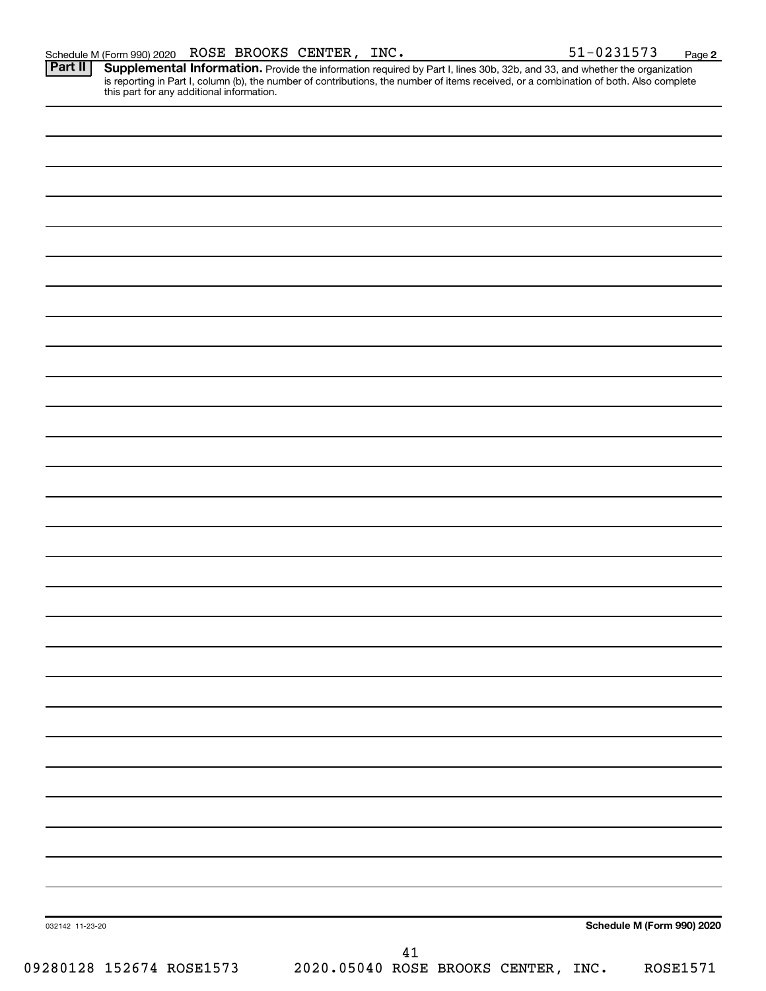Part II | Supplemental Information. Provide the information required by Part I, lines 30b, 32b, and 33, and whether the organization is reporting in Part I, column (b), the number of contributions, the number of items received, or a combination of both. Also complete this part for any additional information.

032142 11-23-20 **Schedule M (Form 990) 2020** 09280128 152674 ROSE1573 2020.05040 ROSE BROOKS CENTER, INC. ROSE1571 41

**2**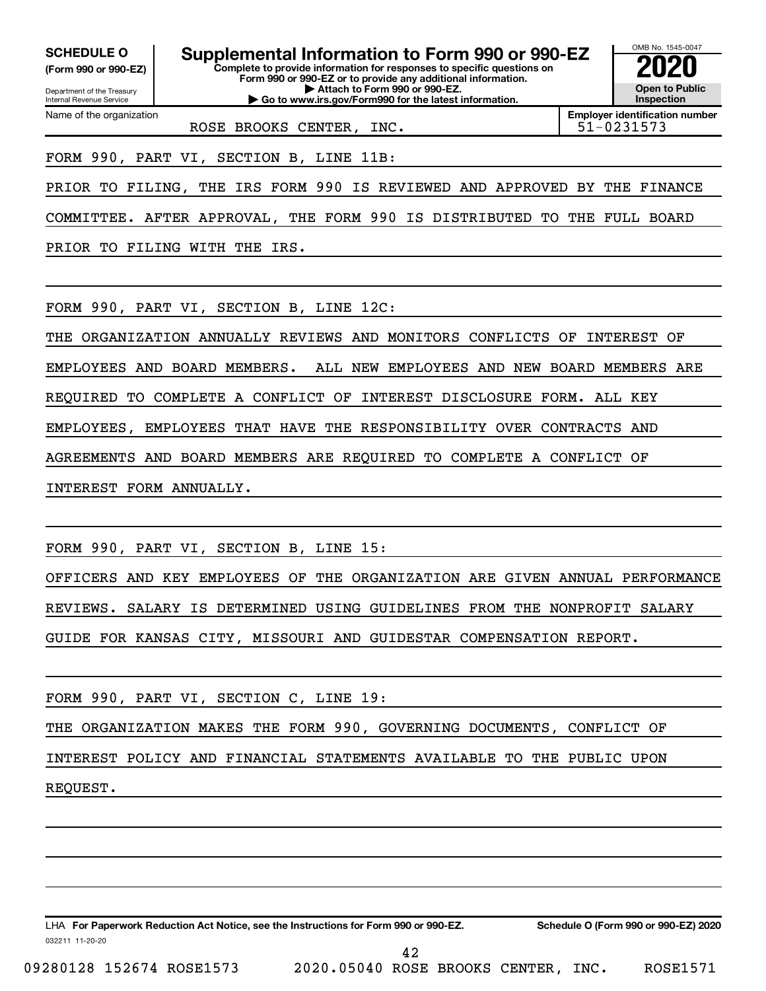**(Form 990 or 990-EZ)**

**Complete to provide information for responses to specific questions on Form 990 or 990-EZ or to provide any additional information. SCHEDULE O Supplemental Information to Form 990 or 990-EZ 2020**<br>(Form 990 or 990-EZ) Complete to provide information for responses to specific questions on

**| Attach to Form 990 or 990-EZ. | Go to www.irs.gov/Form990 for the latest information.**

Department of the Treasury Internal Revenue Service Name of the organization

ROSE BROOKS CENTER, INC. THE SET RESOLUTION SERVICE RESOLUTION IS SERVED ASSESSED.

**Employer identification number**

OMB No. 1545-0047

**Open to Public Inspection**

FORM 990, PART VI, SECTION B, LINE 11B:

PRIOR TO FILING, THE IRS FORM 990 IS REVIEWED AND APPROVED BY THE FINANCE

COMMITTEE. AFTER APPROVAL, THE FORM 990 IS DISTRIBUTED TO THE FULL BOARD

PRIOR TO FILING WITH THE IRS.

FORM 990, PART VI, SECTION B, LINE 12C:

THE ORGANIZATION ANNUALLY REVIEWS AND MONITORS CONFLICTS OF INTEREST OF

EMPLOYEES AND BOARD MEMBERS. ALL NEW EMPLOYEES AND NEW BOARD MEMBERS ARE

REQUIRED TO COMPLETE A CONFLICT OF INTEREST DISCLOSURE FORM. ALL KEY

EMPLOYEES, EMPLOYEES THAT HAVE THE RESPONSIBILITY OVER CONTRACTS AND

AGREEMENTS AND BOARD MEMBERS ARE REQUIRED TO COMPLETE A CONFLICT OF

INTEREST FORM ANNUALLY.

FORM 990, PART VI, SECTION B, LINE 15:

OFFICERS AND KEY EMPLOYEES OF THE ORGANIZATION ARE GIVEN ANNUAL PERFORMANCE REVIEWS. SALARY IS DETERMINED USING GUIDELINES FROM THE NONPROFIT SALARY GUIDE FOR KANSAS CITY, MISSOURI AND GUIDESTAR COMPENSATION REPORT.

FORM 990, PART VI, SECTION C, LINE 19:

THE ORGANIZATION MAKES THE FORM 990, GOVERNING DOCUMENTS, CONFLICT OF

INTEREST POLICY AND FINANCIAL STATEMENTS AVAILABLE TO THE PUBLIC UPON

REQUEST.

032211 11-20-20 **For Paperwork Reduction Act Notice, see the Instructions for Form 990 or 990-EZ. Schedule O (Form 990 or 990-EZ) 2020** LHA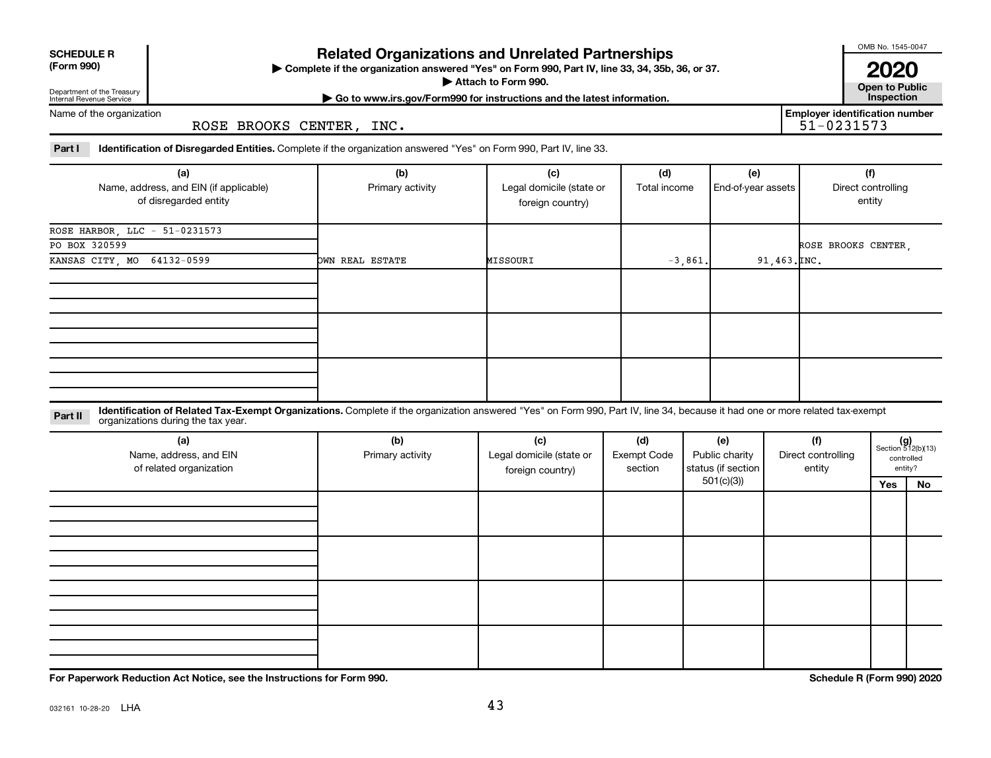| <b>SCHEDULE R</b> |
|-------------------|
|                   |

Department of the Treasury Internal Revenue Service

## **Related Organizations and Unrelated Partnerships**

**(Form 990) Complete if the organization answered "Yes" on Form 990, Part IV, line 33, 34, 35b, 36, or 37.** |

■ Attach to Form 990. **Dependent of Attach to Form 990.** Open to Public

OMB No. 1545-0047

**| Go to www.irs.gov/Form990 for instructions and the latest information. Inspection 2020**<br>Open to Public

**Employer identification number**

Name of the organization

ROSE BROOKS CENTER, INC.

Part I ldentification of Disregarded Entities. Complete if the organization answered "Yes" on Form 990, Part IV, line 33.

| (a)<br>Name, address, and EIN (if applicable)<br>of disregarded entity | (b)<br>Primary activity | (c)<br>Legal domicile (state or<br>foreign country) | (d)<br>Total income | (e)<br>End-of-year assets | (f)<br>Direct controlling<br>entity |
|------------------------------------------------------------------------|-------------------------|-----------------------------------------------------|---------------------|---------------------------|-------------------------------------|
| ROSE HARBOR, LLC - 51-0231573                                          |                         |                                                     |                     |                           |                                     |
| PO BOX 320599                                                          |                         |                                                     |                     |                           | ROSE BROOKS CENTER,                 |
| KANSAS CITY, MO 64132-0599                                             | OWN REAL ESTATE         | MISSOURI                                            | $-3,861.$           | $91,463.\texttt{INC.}$    |                                     |
|                                                                        |                         |                                                     |                     |                           |                                     |
|                                                                        |                         |                                                     |                     |                           |                                     |
|                                                                        |                         |                                                     |                     |                           |                                     |

**Part II** Identification of Related Tax-Exempt Organizations. Complete if the organization answered "Yes" on Form 990, Part IV, line 34, because it had one or more related tax-exempt<br>Part II acconizations during the tax ye organizations during the tax year.

| (a)<br>Name, address, and EIN<br>of related organization | (b)<br>Primary activity | (c)<br>Legal domicile (state or<br>foreign country) | (d)<br>Exempt Code<br>section | (e)<br>Public charity<br>status (if section  <br>501(c)(3)) | (f)<br>Direct controlling<br>entity |     | $(g)$<br>Section 512(b)(13)<br>controlled<br>entity? |
|----------------------------------------------------------|-------------------------|-----------------------------------------------------|-------------------------------|-------------------------------------------------------------|-------------------------------------|-----|------------------------------------------------------|
|                                                          |                         |                                                     |                               |                                                             |                                     | Yes | No                                                   |
|                                                          |                         |                                                     |                               |                                                             |                                     |     |                                                      |
|                                                          |                         |                                                     |                               |                                                             |                                     |     |                                                      |
|                                                          |                         |                                                     |                               |                                                             |                                     |     |                                                      |

**For Paperwork Reduction Act Notice, see the Instructions for Form 990. Schedule R (Form 990) 2020**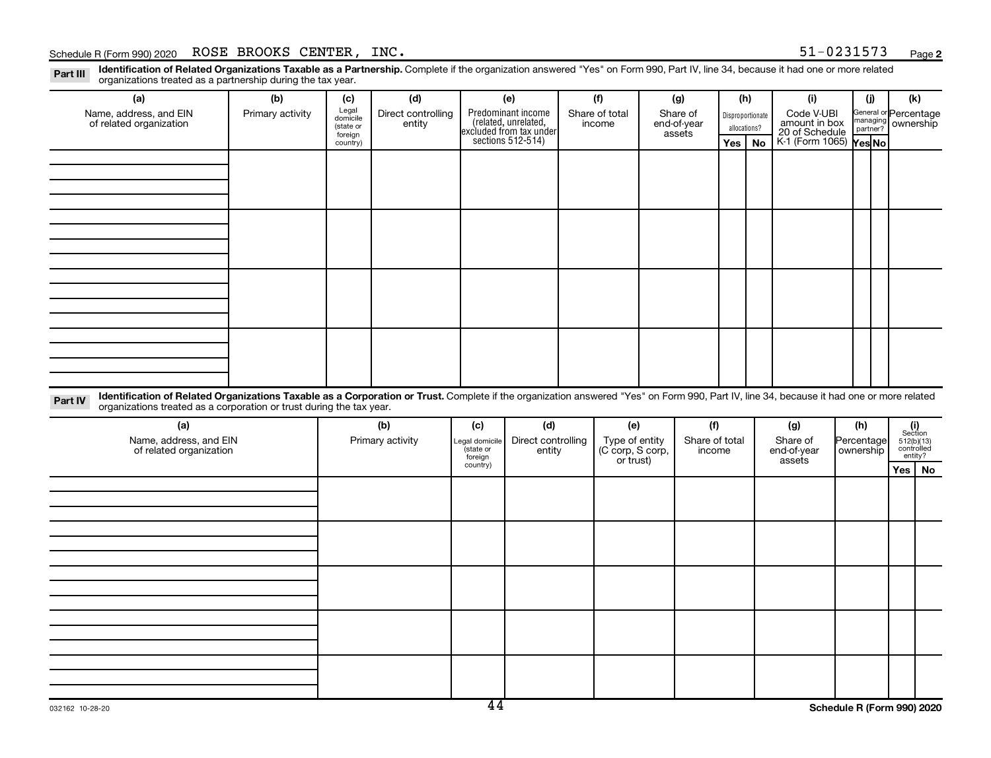#### Schedule R (Form 990) 2020 Page ROSE BROOKS CENTER, INC. 51-0231573

Part III Identification of Related Organizations Taxable as a Partnership. Complete if the organization answered "Yes" on Form 990, Part IV, line 34, because it had one or more related<br>Read to the organizations tracted as organizations treated as a partnership during the tax year.

| Organizations treated as a partnership during the tax year. |                                                                                                                                                                                                                                                                  |                     |                    |                                                                                            |                    |  |                                                 |  |                          |     |                  |                                 |            |                       |                                    |    |
|-------------------------------------------------------------|------------------------------------------------------------------------------------------------------------------------------------------------------------------------------------------------------------------------------------------------------------------|---------------------|--------------------|--------------------------------------------------------------------------------------------|--------------------|--|-------------------------------------------------|--|--------------------------|-----|------------------|---------------------------------|------------|-----------------------|------------------------------------|----|
| (a)                                                         | (b)                                                                                                                                                                                                                                                              | (c)                 | (d)                |                                                                                            | (e)                |  | (f)                                             |  | (g)                      |     | (h)              | (i)                             |            | (i)                   | (k)                                |    |
| Name, address, and EIN                                      | Primary activity                                                                                                                                                                                                                                                 | Legal<br>domicile   | Direct controlling | Predominant income<br>(related, unrelated,<br>excluded from tax under<br>sections 512-514) |                    |  | Share of total                                  |  | Share of                 |     | Disproportionate | Code V-UBI                      |            | General or Percentage |                                    |    |
| of related organization                                     |                                                                                                                                                                                                                                                                  | (state or           | entity             |                                                                                            |                    |  | income                                          |  | end-of-year              |     | allocations?     | amount in box<br>20 of Schedule |            | managing ownership    |                                    |    |
|                                                             |                                                                                                                                                                                                                                                                  | foreign<br>country) |                    |                                                                                            |                    |  |                                                 |  | assets                   | Yes | No               | K-1 (Form 1065) Yes No          |            |                       |                                    |    |
|                                                             |                                                                                                                                                                                                                                                                  |                     |                    |                                                                                            |                    |  |                                                 |  |                          |     |                  |                                 |            |                       |                                    |    |
|                                                             |                                                                                                                                                                                                                                                                  |                     |                    |                                                                                            |                    |  |                                                 |  |                          |     |                  |                                 |            |                       |                                    |    |
|                                                             |                                                                                                                                                                                                                                                                  |                     |                    |                                                                                            |                    |  |                                                 |  |                          |     |                  |                                 |            |                       |                                    |    |
|                                                             |                                                                                                                                                                                                                                                                  |                     |                    |                                                                                            |                    |  |                                                 |  |                          |     |                  |                                 |            |                       |                                    |    |
|                                                             |                                                                                                                                                                                                                                                                  |                     |                    |                                                                                            |                    |  |                                                 |  |                          |     |                  |                                 |            |                       |                                    |    |
|                                                             |                                                                                                                                                                                                                                                                  |                     |                    |                                                                                            |                    |  |                                                 |  |                          |     |                  |                                 |            |                       |                                    |    |
|                                                             |                                                                                                                                                                                                                                                                  |                     |                    |                                                                                            |                    |  |                                                 |  |                          |     |                  |                                 |            |                       |                                    |    |
|                                                             |                                                                                                                                                                                                                                                                  |                     |                    |                                                                                            |                    |  |                                                 |  |                          |     |                  |                                 |            |                       |                                    |    |
|                                                             |                                                                                                                                                                                                                                                                  |                     |                    |                                                                                            |                    |  |                                                 |  |                          |     |                  |                                 |            |                       |                                    |    |
|                                                             |                                                                                                                                                                                                                                                                  |                     |                    |                                                                                            |                    |  |                                                 |  |                          |     |                  |                                 |            |                       |                                    |    |
|                                                             |                                                                                                                                                                                                                                                                  |                     |                    |                                                                                            |                    |  |                                                 |  |                          |     |                  |                                 |            |                       |                                    |    |
|                                                             |                                                                                                                                                                                                                                                                  |                     |                    |                                                                                            |                    |  |                                                 |  |                          |     |                  |                                 |            |                       |                                    |    |
|                                                             |                                                                                                                                                                                                                                                                  |                     |                    |                                                                                            |                    |  |                                                 |  |                          |     |                  |                                 |            |                       |                                    |    |
|                                                             |                                                                                                                                                                                                                                                                  |                     |                    |                                                                                            |                    |  |                                                 |  |                          |     |                  |                                 |            |                       |                                    |    |
|                                                             |                                                                                                                                                                                                                                                                  |                     |                    |                                                                                            |                    |  |                                                 |  |                          |     |                  |                                 |            |                       |                                    |    |
|                                                             |                                                                                                                                                                                                                                                                  |                     |                    |                                                                                            |                    |  |                                                 |  |                          |     |                  |                                 |            |                       |                                    |    |
|                                                             |                                                                                                                                                                                                                                                                  |                     |                    |                                                                                            |                    |  |                                                 |  |                          |     |                  |                                 |            |                       |                                    |    |
|                                                             |                                                                                                                                                                                                                                                                  |                     |                    |                                                                                            |                    |  |                                                 |  |                          |     |                  |                                 |            |                       |                                    |    |
| Part IV                                                     | Identification of Related Organizations Taxable as a Corporation or Trust. Complete if the organization answered "Yes" on Form 990, Part IV, line 34, because it had one or more related<br>organizations treated as a corporation or trust during the tax year. |                     |                    |                                                                                            |                    |  |                                                 |  |                          |     |                  |                                 |            |                       |                                    |    |
| (a)                                                         |                                                                                                                                                                                                                                                                  | (b)                 |                    | (c)                                                                                        | (d)                |  | (e)                                             |  | (f)                      |     |                  | (g)                             |            | (h)                   |                                    |    |
| Name, address, and EIN                                      |                                                                                                                                                                                                                                                                  | Primary activity    |                    | Legal domicile                                                                             | Direct controlling |  |                                                 |  |                          |     |                  | Share of                        | Percentage |                       | (i)<br>Section                     |    |
| of related organization                                     |                                                                                                                                                                                                                                                                  |                     |                    | (state or                                                                                  | entity             |  | Type of entity<br>(C corp, S corp,<br>or trust) |  | Share of total<br>income |     |                  | end-of-year                     |            | ownership             | $512(b)(13)$ controlled<br>entity? |    |
|                                                             |                                                                                                                                                                                                                                                                  |                     |                    | foreign<br>country)                                                                        |                    |  |                                                 |  |                          |     |                  | assets                          |            |                       |                                    |    |
|                                                             |                                                                                                                                                                                                                                                                  |                     |                    |                                                                                            |                    |  |                                                 |  |                          |     |                  |                                 |            |                       | Yes                                | No |
|                                                             |                                                                                                                                                                                                                                                                  |                     |                    |                                                                                            |                    |  |                                                 |  |                          |     |                  |                                 |            |                       |                                    |    |
|                                                             |                                                                                                                                                                                                                                                                  |                     |                    |                                                                                            |                    |  |                                                 |  |                          |     |                  |                                 |            |                       |                                    |    |
|                                                             |                                                                                                                                                                                                                                                                  |                     |                    |                                                                                            |                    |  |                                                 |  |                          |     |                  |                                 |            |                       |                                    |    |
|                                                             |                                                                                                                                                                                                                                                                  |                     |                    |                                                                                            |                    |  |                                                 |  |                          |     |                  |                                 |            |                       |                                    |    |
|                                                             |                                                                                                                                                                                                                                                                  |                     |                    |                                                                                            |                    |  |                                                 |  |                          |     |                  |                                 |            |                       |                                    |    |
|                                                             |                                                                                                                                                                                                                                                                  |                     |                    |                                                                                            |                    |  |                                                 |  |                          |     |                  |                                 |            |                       |                                    |    |
|                                                             |                                                                                                                                                                                                                                                                  |                     |                    |                                                                                            |                    |  |                                                 |  |                          |     |                  |                                 |            |                       |                                    |    |
|                                                             |                                                                                                                                                                                                                                                                  |                     |                    |                                                                                            |                    |  |                                                 |  |                          |     |                  |                                 |            |                       |                                    |    |
|                                                             |                                                                                                                                                                                                                                                                  |                     |                    |                                                                                            |                    |  |                                                 |  |                          |     |                  |                                 |            |                       |                                    |    |
|                                                             |                                                                                                                                                                                                                                                                  |                     |                    |                                                                                            |                    |  |                                                 |  |                          |     |                  |                                 |            |                       |                                    |    |
|                                                             |                                                                                                                                                                                                                                                                  |                     |                    |                                                                                            |                    |  |                                                 |  |                          |     |                  |                                 |            |                       |                                    |    |
|                                                             |                                                                                                                                                                                                                                                                  |                     |                    |                                                                                            |                    |  |                                                 |  |                          |     |                  |                                 |            |                       |                                    |    |
|                                                             |                                                                                                                                                                                                                                                                  |                     |                    |                                                                                            |                    |  |                                                 |  |                          |     |                  |                                 |            |                       |                                    |    |
|                                                             |                                                                                                                                                                                                                                                                  |                     |                    |                                                                                            |                    |  |                                                 |  |                          |     |                  |                                 |            |                       |                                    |    |
|                                                             |                                                                                                                                                                                                                                                                  |                     |                    |                                                                                            |                    |  |                                                 |  |                          |     |                  |                                 |            |                       |                                    |    |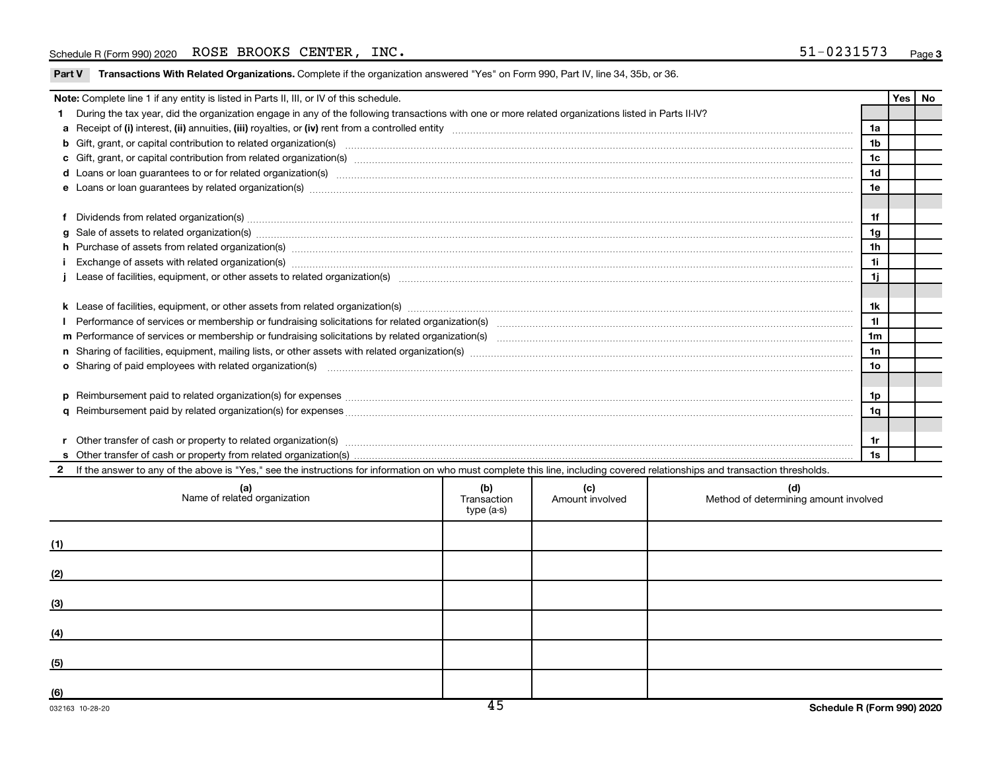#### Schedule R (Form 990) 2020 Page ROSE BROOKS CENTER, INC. 51-0231573

Part V Transactions With Related Organizations. Complete if the organization answered "Yes" on Form 990, Part IV, line 34, 35b, or 36.

|     | Note: Complete line 1 if any entity is listed in Parts II, III, or IV of this schedule.                                                                                                                                                    |                                  |                        |                                              |  | <b>Yes</b> | No |
|-----|--------------------------------------------------------------------------------------------------------------------------------------------------------------------------------------------------------------------------------------------|----------------------------------|------------------------|----------------------------------------------|--|------------|----|
|     | During the tax year, did the organization engage in any of the following transactions with one or more related organizations listed in Parts II-IV?                                                                                        |                                  |                        |                                              |  |            |    |
|     |                                                                                                                                                                                                                                            |                                  |                        |                                              |  |            |    |
|     | b Gift, grant, or capital contribution to related organization(s) manufactured contains and contribution to related organization(s) manufactured contribution to related organization(s)                                                   |                                  |                        | 1 <sub>b</sub>                               |  |            |    |
|     |                                                                                                                                                                                                                                            |                                  |                        |                                              |  |            |    |
|     |                                                                                                                                                                                                                                            |                                  |                        |                                              |  |            |    |
|     |                                                                                                                                                                                                                                            |                                  |                        |                                              |  |            |    |
|     |                                                                                                                                                                                                                                            |                                  |                        |                                              |  |            |    |
| f   | Dividends from related organization(s) material content and content and content and content and content and content and content and content and content and content and content and content and content and content and conten             |                                  |                        | 1f                                           |  |            |    |
| a   |                                                                                                                                                                                                                                            |                                  |                        | 1g                                           |  |            |    |
|     | h Purchase of assets from related organization(s) manufactured and content to content the content of assets from related organization(s) manufactured and content of the content of the content of the content of the content              |                                  |                        | 1 <sub>h</sub>                               |  |            |    |
|     |                                                                                                                                                                                                                                            |                                  |                        | 11                                           |  |            |    |
|     |                                                                                                                                                                                                                                            |                                  |                        |                                              |  |            |    |
|     |                                                                                                                                                                                                                                            |                                  |                        |                                              |  |            |    |
|     |                                                                                                                                                                                                                                            |                                  |                        |                                              |  |            |    |
|     |                                                                                                                                                                                                                                            |                                  |                        |                                              |  |            |    |
|     |                                                                                                                                                                                                                                            |                                  |                        |                                              |  |            |    |
|     |                                                                                                                                                                                                                                            |                                  |                        |                                              |  |            |    |
|     | o Sharing of paid employees with related organization(s) manufactured content to the content of the content of the content of the content of the content of the content of the content of the content of the content of the co             |                                  |                        |                                              |  |            |    |
|     |                                                                                                                                                                                                                                            |                                  |                        |                                              |  |            |    |
|     | Reimbursement paid to related organization(s) for expenses [11111] Research Manuscript Reimbursement paid to related organization(s) for expenses [11111] [1111] Reimbursement manuscript Reimbursement paid to related organi<br><b>D</b> |                                  |                        |                                              |  |            |    |
|     | a                                                                                                                                                                                                                                          |                                  |                        |                                              |  |            |    |
|     |                                                                                                                                                                                                                                            |                                  |                        |                                              |  |            |    |
|     |                                                                                                                                                                                                                                            |                                  |                        |                                              |  |            |    |
|     |                                                                                                                                                                                                                                            |                                  |                        |                                              |  |            |    |
|     | If the answer to any of the above is "Yes," see the instructions for information on who must complete this line, including covered relationships and transaction thresholds.                                                               |                                  |                        |                                              |  |            |    |
|     | (a)<br>Name of related organization                                                                                                                                                                                                        | (b)<br>Transaction<br>type (a-s) | (c)<br>Amount involved | (d)<br>Method of determining amount involved |  |            |    |
| 71) |                                                                                                                                                                                                                                            |                                  |                        |                                              |  |            |    |

| $\cdots$ |  |  |
|----------|--|--|
| (2)      |  |  |
| (3)      |  |  |
| (4)      |  |  |
| (5)      |  |  |
| (6)      |  |  |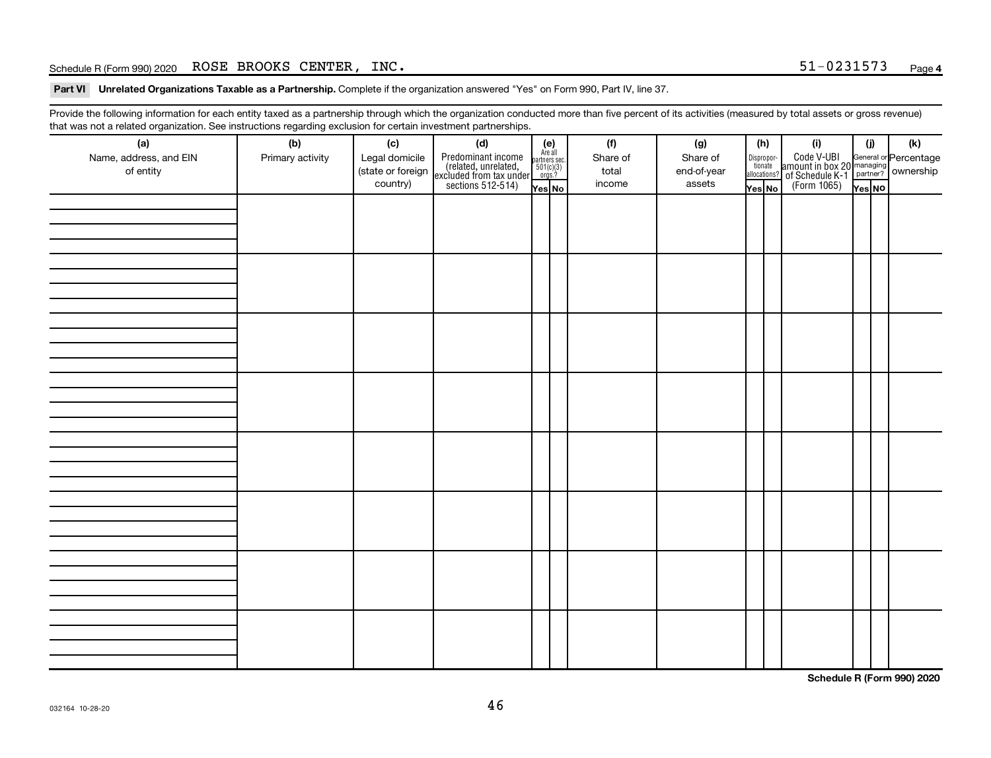#### Schedule R (Form 990) 2020 Page ROSE BROOKS CENTER, INC. 51-0231573

Part VI Unrelated Organizations Taxable as a Partnership. Complete if the organization answered "Yes" on Form 990, Part IV, line 37.

Provide the following information for each entity taxed as a partnership through which the organization conducted more than five percent of its activities (measured by total assets or gross revenue) that was not a related organization. See instructions regarding exclusion for certain investment partnerships.

| <br>(a)                | (b)              | (c)               | .  . <b>.</b> . <b>.</b><br><br>(d)                                                        |                                                          |  | (f)      | (g)         | (h)                    |  | (i)                                                                                                                                               | (i)    |  | (k) |  |
|------------------------|------------------|-------------------|--------------------------------------------------------------------------------------------|----------------------------------------------------------|--|----------|-------------|------------------------|--|---------------------------------------------------------------------------------------------------------------------------------------------------|--------|--|-----|--|
| Name, address, and EIN | Primary activity | Legal domicile    |                                                                                            | (e)<br>Are all<br>partners sec.<br>$501(c)(3)$<br>orgs.? |  | Share of | Share of    |                        |  |                                                                                                                                                   |        |  |     |  |
| of entity              |                  | (state or foreign |                                                                                            |                                                          |  | total    | end-of-year | Dispropor-<br>tionate  |  |                                                                                                                                                   |        |  |     |  |
|                        |                  | country)          | Predominant income<br>(related, unrelated,<br>excluded from tax under<br>sections 512-514) |                                                          |  | income   | assets      | allocations?<br>Yes No |  | Code V-UBI<br>amount in box 20 managing<br>of Schedule K-1<br>(Form 1065)<br>$\overline{V}$<br>$\overline{V}$<br>$\overline{V}$<br>$\overline{V}$ |        |  |     |  |
|                        |                  |                   |                                                                                            | Yes No                                                   |  |          |             |                        |  |                                                                                                                                                   | Yes NO |  |     |  |
|                        |                  |                   |                                                                                            |                                                          |  |          |             |                        |  |                                                                                                                                                   |        |  |     |  |
|                        |                  |                   |                                                                                            |                                                          |  |          |             |                        |  |                                                                                                                                                   |        |  |     |  |
|                        |                  |                   |                                                                                            |                                                          |  |          |             |                        |  |                                                                                                                                                   |        |  |     |  |
|                        |                  |                   |                                                                                            |                                                          |  |          |             |                        |  |                                                                                                                                                   |        |  |     |  |
|                        |                  |                   |                                                                                            |                                                          |  |          |             |                        |  |                                                                                                                                                   |        |  |     |  |
|                        |                  |                   |                                                                                            |                                                          |  |          |             |                        |  |                                                                                                                                                   |        |  |     |  |
|                        |                  |                   |                                                                                            |                                                          |  |          |             |                        |  |                                                                                                                                                   |        |  |     |  |
|                        |                  |                   |                                                                                            |                                                          |  |          |             |                        |  |                                                                                                                                                   |        |  |     |  |
|                        |                  |                   |                                                                                            |                                                          |  |          |             |                        |  |                                                                                                                                                   |        |  |     |  |
|                        |                  |                   |                                                                                            |                                                          |  |          |             |                        |  |                                                                                                                                                   |        |  |     |  |
|                        |                  |                   |                                                                                            |                                                          |  |          |             |                        |  |                                                                                                                                                   |        |  |     |  |
|                        |                  |                   |                                                                                            |                                                          |  |          |             |                        |  |                                                                                                                                                   |        |  |     |  |
|                        |                  |                   |                                                                                            |                                                          |  |          |             |                        |  |                                                                                                                                                   |        |  |     |  |
|                        |                  |                   |                                                                                            |                                                          |  |          |             |                        |  |                                                                                                                                                   |        |  |     |  |
|                        |                  |                   |                                                                                            |                                                          |  |          |             |                        |  |                                                                                                                                                   |        |  |     |  |
|                        |                  |                   |                                                                                            |                                                          |  |          |             |                        |  |                                                                                                                                                   |        |  |     |  |
|                        |                  |                   |                                                                                            |                                                          |  |          |             |                        |  |                                                                                                                                                   |        |  |     |  |
|                        |                  |                   |                                                                                            |                                                          |  |          |             |                        |  |                                                                                                                                                   |        |  |     |  |
|                        |                  |                   |                                                                                            |                                                          |  |          |             |                        |  |                                                                                                                                                   |        |  |     |  |
|                        |                  |                   |                                                                                            |                                                          |  |          |             |                        |  |                                                                                                                                                   |        |  |     |  |
|                        |                  |                   |                                                                                            |                                                          |  |          |             |                        |  |                                                                                                                                                   |        |  |     |  |
|                        |                  |                   |                                                                                            |                                                          |  |          |             |                        |  |                                                                                                                                                   |        |  |     |  |
|                        |                  |                   |                                                                                            |                                                          |  |          |             |                        |  |                                                                                                                                                   |        |  |     |  |
|                        |                  |                   |                                                                                            |                                                          |  |          |             |                        |  |                                                                                                                                                   |        |  |     |  |
|                        |                  |                   |                                                                                            |                                                          |  |          |             |                        |  |                                                                                                                                                   |        |  |     |  |
|                        |                  |                   |                                                                                            |                                                          |  |          |             |                        |  |                                                                                                                                                   |        |  |     |  |
|                        |                  |                   |                                                                                            |                                                          |  |          |             |                        |  |                                                                                                                                                   |        |  |     |  |
|                        |                  |                   |                                                                                            |                                                          |  |          |             |                        |  |                                                                                                                                                   |        |  |     |  |
|                        |                  |                   |                                                                                            |                                                          |  |          |             |                        |  |                                                                                                                                                   |        |  |     |  |
|                        |                  |                   |                                                                                            |                                                          |  |          |             |                        |  |                                                                                                                                                   |        |  |     |  |
|                        |                  |                   |                                                                                            |                                                          |  |          |             |                        |  |                                                                                                                                                   |        |  |     |  |
|                        |                  |                   |                                                                                            |                                                          |  |          |             |                        |  |                                                                                                                                                   |        |  |     |  |
|                        |                  |                   |                                                                                            |                                                          |  |          |             |                        |  |                                                                                                                                                   |        |  |     |  |
|                        |                  |                   |                                                                                            |                                                          |  |          |             |                        |  |                                                                                                                                                   |        |  |     |  |
|                        |                  |                   |                                                                                            |                                                          |  |          |             |                        |  |                                                                                                                                                   |        |  |     |  |

**Schedule R (Form 990) 2020**